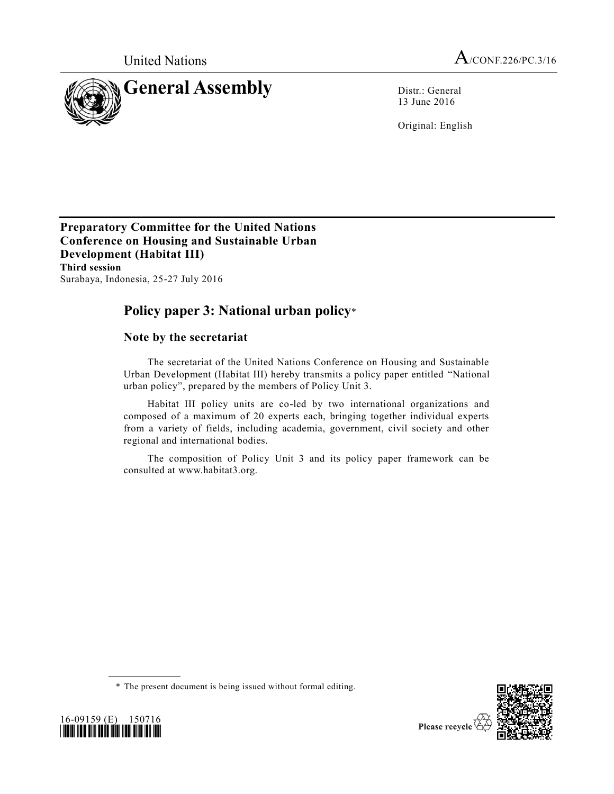

13 June 2016

Original: English

**Preparatory Committee for the United Nations Conference on Housing and Sustainable Urban Development (Habitat III) Third session**  Surabaya, Indonesia, 25-27 July 2016

# **Policy paper 3: National urban policy**\*

# **Note by the secretariat**

The secretariat of the United Nations Conference on Housing and Sustainable Urban Development (Habitat III) hereby transmits a policy paper entitled "National urban policy", prepared by the members of Policy Unit 3.

Habitat III policy units are co-led by two international organizations and composed of a maximum of 20 experts each, bringing together individual experts from a variety of fields, including academia, government, civil society and other regional and international bodies.

The composition of Policy Unit 3 and its policy paper framework can be consulted at www.habitat3.org.





<sup>\*</sup> The present document is being issued without formal editing.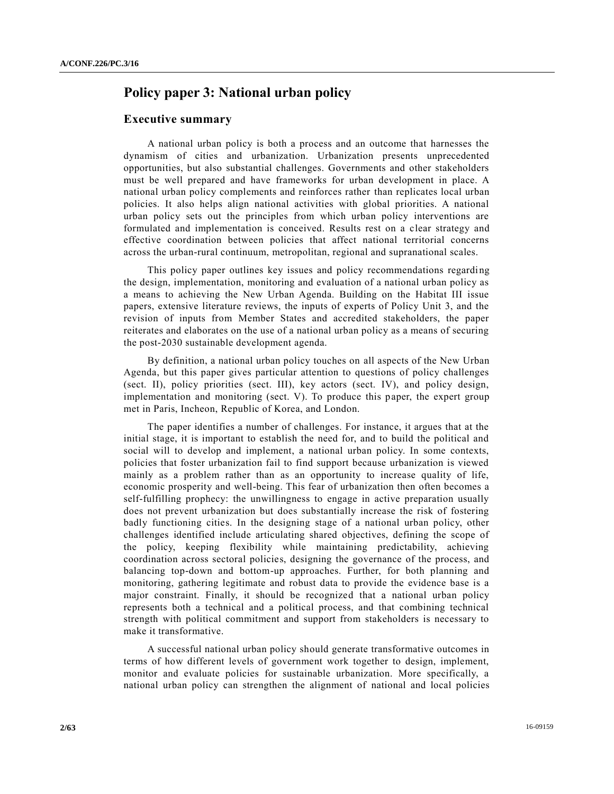# **Policy paper 3: National urban policy**

## **Executive summary**

A national urban policy is both a process and an outcome that harnesses the dynamism of cities and urbanization. Urbanization presents unprecedented opportunities, but also substantial challenges. Governments and other stakeholders must be well prepared and have frameworks for urban development in place. A national urban policy complements and reinforces rather than replicates local urban policies. It also helps align national activities with global priorities. A national urban policy sets out the principles from which urban policy interventions are formulated and implementation is conceived. Results rest on a clear strategy and effective coordination between policies that affect national territorial concerns across the urban-rural continuum, metropolitan, regional and supranational scales.

This policy paper outlines key issues and policy recommendations regarding the design, implementation, monitoring and evaluation of a national urban policy as a means to achieving the New Urban Agenda. Building on the Habitat III issue papers, extensive literature reviews, the inputs of experts of Policy Unit 3, and the revision of inputs from Member States and accredited stakeholders, the paper reiterates and elaborates on the use of a national urban policy as a means of securing the post-2030 sustainable development agenda.

By definition, a national urban policy touches on all aspects of the New Urban Agenda, but this paper gives particular attention to questions of policy challenges (sect. II), policy priorities (sect. III), key actors (sect. IV), and policy design, implementation and monitoring (sect. V). To produce this paper, the expert group met in Paris, Incheon, Republic of Korea, and London.

The paper identifies a number of challenges. For instance, it argues that at the initial stage, it is important to establish the need for, and to build the political and social will to develop and implement, a national urban policy. In some contexts, policies that foster urbanization fail to find support because urbanization is viewed mainly as a problem rather than as an opportunity to increase quality of life, economic prosperity and well-being. This fear of urbanization then often becomes a self-fulfilling prophecy: the unwillingness to engage in active preparation usually does not prevent urbanization but does substantially increase the risk of fostering badly functioning cities. In the designing stage of a national urban policy, other challenges identified include articulating shared objectives, defining the scope of the policy, keeping flexibility while maintaining predictability, achieving coordination across sectoral policies, designing the governance of the process, and balancing top-down and bottom-up approaches. Further, for both planning and monitoring, gathering legitimate and robust data to provide the evidence base is a major constraint. Finally, it should be recognized that a national urban policy represents both a technical and a political process, and that combining technical strength with political commitment and support from stakeholders is necessary to make it transformative.

A successful national urban policy should generate transformative outcomes in terms of how different levels of government work together to design, implement, monitor and evaluate policies for sustainable urbanization. More specifically, a national urban policy can strengthen the alignment of national and local policies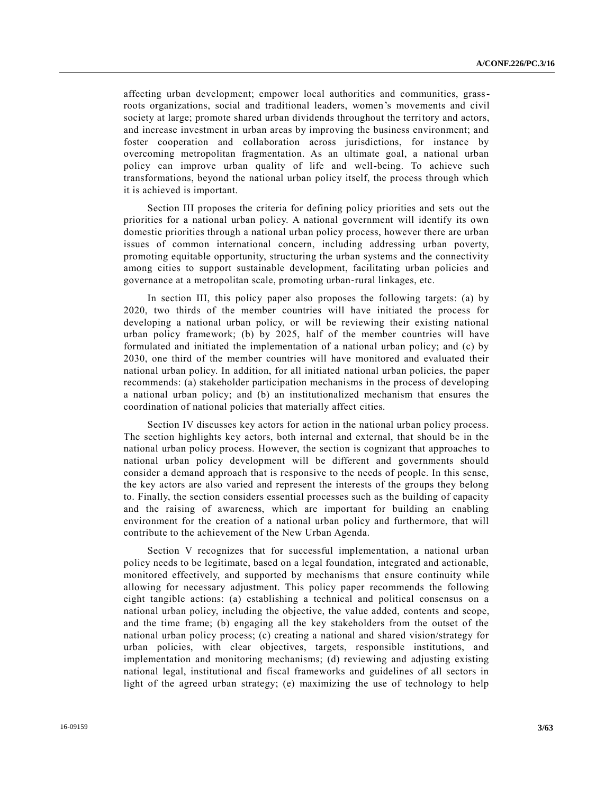affecting urban development; empower local authorities and communities, grassroots organizations, social and traditional leaders, women's movements and civil society at large; promote shared urban dividends throughout the territory and actors, and increase investment in urban areas by improving the business environment; and foster cooperation and collaboration across jurisdictions, for instance by overcoming metropolitan fragmentation. As an ultimate goal, a national urban policy can improve urban quality of life and well-being. To achieve such transformations, beyond the national urban policy itself, the process through which it is achieved is important.

Section III proposes the criteria for defining policy priorities and sets out the priorities for a national urban policy. A national government will identify its own domestic priorities through a national urban policy process, however there are urban issues of common international concern, including addressing urban poverty, promoting equitable opportunity, structuring the urban systems and the connectivity among cities to support sustainable development, facilitating urban policies and governance at a metropolitan scale, promoting urban‐rural linkages, etc.

In section III, this policy paper also proposes the following targets: (a) by 2020, two thirds of the member countries will have initiated the process for developing a national urban policy, or will be reviewing their existing national urban policy framework; (b) by 2025, half of the member countries will have formulated and initiated the implementation of a national urban policy; and (c) by 2030, one third of the member countries will have monitored and evaluated their national urban policy. In addition, for all initiated national urban policies, the paper recommends: (a) stakeholder participation mechanisms in the process of developing a national urban policy; and (b) an institutionalized mechanism that ensures the coordination of national policies that materially affect cities.

Section IV discusses key actors for action in the national urban policy process. The section highlights key actors, both internal and external, that should be in the national urban policy process. However, the section is cognizant that approaches to national urban policy development will be different and governments should consider a demand approach that is responsive to the needs of people. In this sense, the key actors are also varied and represent the interests of the groups they belong to. Finally, the section considers essential processes such as the building of capacity and the raising of awareness, which are important for building an enabling environment for the creation of a national urban policy and furthermore, that will contribute to the achievement of the New Urban Agenda.

Section V recognizes that for successful implementation, a national urban policy needs to be legitimate, based on a legal foundation, integrated and actionable, monitored effectively, and supported by mechanisms that ensure continuity while allowing for necessary adjustment. This policy paper recommends the following eight tangible actions: (a) establishing a technical and political consensus on a national urban policy, including the objective, the value added, contents and scope, and the time frame; (b) engaging all the key stakeholders from the outset of the national urban policy process; (c) creating a national and shared vision/strategy for urban policies, with clear objectives, targets, responsible institutions, and implementation and monitoring mechanisms; (d) reviewing and adjusting existing national legal, institutional and fiscal frameworks and guidelines of all sectors in light of the agreed urban strategy; (e) maximizing the use of technology to help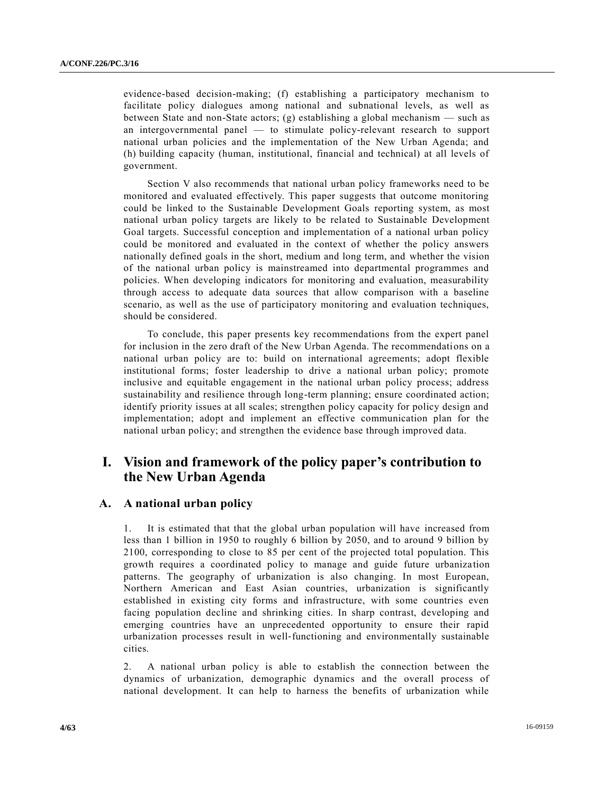evidence-based decision-making; (f) establishing a participatory mechanism to facilitate policy dialogues among national and subnational levels, as well as between State and non-State actors; (g) establishing a global mechanism — such as an intergovernmental panel — to stimulate policy-relevant research to support national urban policies and the implementation of the New Urban Agenda; and (h) building capacity (human, institutional, financial and technical) at all levels of government.

Section V also recommends that national urban policy frameworks need to be monitored and evaluated effectively. This paper suggests that outcome monitoring could be linked to the Sustainable Development Goals reporting system, as most national urban policy targets are likely to be related to Sustainable Development Goal targets. Successful conception and implementation of a national urban policy could be monitored and evaluated in the context of whether the policy answers nationally defined goals in the short, medium and long term, and whether the vision of the national urban policy is mainstreamed into departmental programmes and policies. When developing indicators for monitoring and evaluation, measurability through access to adequate data sources that allow comparison with a baseline scenario, as well as the use of participatory monitoring and evaluation techniques, should be considered.

To conclude, this paper presents key recommendations from the expert panel for inclusion in the zero draft of the New Urban Agenda. The recommendations on a national urban policy are to: build on international agreements; adopt flexible institutional forms; foster leadership to drive a national urban policy; promote inclusive and equitable engagement in the national urban policy process; address sustainability and resilience through long-term planning; ensure coordinated action; identify priority issues at all scales; strengthen policy capacity for policy design and implementation; adopt and implement an effective communication plan for the national urban policy; and strengthen the evidence base through improved data.

# **I. Vision and framework of the policy paper's contribution to the New Urban Agenda**

# **A. A national urban policy**

1. It is estimated that that the global urban population will have increased from less than 1 billion in 1950 to roughly 6 billion by 2050, and to around 9 billion by 2100, corresponding to close to 85 per cent of the projected total population. This growth requires a coordinated policy to manage and guide future urbaniza tion patterns. The geography of urbanization is also changing. In most European, Northern American and East Asian countries, urbanization is significantly established in existing city forms and infrastructure, with some countries even facing population decline and shrinking cities. In sharp contrast, developing and emerging countries have an unprecedented opportunity to ensure their rapid urbanization processes result in well‐functioning and environmentally sustainable cities.

2. A national urban policy is able to establish the connection between the dynamics of urbanization, demographic dynamics and the overall process of national development. It can help to harness the benefits of urbanization while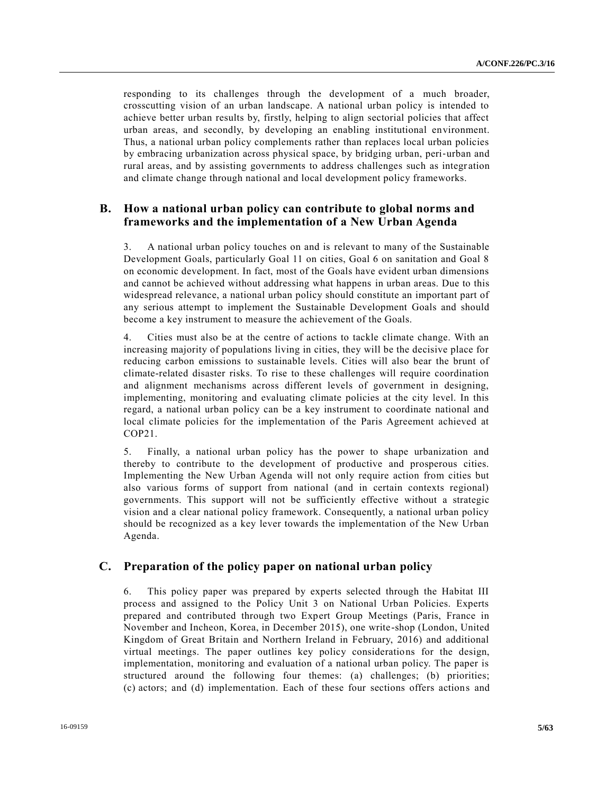responding to its challenges through the development of a much broader, crosscutting vision of an urban landscape. A national urban policy is intended to achieve better urban results by, firstly, helping to align sectorial policies that affect urban areas, and secondly, by developing an enabling institutional environment. Thus, a national urban policy complements rather than replaces local urban policies by embracing urbanization across physical space, by bridging urban, peri‐urban and rural areas, and by assisting governments to address challenges such as integr ation and climate change through national and local development policy frameworks.

# **B. How a national urban policy can contribute to global norms and frameworks and the implementation of a New Urban Agenda**

3. A national urban policy touches on and is relevant to many of the Sustainable Development Goals, particularly Goal 11 on cities, Goal 6 on sanitation and Goal 8 on economic development. In fact, most of the Goals have evident urban dimensions and cannot be achieved without addressing what happens in urban areas. Due to this widespread relevance, a national urban policy should constitute an important part of any serious attempt to implement the Sustainable Development Goals and should become a key instrument to measure the achievement of the Goals.

4. Cities must also be at the centre of actions to tackle climate change. With an increasing majority of populations living in cities, they will be the decisive place for reducing carbon emissions to sustainable levels. Cities will also bear the brunt of climate-related disaster risks. To rise to these challenges will require coordination and alignment mechanisms across different levels of government in designing, implementing, monitoring and evaluating climate policies at the city level. In this regard, a national urban policy can be a key instrument to coordinate national and local climate policies for the implementation of the Paris Agreement achieved at COP21.

5. Finally, a national urban policy has the power to shape urbanization and thereby to contribute to the development of productive and prosperous cities. Implementing the New Urban Agenda will not only require action from cities but also various forms of support from national (and in certain contexts regional) governments. This support will not be sufficiently effective without a strategic vision and a clear national policy framework. Consequently, a national urban policy should be recognized as a key lever towards the implementation of the New Urban Agenda.

## **C. Preparation of the policy paper on national urban policy**

6. This policy paper was prepared by experts selected through the Habitat III process and assigned to the Policy Unit 3 on National Urban Policies. Experts prepared and contributed through two Expert Group Meetings (Paris, France in November and Incheon, Korea, in December 2015), one write-shop (London, United Kingdom of Great Britain and Northern Ireland in February, 2016) and additional virtual meetings. The paper outlines key policy considerations for the design, implementation, monitoring and evaluation of a national urban policy. The paper is structured around the following four themes: (a) challenges; (b) priorities; (c) actors; and (d) implementation. Each of these four sections offers actions and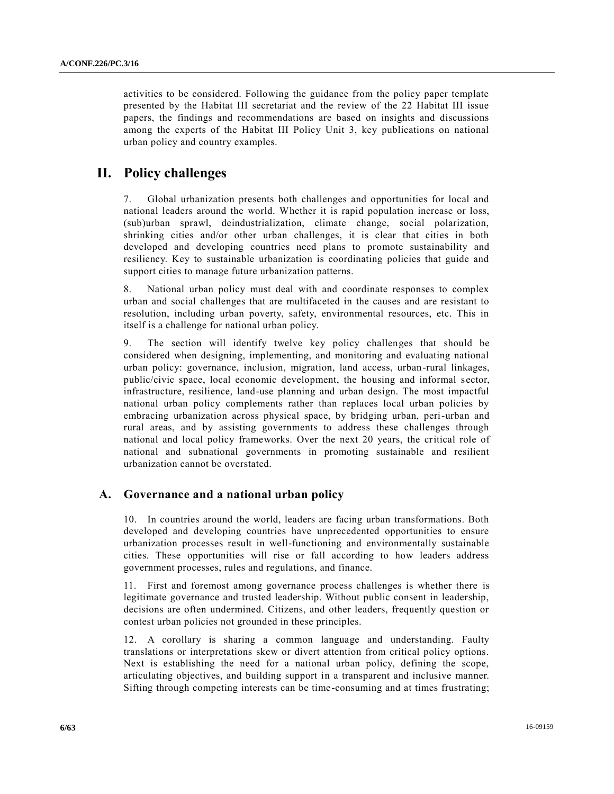activities to be considered. Following the guidance from the policy paper template presented by the Habitat III secretariat and the review of the 22 Habitat III issue papers, the findings and recommendations are based on insights and discussions among the experts of the Habitat III Policy Unit 3, key publications on national urban policy and country examples.

# **II. Policy challenges**

7. Global urbanization presents both challenges and opportunities for local and national leaders around the world. Whether it is rapid population increase or loss, (sub)urban sprawl, deindustrialization, climate change, social polarization, shrinking cities and/or other urban challenges, it is clear that cities in both developed and developing countries need plans to promote sustainability and resiliency. Key to sustainable urbanization is coordinating policies that guide and support cities to manage future urbanization patterns.

8. National urban policy must deal with and coordinate responses to complex urban and social challenges that are multifaceted in the causes and are resistant to resolution, including urban poverty, safety, environmental resources, etc. This in itself is a challenge for national urban policy.

9. The section will identify twelve key policy challenges that should be considered when designing, implementing, and monitoring and evaluating national urban policy: governance, inclusion, migration, land access, urban-rural linkages, public/civic space, local economic development, the housing and informal sector, infrastructure, resilience, land-use planning and urban design. The most impactful national urban policy complements rather than replaces local urban policies by embracing urbanization across physical space, by bridging urban, peri-urban and rural areas, and by assisting governments to address these challenges through national and local policy frameworks. Over the next 20 years, the critical role of national and subnational governments in promoting sustainable and resilient urbanization cannot be overstated.

# **A. Governance and a national urban policy**

10. In countries around the world, leaders are facing urban transformations. Both developed and developing countries have unprecedented opportunities to ensure urbanization processes result in well-functioning and environmentally sustainable cities. These opportunities will rise or fall according to how leaders address government processes, rules and regulations, and finance.

11. First and foremost among governance process challenges is whether there is legitimate governance and trusted leadership. Without public consent in leadership, decisions are often undermined. Citizens, and other leaders, frequently question or contest urban policies not grounded in these principles.

12. A corollary is sharing a common language and understanding. Faulty translations or interpretations skew or divert attention from critical policy options. Next is establishing the need for a national urban policy, defining the scope, articulating objectives, and building support in a transparent and inclusive manner. Sifting through competing interests can be time-consuming and at times frustrating;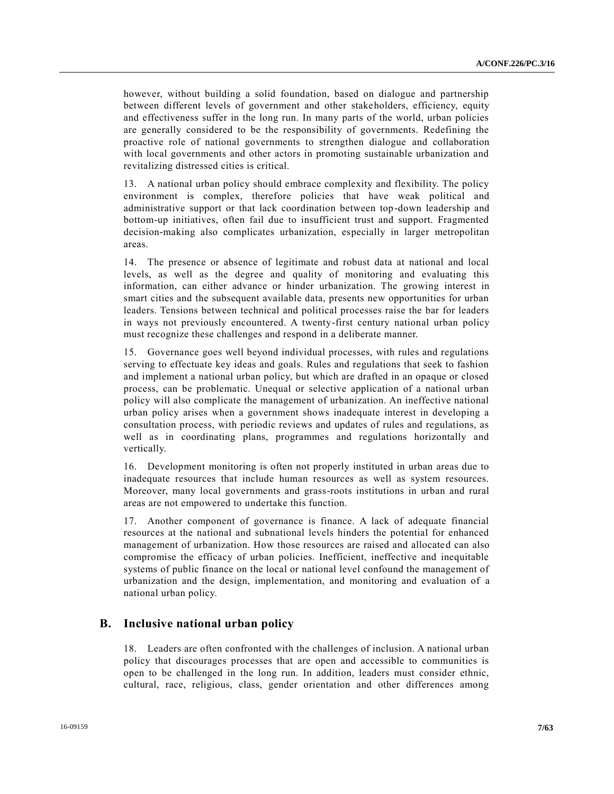however, without building a solid foundation, based on dialogue and partnership between different levels of government and other stakeholders, efficiency, equity and effectiveness suffer in the long run. In many parts of the world, urban policies are generally considered to be the responsibility of governments. Redefining the proactive role of national governments to strengthen dialogue and collaboration with local governments and other actors in promoting sustainable urbanization and revitalizing distressed cities is critical.

13. A national urban policy should embrace complexity and flexibility. The policy environment is complex, therefore policies that have weak political and administrative support or that lack coordination between top-down leadership and bottom-up initiatives, often fail due to insufficient trust and support. Fragmented decision-making also complicates urbanization, especially in larger metropolitan areas.

14. The presence or absence of legitimate and robust data at national and local levels, as well as the degree and quality of monitoring and evaluating this information, can either advance or hinder urbanization. The growing interest in smart cities and the subsequent available data, presents new opportunities for urban leaders. Tensions between technical and political processes raise the bar for leaders in ways not previously encountered. A twenty-first century national urban policy must recognize these challenges and respond in a deliberate manner.

15. Governance goes well beyond individual processes, with rules and regulations serving to effectuate key ideas and goals. Rules and regulations that seek to fashion and implement a national urban policy, but which are drafted in an opaque or closed process, can be problematic. Unequal or selective application of a national urban policy will also complicate the management of urbanization. An ineffective national urban policy arises when a government shows inadequate interest in developing a consultation process, with periodic reviews and updates of rules and regulations, as well as in coordinating plans, programmes and regulations horizontally and vertically.

16. Development monitoring is often not properly instituted in urban areas due to inadequate resources that include human resources as well as system resources. Moreover, many local governments and grass-roots institutions in urban and rural areas are not empowered to undertake this function.

17. Another component of governance is finance. A lack of adequate financial resources at the national and subnational levels hinders the potential for enhanced management of urbanization. How those resources are raised and allocated can also compromise the efficacy of urban policies. Inefficient, ineffective and inequitable systems of public finance on the local or national level confound the management of urbanization and the design, implementation, and monitoring and evaluation of a national urban policy.

## **B. Inclusive national urban policy**

18. Leaders are often confronted with the challenges of inclusion. A national urban policy that discourages processes that are open and accessible to communities is open to be challenged in the long run. In addition, leaders must consider ethnic, cultural, race, religious, class, gender orientation and other differences among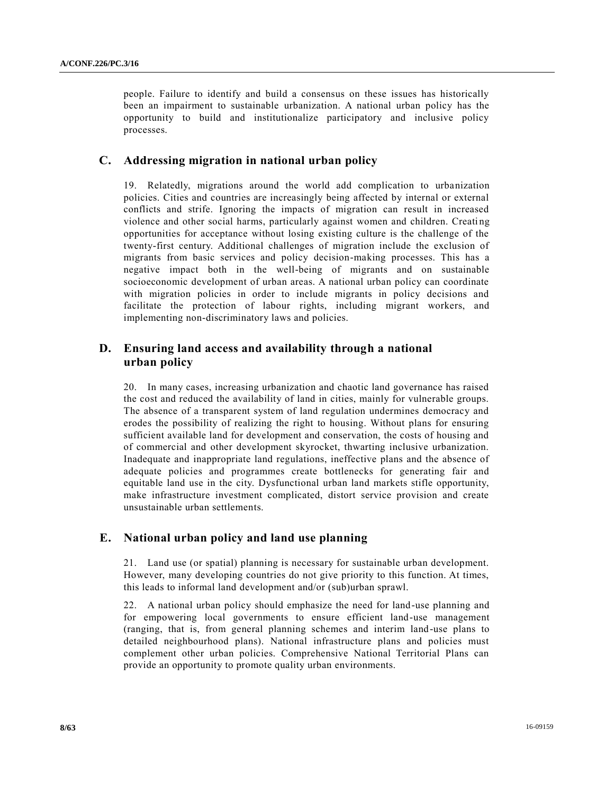people. Failure to identify and build a consensus on these issues has historically been an impairment to sustainable urbanization. A national urban policy has the opportunity to build and institutionalize participatory and inclusive policy processes.

## **C. Addressing migration in national urban policy**

19. Relatedly, migrations around the world add complication to urbanization policies. Cities and countries are increasingly being affected by internal or external conflicts and strife. Ignoring the impacts of migration can result in increased violence and other social harms, particularly against women and children. Creati ng opportunities for acceptance without losing existing culture is the challenge of the twenty-first century. Additional challenges of migration include the exclusion of migrants from basic services and policy decision-making processes. This has a negative impact both in the well-being of migrants and on sustainable socioeconomic development of urban areas. A national urban policy can coordinate with migration policies in order to include migrants in policy decisions and facilitate the protection of labour rights, including migrant workers, and implementing non-discriminatory laws and policies.

# **D. Ensuring land access and availability through a national urban policy**

20. In many cases, increasing urbanization and chaotic land governance has raised the cost and reduced the availability of land in cities, mainly for vulnerable groups. The absence of a transparent system of land regulation undermines democracy and erodes the possibility of realizing the right to housing. Without plans for ensuring sufficient available land for development and conservation, the costs of housing and of commercial and other development skyrocket, thwarting inclusive urbanization. Inadequate and inappropriate land regulations, ineffective plans and the absence of adequate policies and programmes create bottlenecks for generating fair and equitable land use in the city. Dysfunctional urban land markets stifle opportunity, make infrastructure investment complicated, distort service provision and create unsustainable urban settlements.

# **E. National urban policy and land use planning**

21. Land use (or spatial) planning is necessary for sustainable urban development. However, many developing countries do not give priority to this function. At times, this leads to informal land development and/or (sub)urban sprawl.

22. A national urban policy should emphasize the need for land-use planning and for empowering local governments to ensure efficient land-use management (ranging, that is, from general planning schemes and interim land-use plans to detailed neighbourhood plans). National infrastructure plans and policies must complement other urban policies. Comprehensive National Territorial Plans can provide an opportunity to promote quality urban environments.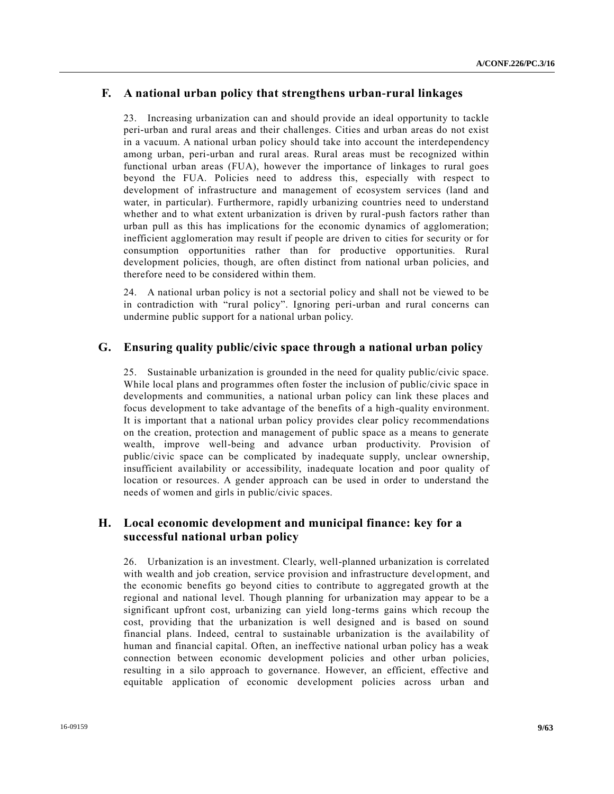# **F. A national urban policy that strengthens urban-rural linkages**

23. Increasing urbanization can and should provide an ideal opportunity to tackle peri-urban and rural areas and their challenges. Cities and urban areas do not exist in a vacuum. A national urban policy should take into account the interdependency among urban, peri-urban and rural areas. Rural areas must be recognized within functional urban areas (FUA), however the importance of linkages to rural goes beyond the FUA. Policies need to address this, especially with respect to development of infrastructure and management of ecosystem services (land and water, in particular). Furthermore, rapidly urbanizing countries need to understand whether and to what extent urbanization is driven by rural-push factors rather than urban pull as this has implications for the economic dynamics of agglomeration; inefficient agglomeration may result if people are driven to cities for security or for consumption opportunities rather than for productive opportunities. Rural development policies, though, are often distinct from national urban policies, and therefore need to be considered within them.

24. A national urban policy is not a sectorial policy and shall not be viewed to be in contradiction with "rural policy". Ignoring peri-urban and rural concerns can undermine public support for a national urban policy.

# **G. Ensuring quality public/civic space through a national urban policy**

25. Sustainable urbanization is grounded in the need for quality public/civic space. While local plans and programmes often foster the inclusion of public/civic space in developments and communities, a national urban policy can link these places and focus development to take advantage of the benefits of a high-quality environment. It is important that a national urban policy provides clear policy recommendations on the creation, protection and management of public space as a means to generate wealth, improve well-being and advance urban productivity. Provision of public/civic space can be complicated by inadequate supply, unclear ownership, insufficient availability or accessibility, inadequate location and poor quality of location or resources. A gender approach can be used in order to understand the needs of women and girls in public/civic spaces.

# **H. Local economic development and municipal finance: key for a successful national urban policy**

26. Urbanization is an investment. Clearly, well-planned urbanization is correlated with wealth and job creation, service provision and infrastructure development, and the economic benefits go beyond cities to contribute to aggregated growth at the regional and national level. Though planning for urbanization may appear to be a significant upfront cost, urbanizing can yield long-terms gains which recoup the cost, providing that the urbanization is well designed and is based on sound financial plans. Indeed, central to sustainable urbanization is the availability of human and financial capital. Often, an ineffective national urban policy has a weak connection between economic development policies and other urban policies, resulting in a silo approach to governance. However, an efficient, effective and equitable application of economic development policies across urban and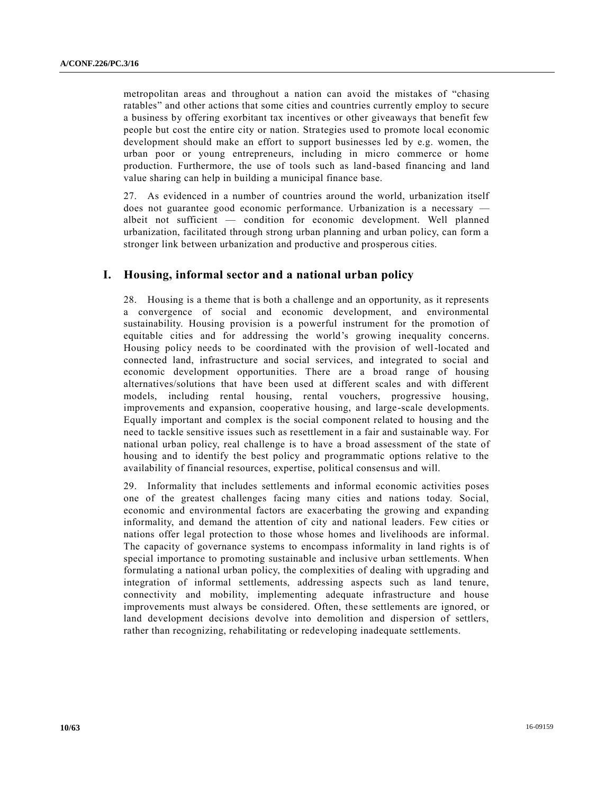metropolitan areas and throughout a nation can avoid the mistakes of "chasing ratables" and other actions that some cities and countries currently employ to secure a business by offering exorbitant tax incentives or other giveaways that benefit few people but cost the entire city or nation. Strategies used to promote local economic development should make an effort to support businesses led by e.g. women, the urban poor or young entrepreneurs, including in micro commerce or home production. Furthermore, the use of tools such as land-based financing and land value sharing can help in building a municipal finance base.

27. As evidenced in a number of countries around the world, urbanization itself does not guarantee good economic performance. Urbanization is a necessary albeit not sufficient — condition for economic development. Well planned urbanization, facilitated through strong urban planning and urban policy, can form a stronger link between urbanization and productive and prosperous cities.

# **I. Housing, informal sector and a national urban policy**

28. Housing is a theme that is both a challenge and an opportunity, as it represents a convergence of social and economic development, and environmental sustainability. Housing provision is a powerful instrument for the promotion of equitable cities and for addressing the world's growing inequality concerns. Housing policy needs to be coordinated with the provision of well-located and connected land, infrastructure and social services, and integrated to social and economic development opportunities. There are a broad range of housing alternatives/solutions that have been used at different scales and with different models, including rental housing, rental vouchers, progressive housing, improvements and expansion, cooperative housing, and large-scale developments. Equally important and complex is the social component related to housing and the need to tackle sensitive issues such as resettlement in a fair and sustainable way. For national urban policy, real challenge is to have a broad assessment of the state of housing and to identify the best policy and programmatic options relative to the availability of financial resources, expertise, political consensus and will.

29. Informality that includes settlements and informal economic activities poses one of the greatest challenges facing many cities and nations today. Social, economic and environmental factors are exacerbating the growing and expanding informality, and demand the attention of city and national leaders. Few cities or nations offer legal protection to those whose homes and livelihoods are informal. The capacity of governance systems to encompass informality in land rights is of special importance to promoting sustainable and inclusive urban settlements. When formulating a national urban policy, the complexities of dealing with upgrading and integration of informal settlements, addressing aspects such as land tenure, connectivity and mobility, implementing adequate infrastructure and house improvements must always be considered. Often, these settlements are ignored, or land development decisions devolve into demolition and dispersion of settlers, rather than recognizing, rehabilitating or redeveloping inadequate settlements.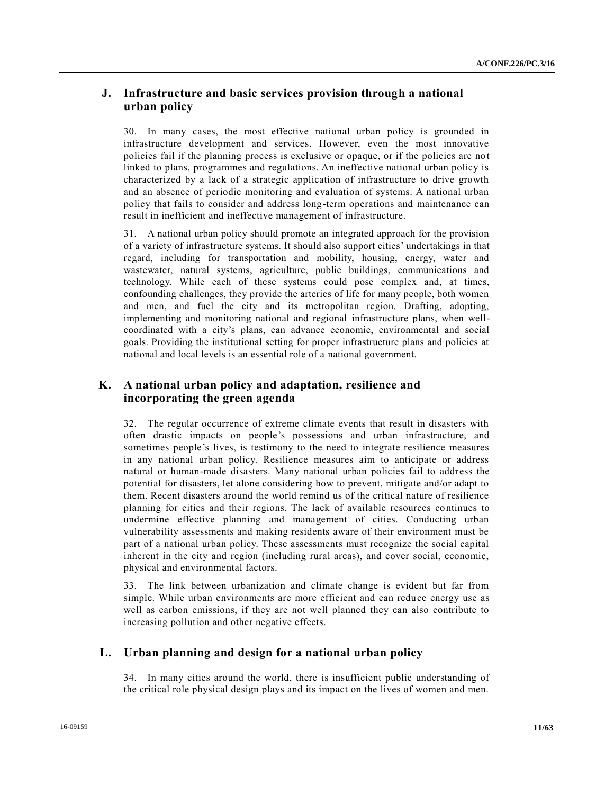# **J. Infrastructure and basic services provision through a national urban policy**

30. In many cases, the most effective national urban policy is grounded in infrastructure development and services. However, even the most innovative policies fail if the planning process is exclusive or opaque, or if the policies are no t linked to plans, programmes and regulations. An ineffective national urban policy is characterized by a lack of a strategic application of infrastructure to drive growth and an absence of periodic monitoring and evaluation of systems. A national urban policy that fails to consider and address long-term operations and maintenance can result in inefficient and ineffective management of infrastructure.

31. A national urban policy should promote an integrated approach for the provision of a variety of infrastructure systems. It should also support cities' undertakings in that regard, including for transportation and mobility, housing, energy, water and wastewater, natural systems, agriculture, public buildings, communications and technology. While each of these systems could pose complex and, at times, confounding challenges, they provide the arteries of life for many people, both women and men, and fuel the city and its metropolitan region. Drafting, adopting, implementing and monitoring national and regional infrastructure plans, when wellcoordinated with a city's plans, can advance economic, environmental and social goals. Providing the institutional setting for proper infrastructure plans and policies at national and local levels is an essential role of a national government.

# **K. A national urban policy and adaptation, resilience and incorporating the green agenda**

32. The regular occurrence of extreme climate events that result in disasters with often drastic impacts on people's possessions and urban infrastructure, and sometimes people's lives, is testimony to the need to integrate resilience measures in any national urban policy. Resilience measures aim to anticipate or address natural or human-made disasters. Many national urban policies fail to address the potential for disasters, let alone considering how to prevent, mitigate and/or adapt to them. Recent disasters around the world remind us of the critical nature of resilience planning for cities and their regions. The lack of available resources continues to undermine effective planning and management of cities. Conducting urban vulnerability assessments and making residents aware of their environment must be part of a national urban policy. These assessments must recognize the social capital inherent in the city and region (including rural areas), and cover social, economic, physical and environmental factors.

33. The link between urbanization and climate change is evident but far from simple. While urban environments are more efficient and can reduce energy use as well as carbon emissions, if they are not well planned they can also contribute to increasing pollution and other negative effects.

# **L. Urban planning and design for a national urban policy**

34. In many cities around the world, there is insufficient public understanding of the critical role physical design plays and its impact on the lives of women and men.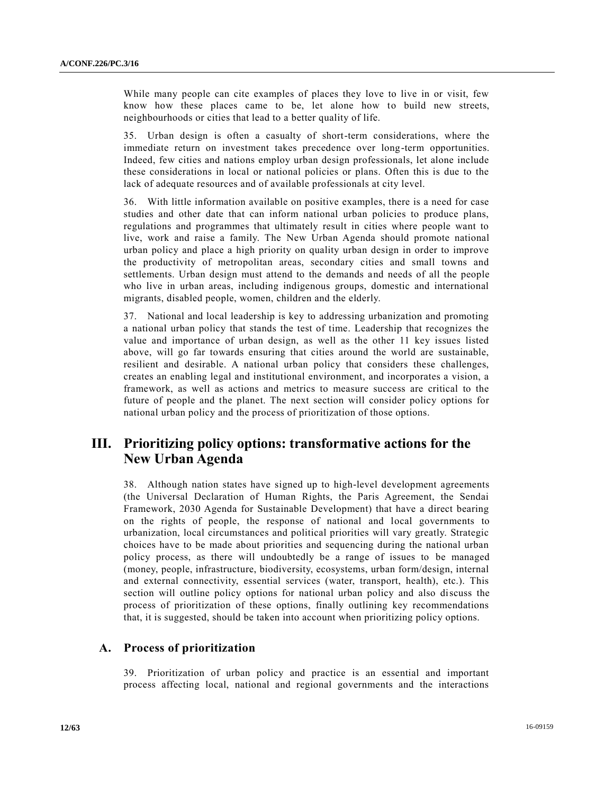While many people can cite examples of places they love to live in or visit, few know how these places came to be, let alone how to build new streets, neighbourhoods or cities that lead to a better quality of life.

35. Urban design is often a casualty of short-term considerations, where the immediate return on investment takes precedence over long-term opportunities. Indeed, few cities and nations employ urban design professionals, let alone include these considerations in local or national policies or plans. Often this is due to the lack of adequate resources and of available professionals at city level.

36. With little information available on positive examples, there is a need for case studies and other date that can inform national urban policies to produce plans, regulations and programmes that ultimately result in cities where people want to live, work and raise a family. The New Urban Agenda should promote national urban policy and place a high priority on quality urban design in order to improve the productivity of metropolitan areas, secondary cities and small towns and settlements. Urban design must attend to the demands and needs of all the people who live in urban areas, including indigenous groups, domestic and international migrants, disabled people, women, children and the elderly.

37. National and local leadership is key to addressing urbanization and promoting a national urban policy that stands the test of time. Leadership that recognizes the value and importance of urban design, as well as the other 11 key issues listed above, will go far towards ensuring that cities around the world are sustainable, resilient and desirable. A national urban policy that considers these challenges, creates an enabling legal and institutional environment, and incorporates a vision, a framework, as well as actions and metrics to measure success are critical to the future of people and the planet. The next section will consider policy options for national urban policy and the process of prioritization of those options.

# **III. Prioritizing policy options: transformative actions for the New Urban Agenda**

38. Although nation states have signed up to high-level development agreements (the Universal Declaration of Human Rights, the Paris Agreement, the Sendai Framework, 2030 Agenda for Sustainable Development) that have a direct bearing on the rights of people, the response of national and local governments to urbanization, local circumstances and political priorities will vary greatly. Strategic choices have to be made about priorities and sequencing during the national urban policy process, as there will undoubtedly be a range of issues to be managed (money, people, infrastructure, biodiversity, ecosystems, urban form/design, internal and external connectivity, essential services (water, transport, health), etc.). This section will outline policy options for national urban policy and also discuss the process of prioritization of these options, finally outlining key recommendations that, it is suggested, should be taken into account when prioritizing policy options.

# **A. Process of prioritization**

39. Prioritization of urban policy and practice is an essential and important process affecting local, national and regional governments and the interactions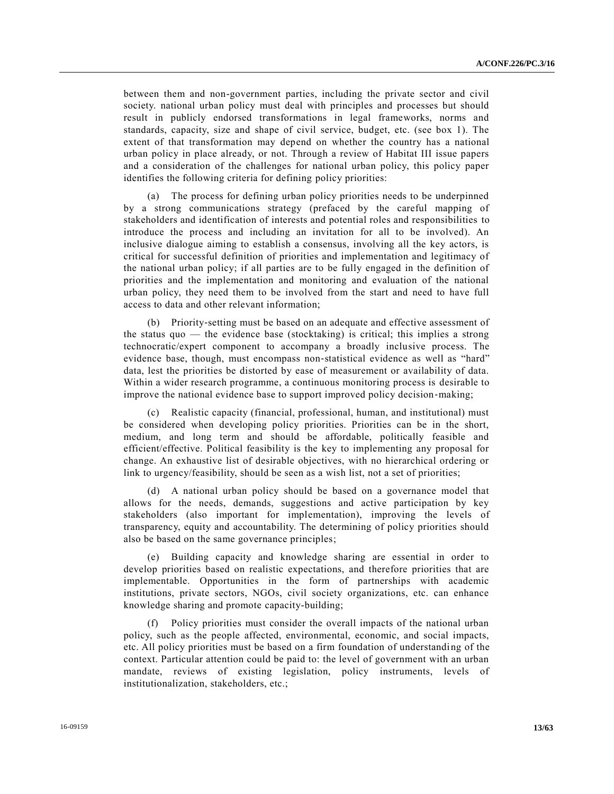between them and non-government parties, including the private sector and civil society. national urban policy must deal with principles and processes but should result in publicly endorsed transformations in legal frameworks, norms and standards, capacity, size and shape of civil service, budget, etc. (see box 1). The extent of that transformation may depend on whether the country has a national urban policy in place already, or not. Through a review of Habitat III issue papers and a consideration of the challenges for national urban policy, this policy paper identifies the following criteria for defining policy priorities:

(a) The process for defining urban policy priorities needs to be underpinned by a strong communications strategy (prefaced by the careful mapping of stakeholders and identification of interests and potential roles and responsibilities to introduce the process and including an invitation for all to be involved). An inclusive dialogue aiming to establish a consensus, involving all the key actors, is critical for successful definition of priorities and implementation and legitimacy of the national urban policy; if all parties are to be fully engaged in the definition of priorities and the implementation and monitoring and evaluation of the national urban policy, they need them to be involved from the start and need to have full access to data and other relevant information;

(b) Priority‐setting must be based on an adequate and effective assessment of the status quo — the evidence base (stocktaking) is critical; this implies a strong technocratic/expert component to accompany a broadly inclusive process. The evidence base, though, must encompass non‐statistical evidence as well as "hard" data, lest the priorities be distorted by ease of measurement or availability of data. Within a wider research programme, a continuous monitoring process is desirable to improve the national evidence base to support improved policy decision–making;

(c) Realistic capacity (financial, professional, human, and institutional) must be considered when developing policy priorities. Priorities can be in the short, medium, and long term and should be affordable, politically feasible and efficient/effective. Political feasibility is the key to implementing any proposal for change. An exhaustive list of desirable objectives, with no hierarchical ordering or link to urgency/feasibility, should be seen as a wish list, not a set of priorities;

(d) A national urban policy should be based on a governance model that allows for the needs, demands, suggestions and active participation by key stakeholders (also important for implementation), improving the levels of transparency, equity and accountability. The determining of policy priorities should also be based on the same governance principles;

(e) Building capacity and knowledge sharing are essential in order to develop priorities based on realistic expectations, and therefore priorities that are implementable. Opportunities in the form of partnerships with academic institutions, private sectors, NGOs, civil society organizations, etc. can enhance knowledge sharing and promote capacity-building;

(f) Policy priorities must consider the overall impacts of the national urban policy, such as the people affected, environmental, economic, and social impacts, etc. All policy priorities must be based on a firm foundation of understanding of the context. Particular attention could be paid to: the level of government with an urban mandate, reviews of existing legislation, policy instruments, levels of institutionalization, stakeholders, etc.;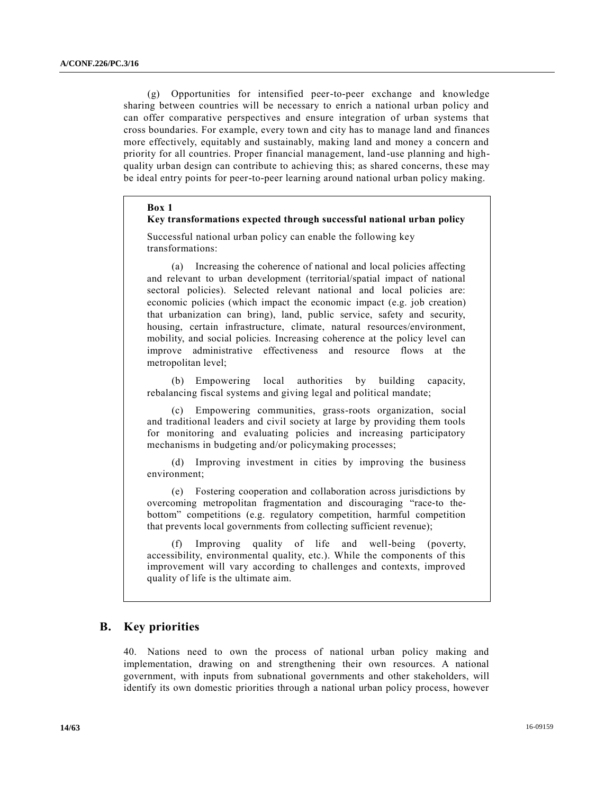(g) Opportunities for intensified peer-to-peer exchange and knowledge sharing between countries will be necessary to enrich a national urban policy and can offer comparative perspectives and ensure integration of urban systems that cross boundaries. For example, every town and city has to manage land and finances more effectively, equitably and sustainably, making land and money a concern and priority for all countries. Proper financial management, land-use planning and highquality urban design can contribute to achieving this; as shared concerns, these may be ideal entry points for peer-to-peer learning around national urban policy making.

#### **Box 1**

#### **Key transformations expected through successful national urban policy**

Successful national urban policy can enable the following key transformations:

(a) Increasing the coherence of national and local policies affecting and relevant to urban development (territorial/spatial impact of national sectoral policies). Selected relevant national and local policies are: economic policies (which impact the economic impact (e.g. job creation) that urbanization can bring), land, public service, safety and security, housing, certain infrastructure, climate, natural resources/environment, mobility, and social policies. Increasing coherence at the policy level can improve administrative effectiveness and resource flows at the metropolitan level;

(b) Empowering local authorities by building capacity, rebalancing fiscal systems and giving legal and political mandate;

(c) Empowering communities, grass-roots organization, social and traditional leaders and civil society at large by providing them tools for monitoring and evaluating policies and increasing participatory mechanisms in budgeting and/or policymaking processes;

(d) Improving investment in cities by improving the business environment;

(e) Fostering cooperation and collaboration across jurisdictions by overcoming metropolitan fragmentation and discouraging "race‐to the‐ bottom" competitions (e.g. regulatory competition, harmful competition that prevents local governments from collecting sufficient revenue);

(f) Improving quality of life and well-being (poverty, accessibility, environmental quality, etc.). While the components of this improvement will vary according to challenges and contexts, improved quality of life is the ultimate aim.

## **B. Key priorities**

40. Nations need to own the process of national urban policy making and implementation, drawing on and strengthening their own resources. A national government, with inputs from subnational governments and other stakeholders, will identify its own domestic priorities through a national urban policy process, however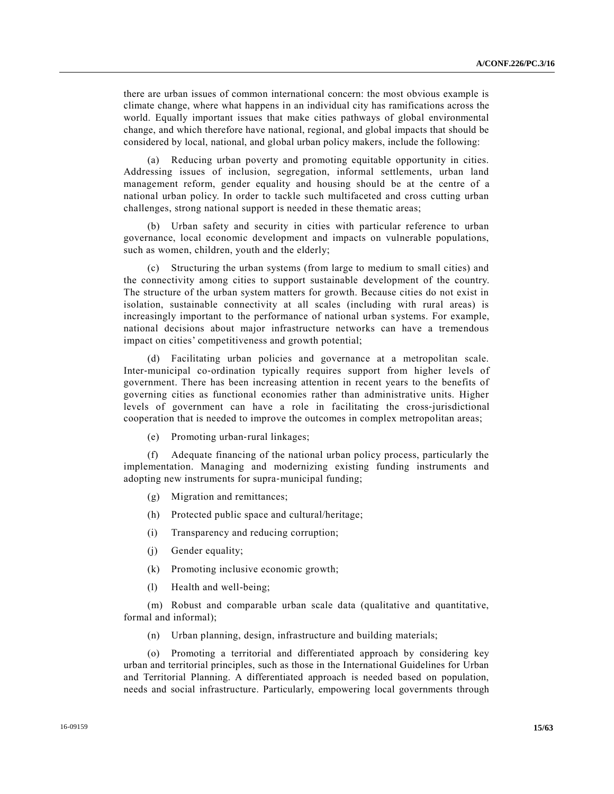there are urban issues of common international concern: the most obvious example is climate change, where what happens in an individual city has ramifications across the world. Equally important issues that make cities pathways of global environmental change, and which therefore have national, regional, and global impacts that should be considered by local, national, and global urban policy makers, include the following:

(a) Reducing urban poverty and promoting equitable opportunity in cities. Addressing issues of inclusion, segregation, informal settlements, urban land management reform, gender equality and housing should be at the centre of a national urban policy. In order to tackle such multifaceted and cross cutting urban challenges, strong national support is needed in these thematic areas;

(b) Urban safety and security in cities with particular reference to urban governance, local economic development and impacts on vulnerable populations, such as women, children, youth and the elderly;

(c) Structuring the urban systems (from large to medium to small cities) and the connectivity among cities to support sustainable development of the country. The structure of the urban system matters for growth. Because cities do not exist in isolation, sustainable connectivity at all scales (including with rural areas) is increasingly important to the performance of national urban systems. For example, national decisions about major infrastructure networks can have a tremendous impact on cities' competitiveness and growth potential;

(d) Facilitating urban policies and governance at a metropolitan scale. Inter-municipal co-ordination typically requires support from higher levels of government. There has been increasing attention in recent years to the benefits of governing cities as functional economies rather than administrative units. Higher levels of government can have a role in facilitating the cross-jurisdictional cooperation that is needed to improve the outcomes in complex metropolitan areas;

(e) Promoting urban‐rural linkages;

(f) Adequate financing of the national urban policy process, particularly the implementation. Managing and modernizing existing funding instruments and adopting new instruments for supra‐municipal funding;

- (g) Migration and remittances;
- (h) Protected public space and cultural/heritage;
- (i) Transparency and reducing corruption;
- (j) Gender equality;
- (k) Promoting inclusive economic growth;
- (l) Health and well-being;

(m) Robust and comparable urban scale data (qualitative and quantitative, formal and informal);

(n) Urban planning, design, infrastructure and building materials;

Promoting a territorial and differentiated approach by considering key urban and territorial principles, such as those in the International Guidelines for Urban and Territorial Planning. A differentiated approach is needed based on population, needs and social infrastructure. Particularly, empowering local governments through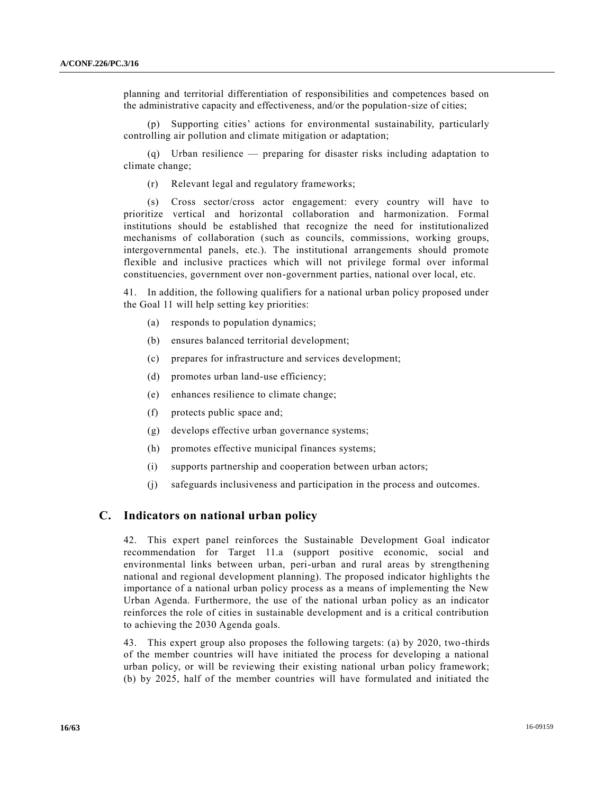planning and territorial differentiation of responsibilities and competences based on the administrative capacity and effectiveness, and/or the population‐size of cities;

(p) Supporting cities' actions for environmental sustainability, particularly controlling air pollution and climate mitigation or adaptation;

(q) Urban resilience — preparing for disaster risks including adaptation to climate change;

(r) Relevant legal and regulatory frameworks;

(s) Cross sector/cross actor engagement: every country will have to prioritize vertical and horizontal collaboration and harmonization. Formal institutions should be established that recognize the need for institutionalized mechanisms of collaboration (such as councils, commissions, working groups, intergovernmental panels, etc.). The institutional arrangements should promote flexible and inclusive practices which will not privilege formal over informal constituencies, government over non-government parties, national over local, etc.

41. In addition, the following qualifiers for a national urban policy proposed under the Goal 11 will help setting key priorities:

- (a) responds to population dynamics;
- (b) ensures balanced territorial development;
- (c) prepares for infrastructure and services development;
- (d) promotes urban land-use efficiency;
- (e) enhances resilience to climate change;
- (f) protects public space and;
- (g) develops effective urban governance systems;
- (h) promotes effective municipal finances systems;
- (i) supports partnership and cooperation between urban actors;
- (j) safeguards inclusiveness and participation in the process and outcomes.

## **C. Indicators on national urban policy**

42. This expert panel reinforces the Sustainable Development Goal indicator recommendation for Target 11.a (support positive economic, social and environmental links between urban, peri-urban and rural areas by strengthening national and regional development planning). The proposed indicator highlights t he importance of a national urban policy process as a means of implementing the New Urban Agenda. Furthermore, the use of the national urban policy as an indicator reinforces the role of cities in sustainable development and is a critical contribution to achieving the 2030 Agenda goals.

43. This expert group also proposes the following targets: (a) by 2020, two -thirds of the member countries will have initiated the process for developing a national urban policy, or will be reviewing their existing national urban policy framework; (b) by 2025, half of the member countries will have formulated and initiated the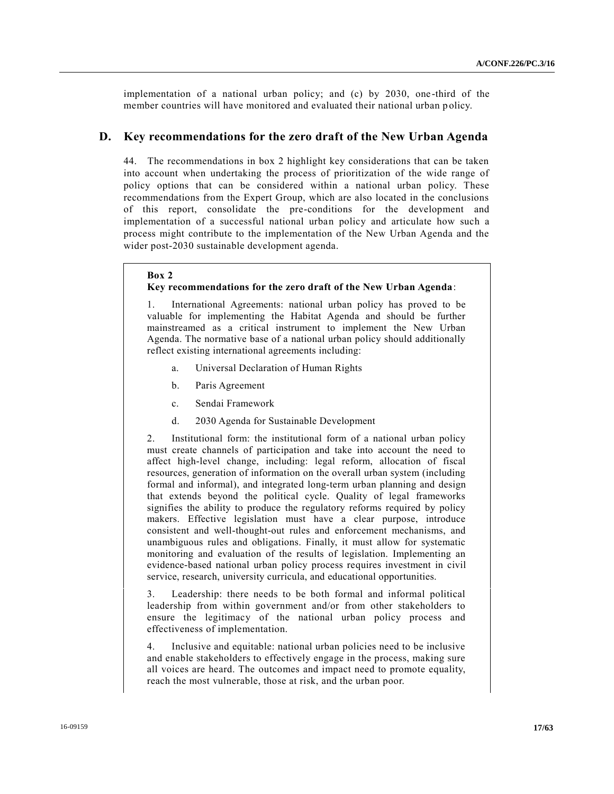implementation of a national urban policy; and (c) by 2030, one -third of the member countries will have monitored and evaluated their national urban p olicy.

## **D. Key recommendations for the zero draft of the New Urban Agenda**

44. The recommendations in box 2 highlight key considerations that can be taken into account when undertaking the process of prioritization of the wide range of policy options that can be considered within a national urban policy. These recommendations from the Expert Group, which are also located in the conclusions of this report, consolidate the pre-conditions for the development and implementation of a successful national urban policy and articulate how such a process might contribute to the implementation of the New Urban Agenda and the wider post-2030 sustainable development agenda.

#### **Box 2**

## **Key recommendations for the zero draft of the New Urban Agenda**:

International Agreements: national urban policy has proved to be valuable for implementing the Habitat Agenda and should be further mainstreamed as a critical instrument to implement the New Urban Agenda. The normative base of a national urban policy should additionally reflect existing international agreements including:

- a. Universal Declaration of Human Rights
- b. Paris Agreement
- c. Sendai Framework
- d. 2030 Agenda for Sustainable Development

2. Institutional form: the institutional form of a national urban policy must create channels of participation and take into account the need to affect high-level change, including: legal reform, allocation of fiscal resources, generation of information on the overall urban system (including formal and informal), and integrated long-term urban planning and design that extends beyond the political cycle. Quality of legal frameworks signifies the ability to produce the regulatory reforms required by policy makers. Effective legislation must have a clear purpose, introduce consistent and well-thought-out rules and enforcement mechanisms, and unambiguous rules and obligations. Finally, it must allow for systematic monitoring and evaluation of the results of legislation. Implementing an evidence-based national urban policy process requires investment in civil service, research, university curricula, and educational opportunities.

3. Leadership: there needs to be both formal and informal political leadership from within government and/or from other stakeholders to ensure the legitimacy of the national urban policy process and effectiveness of implementation.

4. Inclusive and equitable: national urban policies need to be inclusive and enable stakeholders to effectively engage in the process, making sure all voices are heard. The outcomes and impact need to promote equality, reach the most vulnerable, those at risk, and the urban poor.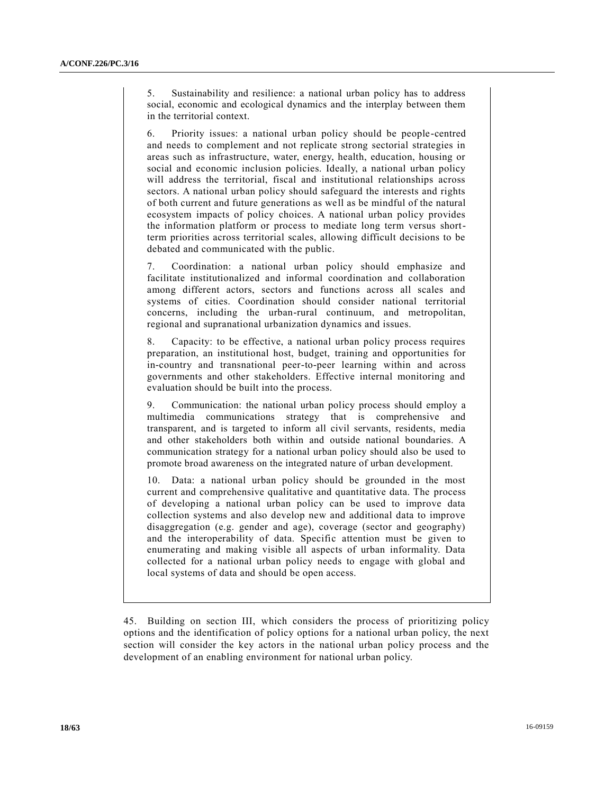5. Sustainability and resilience: a national urban policy has to address social, economic and ecological dynamics and the interplay between them in the territorial context.

6. Priority issues: a national urban policy should be people-centred and needs to complement and not replicate strong sectorial strategies in areas such as infrastructure, water, energy, health, education, housing or social and economic inclusion policies. Ideally, a national urban policy will address the territorial, fiscal and institutional relationships across sectors. A national urban policy should safeguard the interests and rights of both current and future generations as well as be mindful of the natural ecosystem impacts of policy choices. A national urban policy provides the information platform or process to mediate long term versus shortterm priorities across territorial scales, allowing difficult decisions to be debated and communicated with the public.

7. Coordination: a national urban policy should emphasize and facilitate institutionalized and informal coordination and collaboration among different actors, sectors and functions across all scales and systems of cities. Coordination should consider national territorial concerns, including the urban-rural continuum, and metropolitan, regional and supranational urbanization dynamics and issues.

8. Capacity: to be effective, a national urban policy process requires preparation, an institutional host, budget, training and opportunities for in-country and transnational peer-to-peer learning within and across governments and other stakeholders. Effective internal monitoring and evaluation should be built into the process.

9. Communication: the national urban policy process should employ a multimedia communications strategy that is comprehensive and transparent, and is targeted to inform all civil servants, residents, media and other stakeholders both within and outside national boundaries. A communication strategy for a national urban policy should also be used to promote broad awareness on the integrated nature of urban development.

10. Data: a national urban policy should be grounded in the most current and comprehensive qualitative and quantitative data. The process of developing a national urban policy can be used to improve data collection systems and also develop new and additional data to improve disaggregation (e.g. gender and age), coverage (sector and geography) and the interoperability of data. Specific attention must be given to enumerating and making visible all aspects of urban informality. Data collected for a national urban policy needs to engage with global and local systems of data and should be open access.

45. Building on section III, which considers the process of prioritizing policy options and the identification of policy options for a national urban policy, the next section will consider the key actors in the national urban policy process and the development of an enabling environment for national urban policy.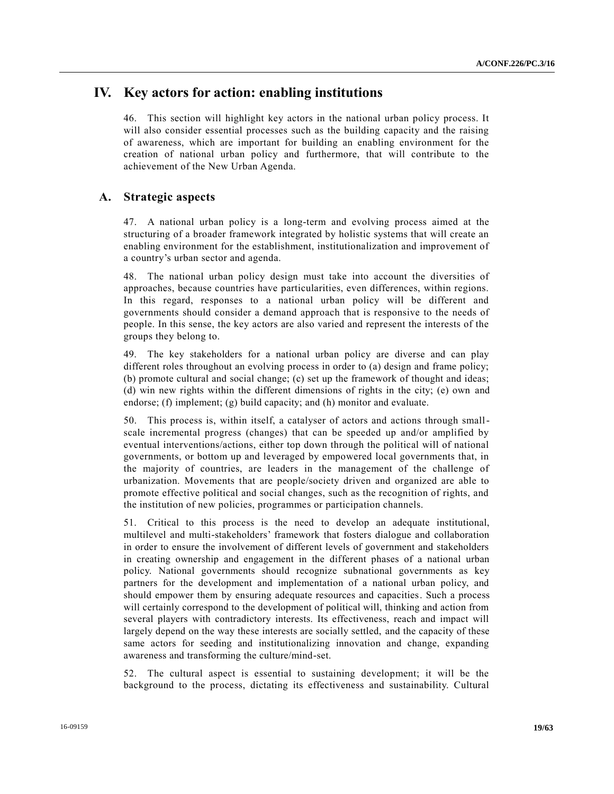# **IV. Key actors for action: enabling institutions**

46. This section will highlight key actors in the national urban policy process. It will also consider essential processes such as the building capacity and the raising of awareness, which are important for building an enabling environment for the creation of national urban policy and furthermore, that will contribute to the achievement of the New Urban Agenda.

## **A. Strategic aspects**

47. A national urban policy is a long-term and evolving process aimed at the structuring of a broader framework integrated by holistic systems that will create an enabling environment for the establishment, institutionalization and improvement of a country's urban sector and agenda.

48. The national urban policy design must take into account the diversities of approaches, because countries have particularities, even differences, within regions. In this regard, responses to a national urban policy will be different and governments should consider a demand approach that is responsive to the needs of people. In this sense, the key actors are also varied and represent the interests of the groups they belong to.

49. The key stakeholders for a national urban policy are diverse and can play different roles throughout an evolving process in order to (a) design and frame policy; (b) promote cultural and social change; (c) set up the framework of thought and ideas; (d) win new rights within the different dimensions of rights in the city; (e) own and endorse; (f) implement; (g) build capacity; and (h) monitor and evaluate.

50. This process is, within itself, a catalyser of actors and actions through smallscale incremental progress (changes) that can be speeded up and/or amplified by eventual interventions/actions, either top down through the political will of national governments, or bottom up and leveraged by empowered local governments that, in the majority of countries, are leaders in the management of the challenge of urbanization. Movements that are people/society driven and organized are able to promote effective political and social changes, such as the recognition of rights, and the institution of new policies, programmes or participation channels.

51. Critical to this process is the need to develop an adequate institutional, multilevel and multi-stakeholders' framework that fosters dialogue and collaboration in order to ensure the involvement of different levels of government and stakeholders in creating ownership and engagement in the different phases of a national urban policy. National governments should recognize subnational governments as key partners for the development and implementation of a national urban policy, and should empower them by ensuring adequate resources and capacities. Such a process will certainly correspond to the development of political will, thinking and action from several players with contradictory interests. Its effectiveness, reach and impact will largely depend on the way these interests are socially settled, and the capacity of these same actors for seeding and institutionalizing innovation and change, expanding awareness and transforming the culture/mind-set.

52. The cultural aspect is essential to sustaining development; it will be the background to the process, dictating its effectiveness and sustainability. Cultural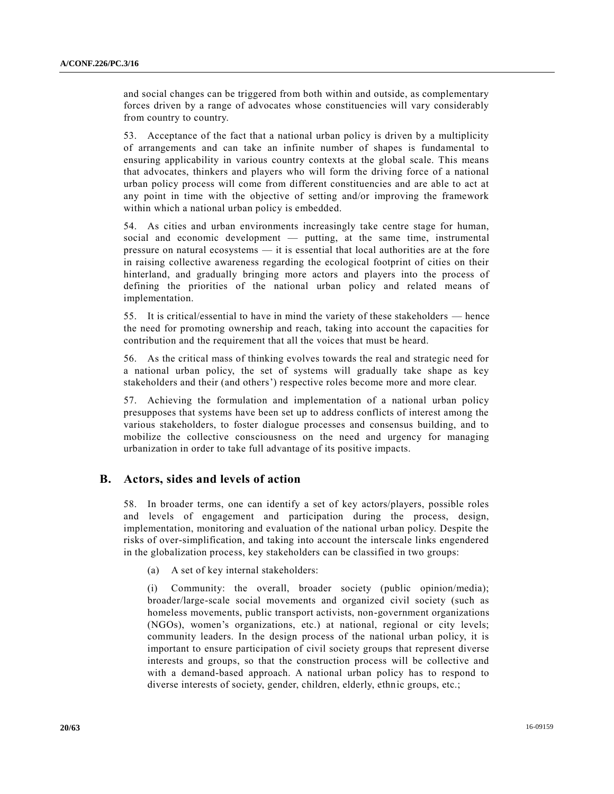and social changes can be triggered from both within and outside, as complementary forces driven by a range of advocates whose constituencies will vary considerably from country to country.

53. Acceptance of the fact that a national urban policy is driven by a multiplicity of arrangements and can take an infinite number of shapes is fundamental to ensuring applicability in various country contexts at the global scale. This means that advocates, thinkers and players who will form the driving force of a national urban policy process will come from different constituencies and are able to act at any point in time with the objective of setting and/or improving the framework within which a national urban policy is embedded.

54. As cities and urban environments increasingly take centre stage for human, social and economic development — putting, at the same time, instrumental pressure on natural ecosystems — it is essential that local authorities are at the fore in raising collective awareness regarding the ecological footprint of cities on their hinterland, and gradually bringing more actors and players into the process of defining the priorities of the national urban policy and related means of implementation.

55. It is critical/essential to have in mind the variety of these stakeholders — hence the need for promoting ownership and reach, taking into account the capacities for contribution and the requirement that all the voices that must be heard.

56. As the critical mass of thinking evolves towards the real and strategic need for a national urban policy, the set of systems will gradually take shape as key stakeholders and their (and others') respective roles become more and more clear.

57. Achieving the formulation and implementation of a national urban policy presupposes that systems have been set up to address conflicts of interest among the various stakeholders, to foster dialogue processes and consensus building, and to mobilize the collective consciousness on the need and urgency for managing urbanization in order to take full advantage of its positive impacts.

# **B. Actors, sides and levels of action**

58. In broader terms, one can identify a set of key actors/players, possible roles and levels of engagement and participation during the process, design, implementation, monitoring and evaluation of the national urban policy. Despite the risks of over-simplification, and taking into account the interscale links engendered in the globalization process, key stakeholders can be classified in two groups:

(a) A set of key internal stakeholders:

(i) Community: the overall, broader society (public opinion/media); broader/large-scale social movements and organized civil society (such as homeless movements, public transport activists, non-government organizations (NGOs), women's organizations, etc.) at national, regional or city levels; community leaders. In the design process of the national urban policy, it is important to ensure participation of civil society groups that represent diverse interests and groups, so that the construction process will be collective and with a demand-based approach. A national urban policy has to respond to diverse interests of society, gender, children, elderly, ethnic groups, etc.;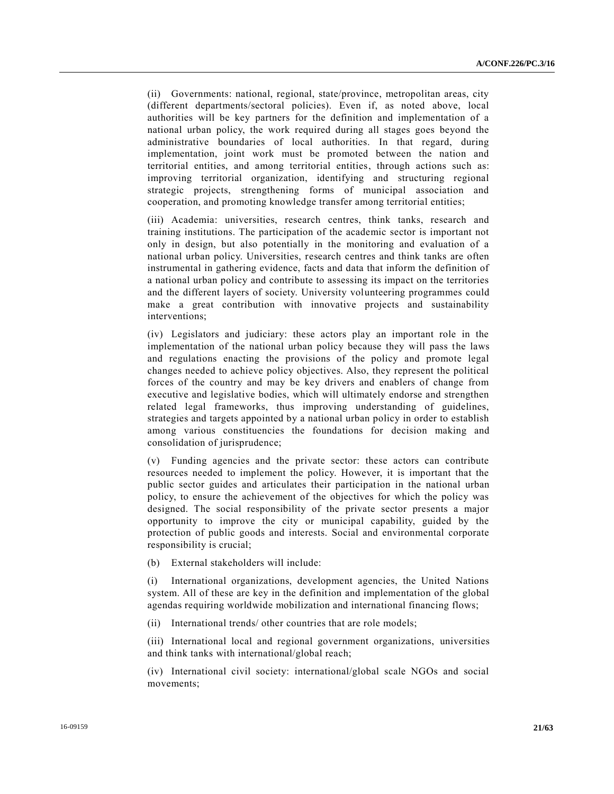(ii) Governments: national, regional, state/province, metropolitan areas, city (different departments/sectoral policies). Even if, as noted above, local authorities will be key partners for the definition and implementation of a national urban policy, the work required during all stages goes beyond the administrative boundaries of local authorities. In that regard, during implementation, joint work must be promoted between the nation and territorial entities, and among territorial entities, through actions such as: improving territorial organization, identifying and structuring regional strategic projects, strengthening forms of municipal association and cooperation, and promoting knowledge transfer among territorial entities;

(iii) Academia: universities, research centres, think tanks, research and training institutions. The participation of the academic sector is important not only in design, but also potentially in the monitoring and evaluation of a national urban policy. Universities, research centres and think tanks are often instrumental in gathering evidence, facts and data that inform the definition of a national urban policy and contribute to assessing its impact on the territories and the different layers of society. University volunteering programmes could make a great contribution with innovative projects and sustainability interventions;

(iv) Legislators and judiciary: these actors play an important role in the implementation of the national urban policy because they will pass the laws and regulations enacting the provisions of the policy and promote legal changes needed to achieve policy objectives. Also, they represent the political forces of the country and may be key drivers and enablers of change from executive and legislative bodies, which will ultimately endorse and strengthen related legal frameworks, thus improving understanding of guidelines, strategies and targets appointed by a national urban policy in order to establish among various constituencies the foundations for decision making and consolidation of jurisprudence;

(v) Funding agencies and the private sector: these actors can contribute resources needed to implement the policy. However, it is important that the public sector guides and articulates their participation in the national urban policy, to ensure the achievement of the objectives for which the policy was designed. The social responsibility of the private sector presents a major opportunity to improve the city or municipal capability, guided by the protection of public goods and interests. Social and environmental corporate responsibility is crucial;

(b) External stakeholders will include:

(i) International organizations, development agencies, the United Nations system. All of these are key in the definition and implementation of the global agendas requiring worldwide mobilization and international financing flows;

(ii) International trends/ other countries that are role models;

(iii) International local and regional government organizations, universities and think tanks with international/global reach;

(iv) International civil society: international/global scale NGOs and social movements;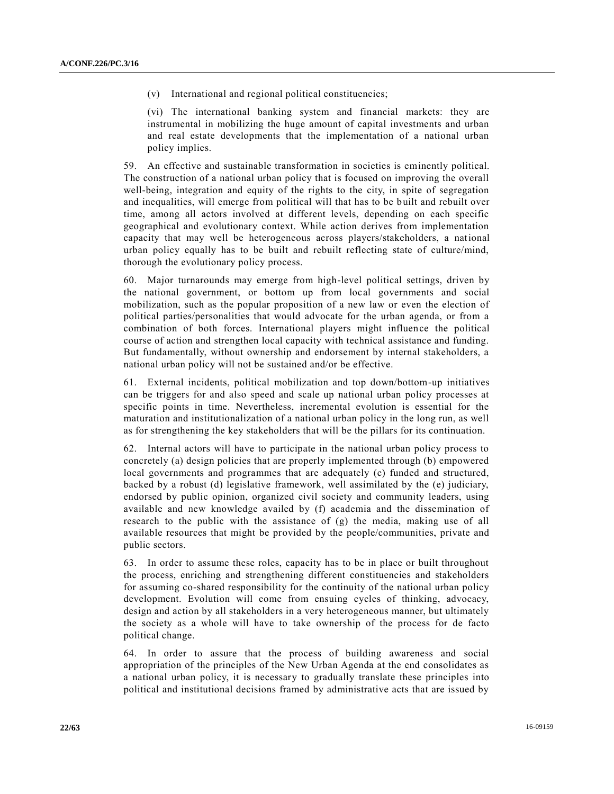(v) International and regional political constituencies;

(vi) The international banking system and financial markets: they are instrumental in mobilizing the huge amount of capital investments and urban and real estate developments that the implementation of a national urban policy implies.

59. An effective and sustainable transformation in societies is eminently political. The construction of a national urban policy that is focused on improving the overall well-being, integration and equity of the rights to the city, in spite of segregation and inequalities, will emerge from political will that has to be built and rebuilt over time, among all actors involved at different levels, depending on each specific geographical and evolutionary context. While action derives from implementation capacity that may well be heterogeneous across players/stakeholders, a national urban policy equally has to be built and rebuilt reflecting state of culture/mind, thorough the evolutionary policy process.

60. Major turnarounds may emerge from high-level political settings, driven by the national government, or bottom up from local governments and social mobilization, such as the popular proposition of a new law or even the election of political parties/personalities that would advocate for the urban agenda, or from a combination of both forces. International players might influence the political course of action and strengthen local capacity with technical assistance and funding. But fundamentally, without ownership and endorsement by internal stakeholders, a national urban policy will not be sustained and/or be effective.

61. External incidents, political mobilization and top down/bottom-up initiatives can be triggers for and also speed and scale up national urban policy processes at specific points in time. Nevertheless, incremental evolution is essential for the maturation and institutionalization of a national urban policy in the long run, as well as for strengthening the key stakeholders that will be the pillars for its continuation.

62. Internal actors will have to participate in the national urban policy process to concretely (a) design policies that are properly implemented through (b) empowered local governments and programmes that are adequately (c) funded and structured, backed by a robust (d) legislative framework, well assimilated by the (e) judiciary, endorsed by public opinion, organized civil society and community leaders, using available and new knowledge availed by (f) academia and the dissemination of research to the public with the assistance of (g) the media, making use of all available resources that might be provided by the people/communities, private and public sectors.

63. In order to assume these roles, capacity has to be in place or built throughout the process, enriching and strengthening different constituencies and stakeholders for assuming co-shared responsibility for the continuity of the national urban policy development. Evolution will come from ensuing cycles of thinking, advocacy, design and action by all stakeholders in a very heterogeneous manner, but ultimately the society as a whole will have to take ownership of the process for de facto political change.

64. In order to assure that the process of building awareness and social appropriation of the principles of the New Urban Agenda at the end consolidates as a national urban policy, it is necessary to gradually translate these principles into political and institutional decisions framed by administrative acts that are issued by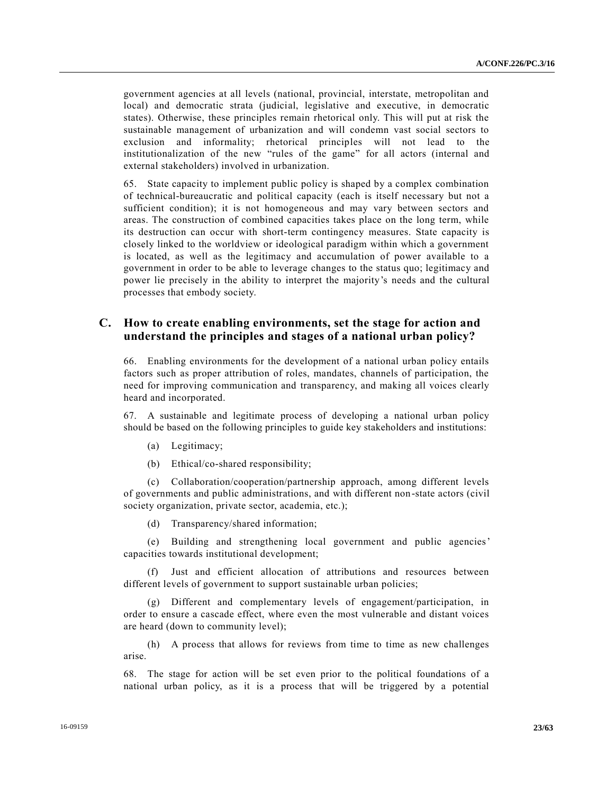government agencies at all levels (national, provincial, interstate, metropolitan and local) and democratic strata (judicial, legislative and executive, in democratic states). Otherwise, these principles remain rhetorical only. This will put at risk the sustainable management of urbanization and will condemn vast social sectors to exclusion and informality; rhetorical principles will not lead to the institutionalization of the new "rules of the game" for all actors (internal and external stakeholders) involved in urbanization.

65. State capacity to implement public policy is shaped by a complex combination of technical-bureaucratic and political capacity (each is itself necessary but not a sufficient condition); it is not homogeneous and may vary between sectors and areas. The construction of combined capacities takes place on the long term, while its destruction can occur with short-term contingency measures. State capacity is closely linked to the worldview or ideological paradigm within which a government is located, as well as the legitimacy and accumulation of power available to a government in order to be able to leverage changes to the status quo; legitimacy and power lie precisely in the ability to interpret the majority's needs and the cultural processes that embody society.

## **C. How to create enabling environments, set the stage for action and understand the principles and stages of a national urban policy?**

66. Enabling environments for the development of a national urban policy entails factors such as proper attribution of roles, mandates, channels of participation, the need for improving communication and transparency, and making all voices clearly heard and incorporated.

67. A sustainable and legitimate process of developing a national urban policy should be based on the following principles to guide key stakeholders and institutions:

- (a) Legitimacy;
- (b) Ethical/co-shared responsibility;

(c) Collaboration/cooperation/partnership approach, among different levels of governments and public administrations, and with different non-state actors (civil society organization, private sector, academia, etc.);

(d) Transparency/shared information;

(e) Building and strengthening local government and public agencies' capacities towards institutional development;

(f) Just and efficient allocation of attributions and resources between different levels of government to support sustainable urban policies;

(g) Different and complementary levels of engagement/participation, in order to ensure a cascade effect, where even the most vulnerable and distant voices are heard (down to community level);

(h) A process that allows for reviews from time to time as new challenges arise.

68. The stage for action will be set even prior to the political foundations of a national urban policy, as it is a process that will be triggered by a potential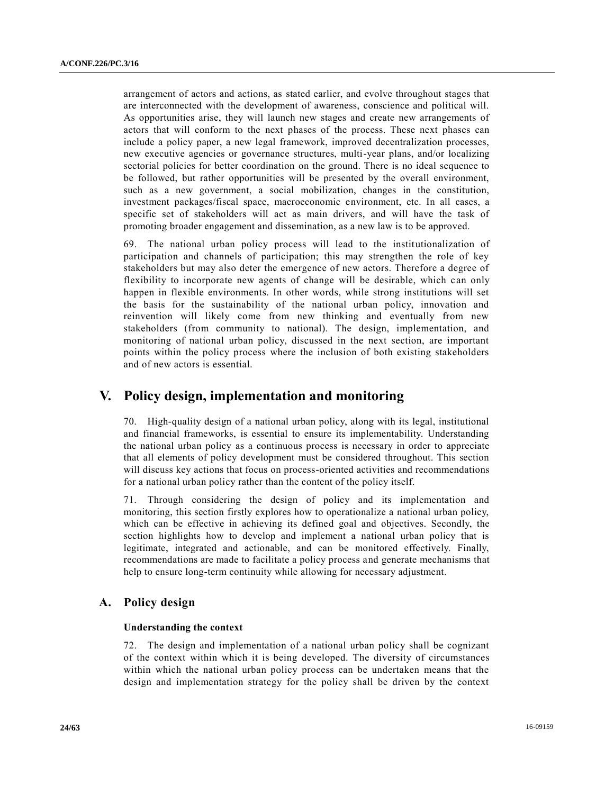arrangement of actors and actions, as stated earlier, and evolve throughout stages that are interconnected with the development of awareness, conscience and political will. As opportunities arise, they will launch new stages and create new arrangements of actors that will conform to the next phases of the process. These next phases can include a policy paper, a new legal framework, improved decentralization processes, new executive agencies or governance structures, multi-year plans, and/or localizing sectorial policies for better coordination on the ground. There is no ideal sequence to be followed, but rather opportunities will be presented by the overall environment, such as a new government, a social mobilization, changes in the constitution, investment packages/fiscal space, macroeconomic environment, etc. In all cases, a specific set of stakeholders will act as main drivers, and will have the task of promoting broader engagement and dissemination, as a new law is to be approved.

69. The national urban policy process will lead to the institutionalization of participation and channels of participation; this may strengthen the role of key stakeholders but may also deter the emergence of new actors. Therefore a degree of flexibility to incorporate new agents of change will be desirable, which can only happen in flexible environments. In other words, while strong institutions will set the basis for the sustainability of the national urban policy, innovation and reinvention will likely come from new thinking and eventually from new stakeholders (from community to national). The design, implementation, and monitoring of national urban policy, discussed in the next section, are important points within the policy process where the inclusion of both existing stakeholders and of new actors is essential.

# **V. Policy design, implementation and monitoring**

70. High-quality design of a national urban policy, along with its legal, institutional and financial frameworks, is essential to ensure its implementability. Understanding the national urban policy as a continuous process is necessary in order to appreciate that all elements of policy development must be considered throughout. This section will discuss key actions that focus on process-oriented activities and recommendations for a national urban policy rather than the content of the policy itself.

71. Through considering the design of policy and its implementation and monitoring, this section firstly explores how to operationalize a national urban policy, which can be effective in achieving its defined goal and objectives. Secondly, the section highlights how to develop and implement a national urban policy that is legitimate, integrated and actionable, and can be monitored effectively. Finally, recommendations are made to facilitate a policy process and generate mechanisms that help to ensure long-term continuity while allowing for necessary adjustment.

# **A. Policy design**

## **Understanding the context**

72. The design and implementation of a national urban policy shall be cognizant of the context within which it is being developed. The diversity of circumstances within which the national urban policy process can be undertaken means that the design and implementation strategy for the policy shall be driven by the context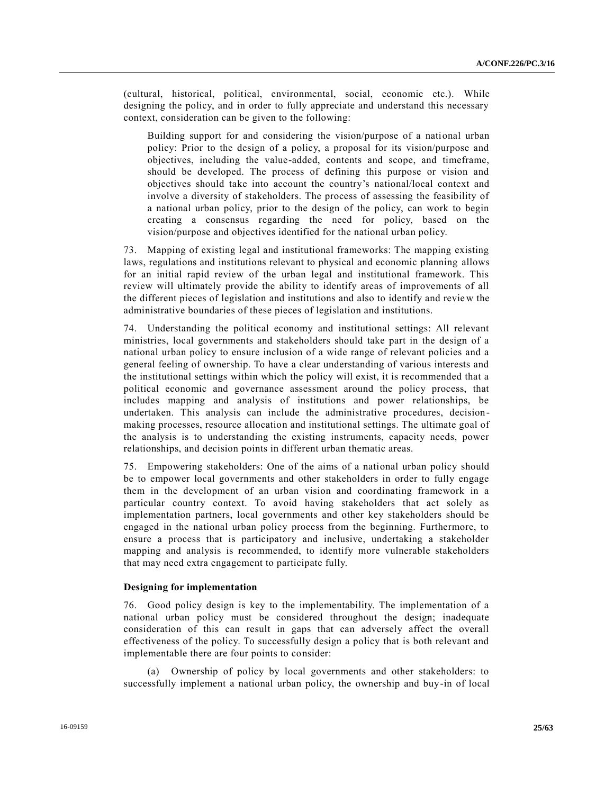(cultural, historical, political, environmental, social, economic etc.). While designing the policy, and in order to fully appreciate and understand this necessary context, consideration can be given to the following:

Building support for and considering the vision/purpose of a national urban policy: Prior to the design of a policy, a proposal for its vision/purpose and objectives, including the value-added, contents and scope, and timeframe, should be developed. The process of defining this purpose or vision and objectives should take into account the country's national/local context and involve a diversity of stakeholders. The process of assessing the feasibility of a national urban policy, prior to the design of the policy, can work to begin creating a consensus regarding the need for policy, based on the vision/purpose and objectives identified for the national urban policy.

73. Mapping of existing legal and institutional frameworks: The mapping existing laws, regulations and institutions relevant to physical and economic planning allows for an initial rapid review of the urban legal and institutional framework. This review will ultimately provide the ability to identify areas of improvements of all the different pieces of legislation and institutions and also to identify and revie w the administrative boundaries of these pieces of legislation and institutions.

74. Understanding the political economy and institutional settings: All relevant ministries, local governments and stakeholders should take part in the design of a national urban policy to ensure inclusion of a wide range of relevant policies and a general feeling of ownership. To have a clear understanding of various interests and the institutional settings within which the policy will exist, it is recommended that a political economic and governance assessment around the policy process, that includes mapping and analysis of institutions and power relationships, be undertaken. This analysis can include the administrative procedures, decisionmaking processes, resource allocation and institutional settings. The ultimate goal of the analysis is to understanding the existing instruments, capacity needs, power relationships, and decision points in different urban thematic areas.

75. Empowering stakeholders: One of the aims of a national urban policy should be to empower local governments and other stakeholders in order to fully engage them in the development of an urban vision and coordinating framework in a particular country context. To avoid having stakeholders that act solely as implementation partners, local governments and other key stakeholders should be engaged in the national urban policy process from the beginning. Furthermore, to ensure a process that is participatory and inclusive, undertaking a stakeholder mapping and analysis is recommended, to identify more vulnerable stakeholders that may need extra engagement to participate fully.

#### **Designing for implementation**

76. Good policy design is key to the implementability. The implementation of a national urban policy must be considered throughout the design; inadequate consideration of this can result in gaps that can adversely affect the overall effectiveness of the policy. To successfully design a policy that is both relevant and implementable there are four points to consider:

(a) Ownership of policy by local governments and other stakeholders: to successfully implement a national urban policy, the ownership and buy-in of local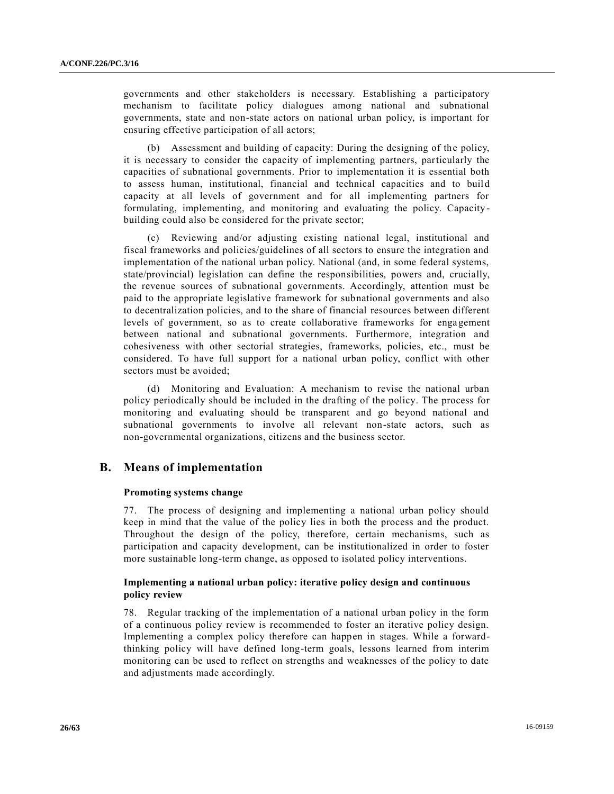governments and other stakeholders is necessary. Establishing a participatory mechanism to facilitate policy dialogues among national and subnational governments, state and non-state actors on national urban policy, is important for ensuring effective participation of all actors;

(b) Assessment and building of capacity: During the designing of the policy, it is necessary to consider the capacity of implementing partners, particularly the capacities of subnational governments. Prior to implementation it is essential both to assess human, institutional, financial and technical capacities and to build capacity at all levels of government and for all implementing partners for formulating, implementing, and monitoring and evaluating the policy. Capacity building could also be considered for the private sector;

(c) Reviewing and/or adjusting existing national legal, institutional and fiscal frameworks and policies/guidelines of all sectors to ensure the integration and implementation of the national urban policy. National (and, in some federal systems, state/provincial) legislation can define the responsibilities, powers and, crucially, the revenue sources of subnational governments. Accordingly, attention must be paid to the appropriate legislative framework for subnational governments and also to decentralization policies, and to the share of financial resources between different levels of government, so as to create collaborative frameworks for engagement between national and subnational governments. Furthermore, integration and cohesiveness with other sectorial strategies, frameworks, policies, etc., must be considered. To have full support for a national urban policy, conflict with other sectors must be avoided;

(d) Monitoring and Evaluation: A mechanism to revise the national urban policy periodically should be included in the drafting of the policy. The process for monitoring and evaluating should be transparent and go beyond national and subnational governments to involve all relevant non-state actors, such as non-governmental organizations, citizens and the business sector.

# **B. Means of implementation**

## **Promoting systems change**

77. The process of designing and implementing a national urban policy should keep in mind that the value of the policy lies in both the process and the product. Throughout the design of the policy, therefore, certain mechanisms, such as participation and capacity development, can be institutionalized in order to foster more sustainable long-term change, as opposed to isolated policy interventions.

## **Implementing a national urban policy: iterative policy design and continuous policy review**

78. Regular tracking of the implementation of a national urban policy in the form of a continuous policy review is recommended to foster an iterative policy design. Implementing a complex policy therefore can happen in stages. While a forwardthinking policy will have defined long-term goals, lessons learned from interim monitoring can be used to reflect on strengths and weaknesses of the policy to date and adjustments made accordingly.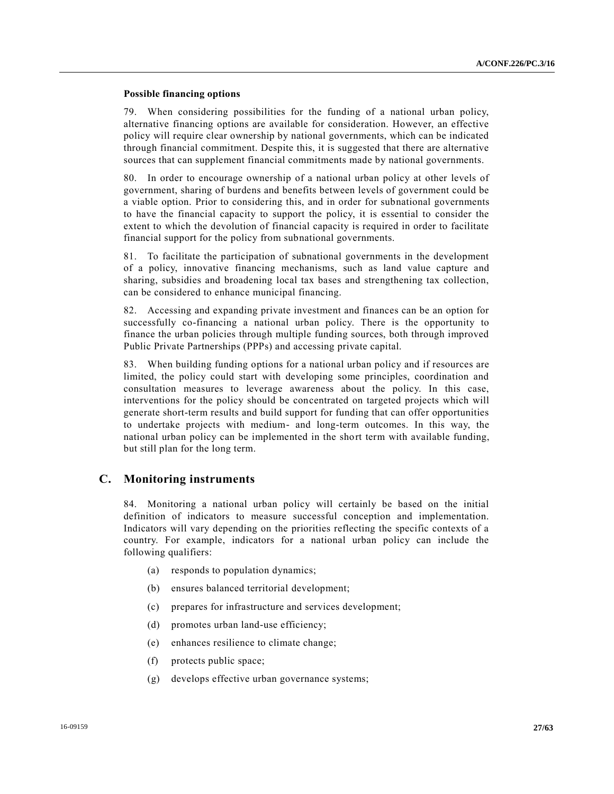## **Possible financing options**

79. When considering possibilities for the funding of a national urban policy, alternative financing options are available for consideration. However, an effective policy will require clear ownership by national governments, which can be indicated through financial commitment. Despite this, it is suggested that there are alternative sources that can supplement financial commitments made by national governments.

80. In order to encourage ownership of a national urban policy at other levels of government, sharing of burdens and benefits between levels of government could be a viable option. Prior to considering this, and in order for subnational governments to have the financial capacity to support the policy, it is essential to consider the extent to which the devolution of financial capacity is required in order to facilitate financial support for the policy from subnational governments.

81. To facilitate the participation of subnational governments in the development of a policy, innovative financing mechanisms, such as land value capture and sharing, subsidies and broadening local tax bases and strengthening tax collection, can be considered to enhance municipal financing.

82. Accessing and expanding private investment and finances can be an option for successfully co-financing a national urban policy. There is the opportunity to finance the urban policies through multiple funding sources, both through improved Public Private Partnerships (PPPs) and accessing private capital.

83. When building funding options for a national urban policy and if resources are limited, the policy could start with developing some principles, coordination and consultation measures to leverage awareness about the policy. In this case, interventions for the policy should be concentrated on targeted projects which will generate short-term results and build support for funding that can offer opportunities to undertake projects with medium- and long-term outcomes. In this way, the national urban policy can be implemented in the short term with available funding, but still plan for the long term.

## **C. Monitoring instruments**

84. Monitoring a national urban policy will certainly be based on the initial definition of indicators to measure successful conception and implementation. Indicators will vary depending on the priorities reflecting the specific contexts of a country. For example, indicators for a national urban policy can include the following qualifiers:

- (a) responds to population dynamics;
- (b) ensures balanced territorial development;
- (c) prepares for infrastructure and services development;
- (d) promotes urban land-use efficiency;
- (e) enhances resilience to climate change;
- (f) protects public space;
- (g) develops effective urban governance systems;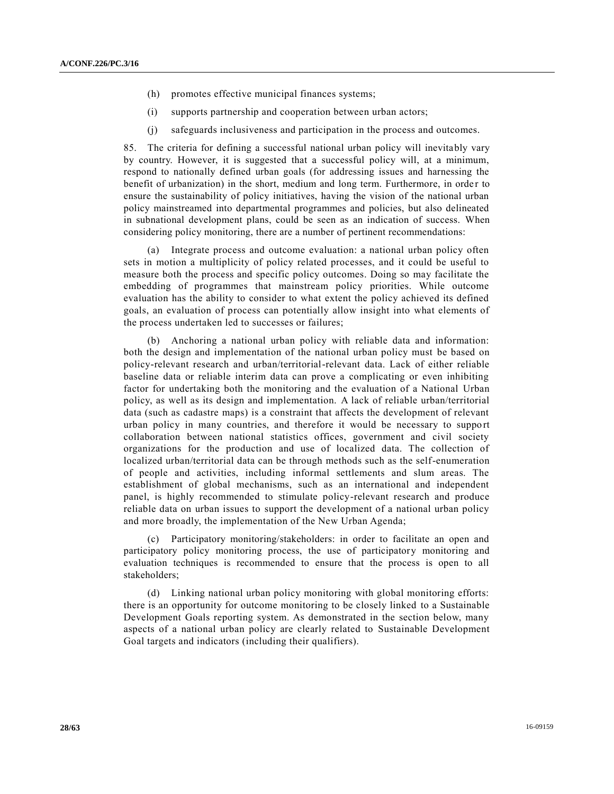- (h) promotes effective municipal finances systems;
- (i) supports partnership and cooperation between urban actors;
- (j) safeguards inclusiveness and participation in the process and outcomes.

85. The criteria for defining a successful national urban policy will inevitably vary by country. However, it is suggested that a successful policy will, at a minimum, respond to nationally defined urban goals (for addressing issues and harnessing the benefit of urbanization) in the short, medium and long term. Furthermore, in order to ensure the sustainability of policy initiatives, having the vision of the national urban policy mainstreamed into departmental programmes and policies, but also delineated in subnational development plans, could be seen as an indication of success. When considering policy monitoring, there are a number of pertinent recommendations:

(a) Integrate process and outcome evaluation: a national urban policy often sets in motion a multiplicity of policy related processes, and it could be useful to measure both the process and specific policy outcomes. Doing so may facilitate the embedding of programmes that mainstream policy priorities. While outcome evaluation has the ability to consider to what extent the policy achieved its defined goals, an evaluation of process can potentially allow insight into what elements of the process undertaken led to successes or failures;

(b) Anchoring a national urban policy with reliable data and information: both the design and implementation of the national urban policy must be based on policy-relevant research and urban/territorial-relevant data. Lack of either reliable baseline data or reliable interim data can prove a complicating or even inhibiting factor for undertaking both the monitoring and the evaluation of a National Urban policy, as well as its design and implementation. A lack of reliable urban/territorial data (such as cadastre maps) is a constraint that affects the development of relevant urban policy in many countries, and therefore it would be necessary to support collaboration between national statistics offices, government and civil society organizations for the production and use of localized data. The collection of localized urban/territorial data can be through methods such as the self-enumeration of people and activities, including informal settlements and slum areas. The establishment of global mechanisms, such as an international and independent panel, is highly recommended to stimulate policy-relevant research and produce reliable data on urban issues to support the development of a national urban policy and more broadly, the implementation of the New Urban Agenda;

(c) Participatory monitoring/stakeholders: in order to facilitate an open and participatory policy monitoring process, the use of participatory monitoring and evaluation techniques is recommended to ensure that the process is open to all stakeholders;

(d) Linking national urban policy monitoring with global monitoring efforts: there is an opportunity for outcome monitoring to be closely linked to a Sustainable Development Goals reporting system. As demonstrated in the section below, many aspects of a national urban policy are clearly related to Sustainable Development Goal targets and indicators (including their qualifiers).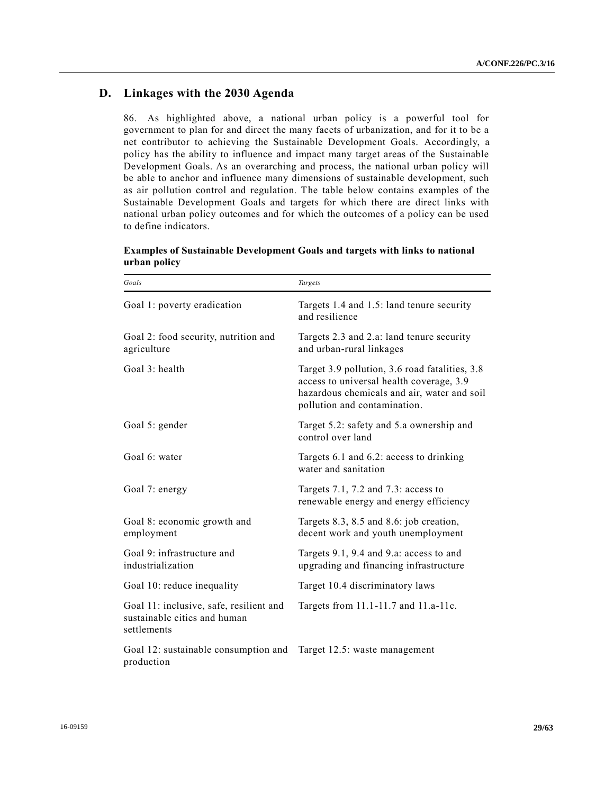# **D. Linkages with the 2030 Agenda**

86. As highlighted above, a national urban policy is a powerful tool for government to plan for and direct the many facets of urbanization, and for it to be a net contributor to achieving the Sustainable Development Goals. Accordingly, a policy has the ability to influence and impact many target areas of the Sustainable Development Goals. As an overarching and process, the national urban policy will be able to anchor and influence many dimensions of sustainable development, such as air pollution control and regulation. The table below contains examples of the Sustainable Development Goals and targets for which there are direct links with national urban policy outcomes and for which the outcomes of a policy can be used to define indicators.

| Goals                                                                                  | Targets                                                                                                                                                                   |
|----------------------------------------------------------------------------------------|---------------------------------------------------------------------------------------------------------------------------------------------------------------------------|
| Goal 1: poverty eradication                                                            | Targets 1.4 and 1.5: land tenure security<br>and resilience                                                                                                               |
| Goal 2: food security, nutrition and<br>agriculture                                    | Targets 2.3 and 2.a: land tenure security<br>and urban-rural linkages                                                                                                     |
| Goal $3$ : health                                                                      | Target 3.9 pollution, 3.6 road fatalities, 3.8<br>access to universal health coverage, 3.9<br>hazardous chemicals and air, water and soil<br>pollution and contamination. |
| Goal 5: gender                                                                         | Target 5.2: safety and 5.a ownership and<br>control over land                                                                                                             |
| Goal 6: water                                                                          | Targets 6.1 and 6.2: access to drinking<br>water and sanitation                                                                                                           |
| Goal 7: energy                                                                         | Targets 7.1, 7.2 and 7.3: access to<br>renewable energy and energy efficiency                                                                                             |
| Goal 8: economic growth and<br>employment                                              | Targets 8.3, 8.5 and 8.6: job creation,<br>decent work and youth unemployment                                                                                             |
| Goal 9: infrastructure and<br>industrialization                                        | Targets 9.1, 9.4 and 9.a: access to and<br>upgrading and financing infrastructure                                                                                         |
| Goal 10: reduce inequality                                                             | Target 10.4 discriminatory laws                                                                                                                                           |
| Goal 11: inclusive, safe, resilient and<br>sustainable cities and human<br>settlements | Targets from 11.1-11.7 and 11.a-11c.                                                                                                                                      |
| Goal 12: sustainable consumption and<br>production                                     | Target 12.5: waste management                                                                                                                                             |

**Examples of Sustainable Development Goals and targets with links to national urban policy**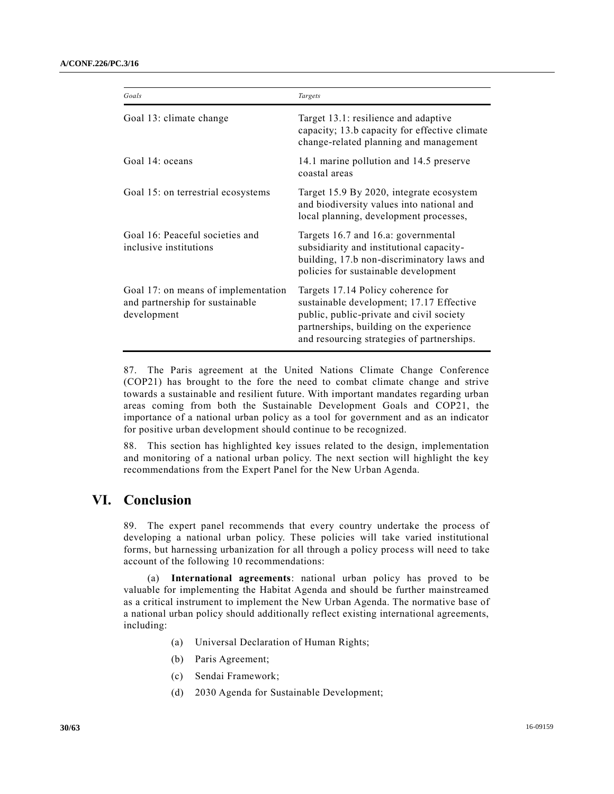| Goals                                                                                 | Targets                                                                                                                                                                                                              |
|---------------------------------------------------------------------------------------|----------------------------------------------------------------------------------------------------------------------------------------------------------------------------------------------------------------------|
| Goal 13: climate change                                                               | Target 13.1: resilience and adaptive<br>capacity; 13.b capacity for effective climate<br>change-related planning and management                                                                                      |
| Goal 14: oceans                                                                       | 14.1 marine pollution and 14.5 preserve<br>coastal areas                                                                                                                                                             |
| Goal 15: on terrestrial ecosystems                                                    | Target 15.9 By 2020, integrate ecosystem<br>and biodiversity values into national and<br>local planning, development processes,                                                                                      |
| Goal 16: Peaceful societies and<br>inclusive institutions                             | Targets 16.7 and 16.a: governmental<br>subsidiarity and institutional capacity-<br>building, 17.b non-discriminatory laws and<br>policies for sustainable development                                                |
| Goal 17: on means of implementation<br>and partnership for sustainable<br>development | Targets 17.14 Policy coherence for<br>sustainable development; 17.17 Effective<br>public, public-private and civil society<br>partnerships, building on the experience<br>and resourcing strategies of partnerships. |

87. The Paris agreement at the United Nations Climate Change Conference (COP21) has brought to the fore the need to combat climate change and strive towards a sustainable and resilient future. With important mandates regarding urban areas coming from both the Sustainable Development Goals and COP21, the importance of a national urban policy as a tool for government and as an indicator for positive urban development should continue to be recognized.

88. This section has highlighted key issues related to the design, implementation and monitoring of a national urban policy. The next section will highlight the key recommendations from the Expert Panel for the New Urban Agenda.

# **VI. Conclusion**

89. The expert panel recommends that every country undertake the process of developing a national urban policy. These policies will take varied institutional forms, but harnessing urbanization for all through a policy process will need to take account of the following 10 recommendations:

(a) **International agreements**: national urban policy has proved to be valuable for implementing the Habitat Agenda and should be further mainstreamed as a critical instrument to implement the New Urban Agenda. The normative base of a national urban policy should additionally reflect existing international agreements, including:

- (a) Universal Declaration of Human Rights;
- (b) Paris Agreement;
- (c) Sendai Framework;
- (d) 2030 Agenda for Sustainable Development;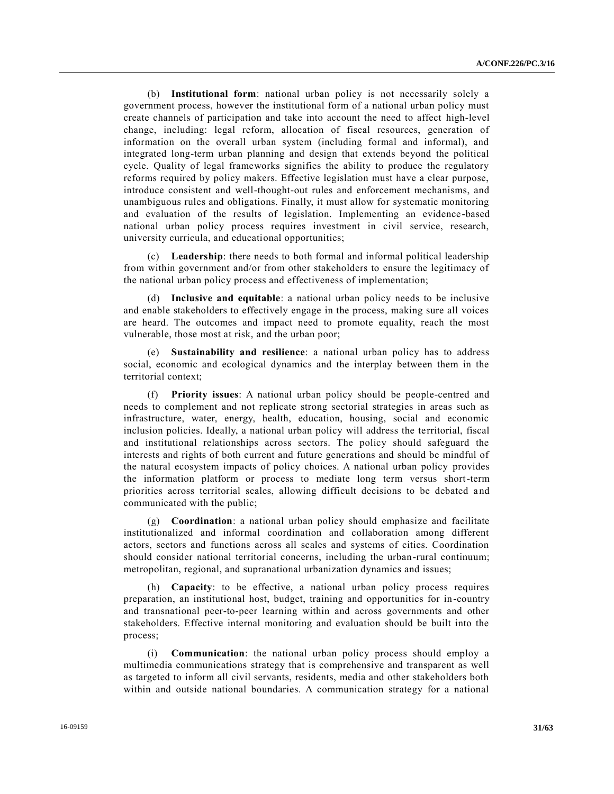(b) **Institutional form**: national urban policy is not necessarily solely a government process, however the institutional form of a national urban policy must create channels of participation and take into account the need to affect high-level change, including: legal reform, allocation of fiscal resources, generation of information on the overall urban system (including formal and informal), and integrated long-term urban planning and design that extends beyond the political cycle. Quality of legal frameworks signifies the ability to produce the regulatory reforms required by policy makers. Effective legislation must have a clear purpose, introduce consistent and well-thought-out rules and enforcement mechanisms, and unambiguous rules and obligations. Finally, it must allow for systematic monitoring and evaluation of the results of legislation. Implementing an evidence -based national urban policy process requires investment in civil service, research, university curricula, and educational opportunities;

(c) **Leadership**: there needs to both formal and informal political leadership from within government and/or from other stakeholders to ensure the legitimacy of the national urban policy process and effectiveness of implementation;

(d) **Inclusive and equitable**: a national urban policy needs to be inclusive and enable stakeholders to effectively engage in the process, making sure all voices are heard. The outcomes and impact need to promote equality, reach the most vulnerable, those most at risk, and the urban poor;

(e) **Sustainability and resilience**: a national urban policy has to address social, economic and ecological dynamics and the interplay between them in the territorial context;

(f) **Priority issues**: A national urban policy should be people-centred and needs to complement and not replicate strong sectorial strategies in areas such as infrastructure, water, energy, health, education, housing, social and economic inclusion policies. Ideally, a national urban policy will address the territorial, fiscal and institutional relationships across sectors. The policy should safeguard the interests and rights of both current and future generations and should be mindful of the natural ecosystem impacts of policy choices. A national urban policy provides the information platform or process to mediate long term versus short-term priorities across territorial scales, allowing difficult decisions to be debated a nd communicated with the public;

(g) **Coordination**: a national urban policy should emphasize and facilitate institutionalized and informal coordination and collaboration among different actors, sectors and functions across all scales and systems of cities. Coordination should consider national territorial concerns, including the urban-rural continuum; metropolitan, regional, and supranational urbanization dynamics and issues;

(h) **Capacity**: to be effective, a national urban policy process requires preparation, an institutional host, budget, training and opportunities for in -country and transnational peer-to-peer learning within and across governments and other stakeholders. Effective internal monitoring and evaluation should be built into the process;

**Communication**: the national urban policy process should employ a multimedia communications strategy that is comprehensive and transparent as well as targeted to inform all civil servants, residents, media and other stakeholders both within and outside national boundaries. A communication strategy for a national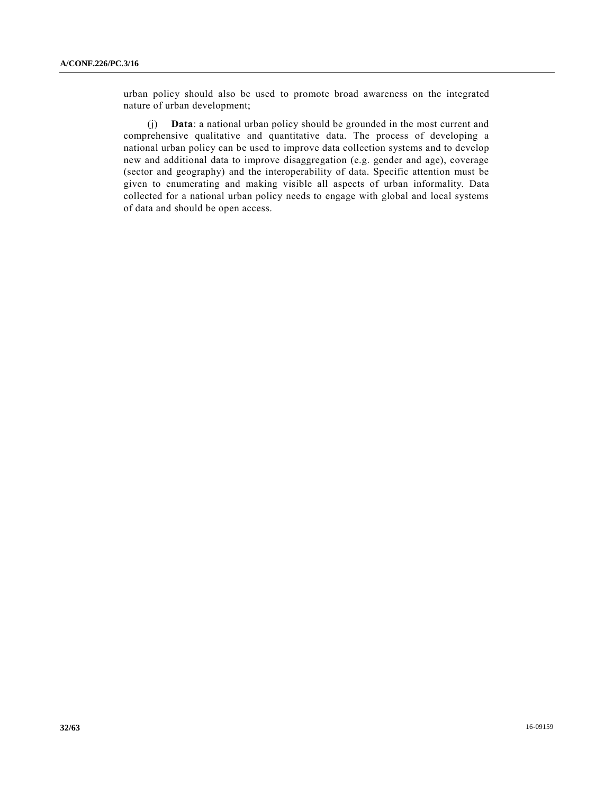urban policy should also be used to promote broad awareness on the integrated nature of urban development;

(j) **Data**: a national urban policy should be grounded in the most current and comprehensive qualitative and quantitative data. The process of developing a national urban policy can be used to improve data collection systems and to develop new and additional data to improve disaggregation (e.g. gender and age), coverage (sector and geography) and the interoperability of data. Specific attention must be given to enumerating and making visible all aspects of urban informality. Data collected for a national urban policy needs to engage with global and local systems of data and should be open access.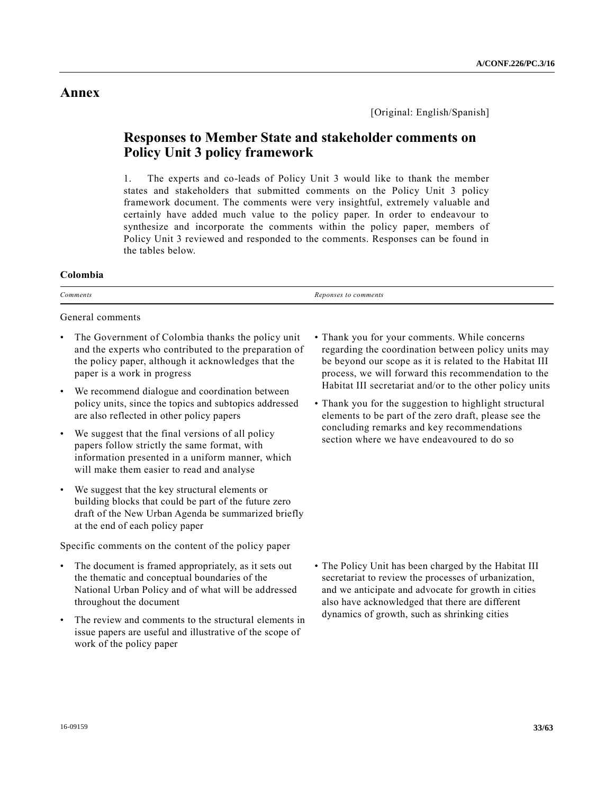# **Annex**

[Original: English/Spanish]

# **Responses to Member State and stakeholder comments on Policy Unit 3 policy framework**

1. The experts and co-leads of Policy Unit 3 would like to thank the member states and stakeholders that submitted comments on the Policy Unit 3 policy framework document. The comments were very insightful, extremely valuable and certainly have added much value to the policy paper. In order to endeavour to synthesize and incorporate the comments within the policy paper, members of Policy Unit 3 reviewed and responded to the comments. Responses can be found in the tables below.

## **Colombia**

| -<br>Comments <sup>-</sup><br>. | comments<br><i>Renonse</i><br>$\iota$ |
|---------------------------------|---------------------------------------|
|                                 |                                       |

General comments

- The Government of Colombia thanks the policy unit and the experts who contributed to the preparation of the policy paper, although it acknowledges that the paper is a work in progress
- We recommend dialogue and coordination between policy units, since the topics and subtopics addressed are also reflected in other policy papers
- We suggest that the final versions of all policy papers follow strictly the same format, with information presented in a uniform manner, which will make them easier to read and analyse
- We suggest that the key structural elements or building blocks that could be part of the future zero draft of the New Urban Agenda be summarized briefly at the end of each policy paper

Specific comments on the content of the policy paper

- The document is framed appropriately, as it sets out the thematic and conceptual boundaries of the National Urban Policy and of what will be addressed throughout the document
- The review and comments to the structural elements in issue papers are useful and illustrative of the scope of work of the policy paper
- Thank you for your comments. While concerns regarding the coordination between policy units may be beyond our scope as it is related to the Habitat III process, we will forward this recommendation to the Habitat III secretariat and/or to the other policy units
- Thank you for the suggestion to highlight structural elements to be part of the zero draft, please see the concluding remarks and key recommendations section where we have endeavoured to do so

• The Policy Unit has been charged by the Habitat III secretariat to review the processes of urbanization, and we anticipate and advocate for growth in cities also have acknowledged that there are different dynamics of growth, such as shrinking cities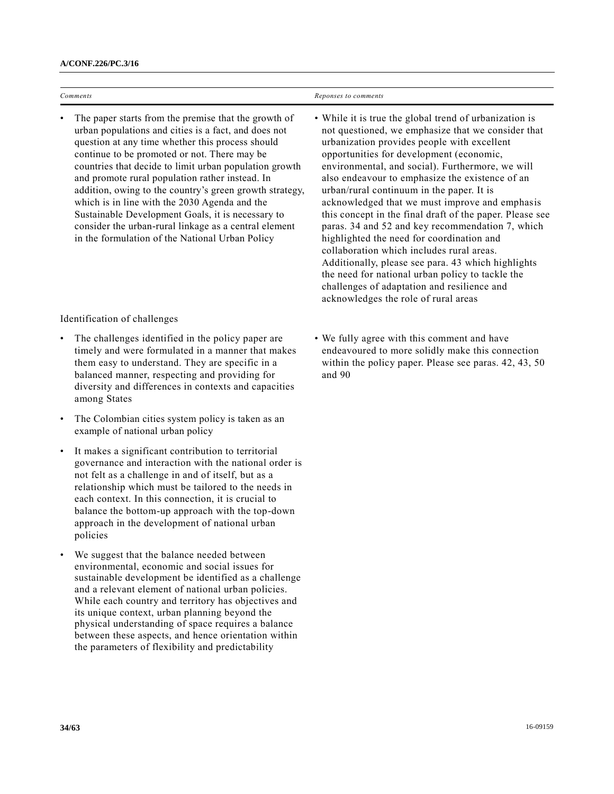| Comments                                                                                                                                                                                                                                                                                                                                                                                                                                                                                                                                                                                                   | Reponses to comments                                                                                                                                                                                                                                                                                                                                                                                                                                                                                                                                                                                                                                                                                                                                                                                                     |
|------------------------------------------------------------------------------------------------------------------------------------------------------------------------------------------------------------------------------------------------------------------------------------------------------------------------------------------------------------------------------------------------------------------------------------------------------------------------------------------------------------------------------------------------------------------------------------------------------------|--------------------------------------------------------------------------------------------------------------------------------------------------------------------------------------------------------------------------------------------------------------------------------------------------------------------------------------------------------------------------------------------------------------------------------------------------------------------------------------------------------------------------------------------------------------------------------------------------------------------------------------------------------------------------------------------------------------------------------------------------------------------------------------------------------------------------|
| The paper starts from the premise that the growth of<br>urban populations and cities is a fact, and does not<br>question at any time whether this process should<br>continue to be promoted or not. There may be<br>countries that decide to limit urban population growth<br>and promote rural population rather instead. In<br>addition, owing to the country's green growth strategy,<br>which is in line with the 2030 Agenda and the<br>Sustainable Development Goals, it is necessary to<br>consider the urban-rural linkage as a central element<br>in the formulation of the National Urban Policy | • While it is true the global trend of urbanization is<br>not questioned, we emphasize that we consider that<br>urbanization provides people with excellent<br>opportunities for development (economic,<br>environmental, and social). Furthermore, we will<br>also endeavour to emphasize the existence of an<br>urban/rural continuum in the paper. It is<br>acknowledged that we must improve and emphasis<br>this concept in the final draft of the paper. Please see<br>paras. 34 and 52 and key recommendation 7, which<br>highlighted the need for coordination and<br>collaboration which includes rural areas.<br>Additionally, please see para. 43 which highlights<br>the need for national urban policy to tackle the<br>challenges of adaptation and resilience and<br>acknowledges the role of rural areas |

Identification of challenges

- The challenges identified in the policy paper are timely and were formulated in a manner that makes them easy to understand. They are specific in a balanced manner, respecting and providing for diversity and differences in contexts and capacities among States
- The Colombian cities system policy is taken as an example of national urban policy
- It makes a significant contribution to territorial governance and interaction with the national order is not felt as a challenge in and of itself, but as a relationship which must be tailored to the needs in each context. In this connection, it is crucial to balance the bottom-up approach with the top-down approach in the development of national urban policies
- We suggest that the balance needed between environmental, economic and social issues for sustainable development be identified as a challenge and a relevant element of national urban policies. While each country and territory has objectives and its unique context, urban planning beyond the physical understanding of space requires a balance between these aspects, and hence orientation within the parameters of flexibility and predictability

• We fully agree with this comment and have endeavoured to more solidly make this connection within the policy paper. Please see paras. 42, 43, 50 and 90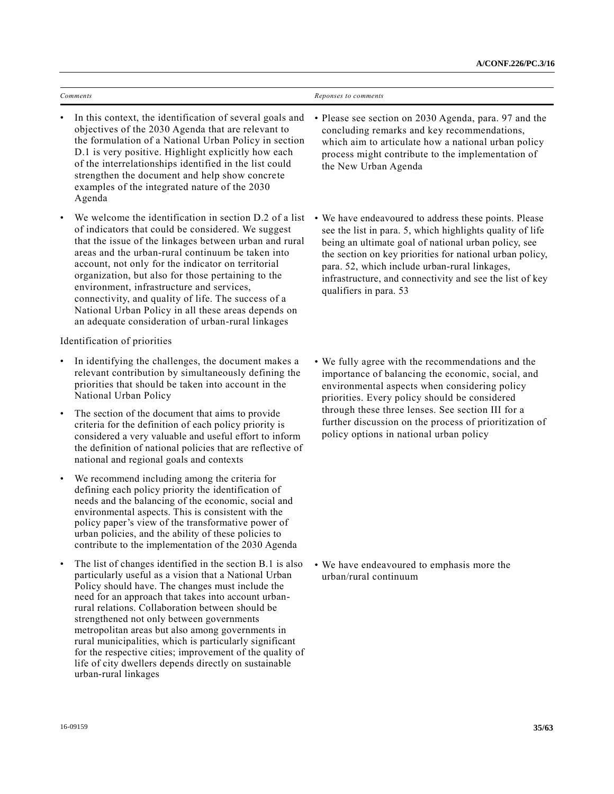|           | Comments                                                                                                                                                                                                                                                                                                                                                                                                                                                                                                                                                                                   | Reponses to comments                                                                                                                                                                                                                                                                                                                                                          |
|-----------|--------------------------------------------------------------------------------------------------------------------------------------------------------------------------------------------------------------------------------------------------------------------------------------------------------------------------------------------------------------------------------------------------------------------------------------------------------------------------------------------------------------------------------------------------------------------------------------------|-------------------------------------------------------------------------------------------------------------------------------------------------------------------------------------------------------------------------------------------------------------------------------------------------------------------------------------------------------------------------------|
|           | In this context, the identification of several goals and<br>objectives of the 2030 Agenda that are relevant to<br>the formulation of a National Urban Policy in section<br>D.1 is very positive. Highlight explicitly how each<br>of the interrelationships identified in the list could<br>strengthen the document and help show concrete<br>examples of the integrated nature of the 2030<br>Agenda                                                                                                                                                                                      | • Please see section on 2030 Agenda, para. 97 and the<br>concluding remarks and key recommendations,<br>which aim to articulate how a national urban policy<br>process might contribute to the implementation of<br>the New Urban Agenda                                                                                                                                      |
|           | We welcome the identification in section D.2 of a list<br>of indicators that could be considered. We suggest<br>that the issue of the linkages between urban and rural<br>areas and the urban-rural continuum be taken into<br>account, not only for the indicator on territorial<br>organization, but also for those pertaining to the<br>environment, infrastructure and services,<br>connectivity, and quality of life. The success of a<br>National Urban Policy in all these areas depends on<br>an adequate consideration of urban-rural linkages                                    | • We have endeavoured to address these points. Please<br>see the list in para. 5, which highlights quality of life<br>being an ultimate goal of national urban policy, see<br>the section on key priorities for national urban policy,<br>para. 52, which include urban-rural linkages,<br>infrastructure, and connectivity and see the list of key<br>qualifiers in para. 53 |
|           | Identification of priorities                                                                                                                                                                                                                                                                                                                                                                                                                                                                                                                                                               |                                                                                                                                                                                                                                                                                                                                                                               |
|           | In identifying the challenges, the document makes a<br>relevant contribution by simultaneously defining the<br>priorities that should be taken into account in the<br>National Urban Policy                                                                                                                                                                                                                                                                                                                                                                                                | • We fully agree with the recommendations and the<br>importance of balancing the economic, social, and<br>environmental aspects when considering policy<br>priorities. Every policy should be considered                                                                                                                                                                      |
| $\bullet$ | The section of the document that aims to provide<br>criteria for the definition of each policy priority is<br>considered a very valuable and useful effort to inform<br>the definition of national policies that are reflective of<br>national and regional goals and contexts                                                                                                                                                                                                                                                                                                             | through these three lenses. See section III for a<br>further discussion on the process of prioritization of<br>policy options in national urban policy                                                                                                                                                                                                                        |
| $\bullet$ | We recommend including among the criteria for<br>defining each policy priority the identification of<br>needs and the balancing of the economic, social and<br>environmental aspects. This is consistent with the<br>policy paper's view of the transformative power of<br>urban policies, and the ability of these policies to<br>contribute to the implementation of the 2030 Agenda                                                                                                                                                                                                     |                                                                                                                                                                                                                                                                                                                                                                               |
| $\bullet$ | The list of changes identified in the section B.1 is also<br>particularly useful as a vision that a National Urban<br>Policy should have. The changes must include the<br>need for an approach that takes into account urban-<br>rural relations. Collaboration between should be<br>strengthened not only between governments<br>metropolitan areas but also among governments in<br>rural municipalities, which is particularly significant<br>for the respective cities; improvement of the quality of<br>life of city dwellers depends directly on sustainable<br>urban-rural linkages | • We have endeavoured to emphasis more the<br>urban/rural continuum                                                                                                                                                                                                                                                                                                           |
|           |                                                                                                                                                                                                                                                                                                                                                                                                                                                                                                                                                                                            |                                                                                                                                                                                                                                                                                                                                                                               |
|           | 16-09159                                                                                                                                                                                                                                                                                                                                                                                                                                                                                                                                                                                   | 35/63                                                                                                                                                                                                                                                                                                                                                                         |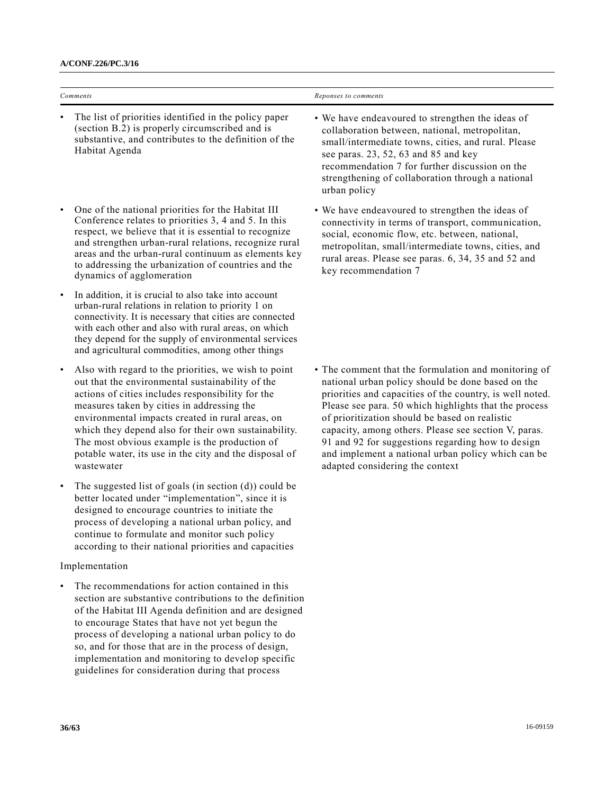Habitat Agenda

| Comments                                                                                                             | Reponses to comments                                                                               |
|----------------------------------------------------------------------------------------------------------------------|----------------------------------------------------------------------------------------------------|
| The list of priorities identified in the policy paper<br>$\bullet$<br>(section B.2) is properly circumscribed and is | • We have endeavoured to strengthen the ideas of<br>collaboration between, national, metropolitan. |

• One of the national priorities for the Habitat III Conference relates to priorities 3, 4 and 5. In this respect, we believe that it is essential to recognize and strengthen urban-rural relations, recognize rural areas and the urban-rural continuum as elements key to addressing the urbanization of countries and the dynamics of agglomeration

substantive, and contributes to the definition of the

- In addition, it is crucial to also take into account urban-rural relations in relation to priority 1 on connectivity. It is necessary that cities are connected with each other and also with rural areas, on which they depend for the supply of environmental services and agricultural commodities, among other things
- Also with regard to the priorities, we wish to point out that the environmental sustainability of the actions of cities includes responsibility for the measures taken by cities in addressing the environmental impacts created in rural areas, on which they depend also for their own sustainability. The most obvious example is the production of potable water, its use in the city and the disposal of wastewater
- The suggested list of goals (in section  $(d)$ ) could be better located under "implementation", since it is designed to encourage countries to initiate the process of developing a national urban policy, and continue to formulate and monitor such policy according to their national priorities and capacities

## Implementation

The recommendations for action contained in this section are substantive contributions to the definition of the Habitat III Agenda definition and are designed to encourage States that have not yet begun the process of developing a national urban policy to do so, and for those that are in the process of design, implementation and monitoring to develop specific guidelines for consideration during that process

# collaboration between, national, metropolitan, small/intermediate towns, cities, and rural. Please see paras. 23, 52, 63 and 85 and key recommendation 7 for further discussion on the strengthening of collaboration through a national urban policy

• We have endeavoured to strengthen the ideas of connectivity in terms of transport, communication, social, economic flow, etc. between, national, metropolitan, small/intermediate towns, cities, and rural areas. Please see paras. 6, 34, 35 and 52 and key recommendation 7

• The comment that the formulation and monitoring of national urban policy should be done based on the priorities and capacities of the country, is well noted. Please see para. 50 which highlights that the process of prioritization should be based on realistic capacity, among others. Please see section V, paras. 91 and 92 for suggestions regarding how to design and implement a national urban policy which can be adapted considering the context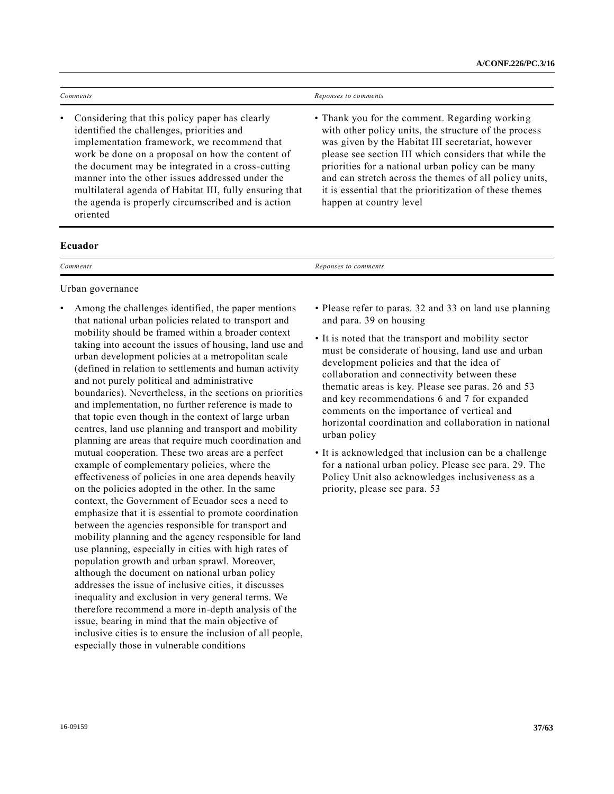| <b>Comments</b>                                                                                                                                                                                                                                                                                                                                                                                                                           | Reponses to comments                                                                                                                                                                                                                                                                                                                                                                                                        |
|-------------------------------------------------------------------------------------------------------------------------------------------------------------------------------------------------------------------------------------------------------------------------------------------------------------------------------------------------------------------------------------------------------------------------------------------|-----------------------------------------------------------------------------------------------------------------------------------------------------------------------------------------------------------------------------------------------------------------------------------------------------------------------------------------------------------------------------------------------------------------------------|
| Considering that this policy paper has clearly<br>٠<br>identified the challenges, priorities and<br>implementation framework, we recommend that<br>work be done on a proposal on how the content of<br>the document may be integrated in a cross-cutting<br>manner into the other issues addressed under the<br>multilateral agenda of Habitat III, fully ensuring that<br>the agenda is properly circumscribed and is action<br>oriented | • Thank you for the comment. Regarding working<br>with other policy units, the structure of the process<br>was given by the Habitat III secretariat, however<br>please see section III which considers that while the<br>priorities for a national urban policy can be many<br>and can stretch across the themes of all policy units,<br>it is essential that the prioritization of these themes<br>happen at country level |
| Ecuador                                                                                                                                                                                                                                                                                                                                                                                                                                   |                                                                                                                                                                                                                                                                                                                                                                                                                             |

Urban governance

• Among the challenges identified, the paper mentions that national urban policies related to transport and mobility should be framed within a broader context taking into account the issues of housing, land use and urban development policies at a metropolitan scale (defined in relation to settlements and human activity and not purely political and administrative boundaries). Nevertheless, in the sections on priorities and implementation, no further reference is made to that topic even though in the context of large urban centres, land use planning and transport and mobility planning are areas that require much coordination and mutual cooperation. These two areas are a perfect example of complementary policies, where the effectiveness of policies in one area depends heavily on the policies adopted in the other. In the same context, the Government of Ecuador sees a need to emphasize that it is essential to promote coordination between the agencies responsible for transport and mobility planning and the agency responsible for land use planning, especially in cities with high rates of population growth and urban sprawl. Moreover, although the document on national urban policy addresses the issue of inclusive cities, it discusses inequality and exclusion in very general terms. We therefore recommend a more in-depth analysis of the issue, bearing in mind that the main objective of inclusive cities is to ensure the inclusion of all people, especially those in vulnerable conditions

*Comments Reponses to comments*

- Please refer to paras. 32 and 33 on land use planning and para. 39 on housing
- It is noted that the transport and mobility sector must be considerate of housing, land use and urban development policies and that the idea of collaboration and connectivity between these thematic areas is key. Please see paras. 26 and 53 and key recommendations 6 and 7 for expanded comments on the importance of vertical and horizontal coordination and collaboration in national urban policy
- It is acknowledged that inclusion can be a challenge for a national urban policy. Please see para. 29. The Policy Unit also acknowledges inclusiveness as a priority, please see para. 53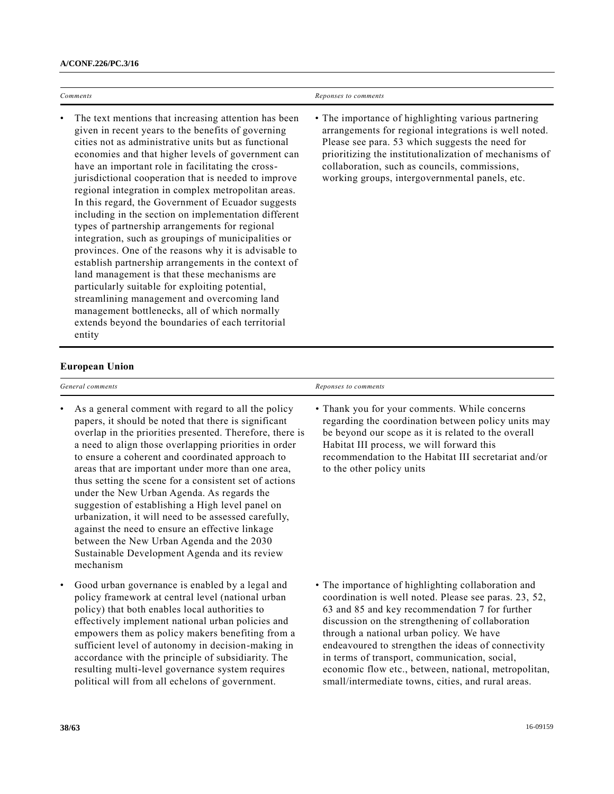| Comments                                                                                                                                                                                                                                                                                                                                                                                                                                                                                                                                                                                                                                                                                                                                                                                                                                                                                                                                                                                              | Reponses to comments                                                                                                                                                                                                                                                                                                         |
|-------------------------------------------------------------------------------------------------------------------------------------------------------------------------------------------------------------------------------------------------------------------------------------------------------------------------------------------------------------------------------------------------------------------------------------------------------------------------------------------------------------------------------------------------------------------------------------------------------------------------------------------------------------------------------------------------------------------------------------------------------------------------------------------------------------------------------------------------------------------------------------------------------------------------------------------------------------------------------------------------------|------------------------------------------------------------------------------------------------------------------------------------------------------------------------------------------------------------------------------------------------------------------------------------------------------------------------------|
| The text mentions that increasing attention has been<br>given in recent years to the benefits of governing<br>cities not as administrative units but as functional<br>economies and that higher levels of government can<br>have an important role in facilitating the cross-<br>jurisdictional cooperation that is needed to improve<br>regional integration in complex metropolitan areas.<br>In this regard, the Government of Ecuador suggests<br>including in the section on implementation different<br>types of partnership arrangements for regional<br>integration, such as groupings of municipalities or<br>provinces. One of the reasons why it is advisable to<br>establish partnership arrangements in the context of<br>land management is that these mechanisms are<br>particularly suitable for exploiting potential,<br>streamlining management and overcoming land<br>management bottlenecks, all of which normally<br>extends beyond the boundaries of each territorial<br>entity | • The importance of highlighting various partnering<br>arrangements for regional integrations is well noted.<br>Please see para. 53 which suggests the need for<br>prioritizing the institutionalization of mechanisms of<br>collaboration, such as councils, commissions,<br>working groups, intergovernmental panels, etc. |

#### **European Union**

mechanism

thus setting the scene for a consistent set of actions under the New Urban Agenda. As regards the suggestion of establishing a High level panel on urbanization, it will need to be assessed carefully, against the need to ensure an effective linkage between the New Urban Agenda and the 2030 Sustainable Development Agenda and its review

• Good urban governance is enabled by a legal and policy framework at central level (national urban policy) that both enables local authorities to effectively implement national urban policies and empowers them as policy makers benefiting from a sufficient level of autonomy in decision-making in accordance with the principle of subsidiarity. The resulting multi-level governance system requires political will from all echelons of government.

| General comments                                         | Reponses to comments                                 |
|----------------------------------------------------------|------------------------------------------------------|
| • As a general comment with regard to all the policy     | • Thank you for your comments. While concerns        |
| papers, it should be noted that there is significant     | regarding the coordination between policy units may  |
| overlap in the priorities presented. Therefore, there is | be beyond our scope as it is related to the overall  |
| a need to align those overlapping priorities in order    | Habitat III process, we will forward this            |
| to ensure a coherent and coordinated approach to         | recommendation to the Habitat III secretariat and/or |
| areas that are important under more than one area,       | to the other policy units                            |

• The importance of highlighting collaboration and coordination is well noted. Please see paras. 23, 52, 63 and 85 and key recommendation 7 for further discussion on the strengthening of collaboration through a national urban policy. We have endeavoured to strengthen the ideas of connectivity in terms of transport, communication, social, economic flow etc., between, national, metropolitan, small/intermediate towns, cities, and rural areas.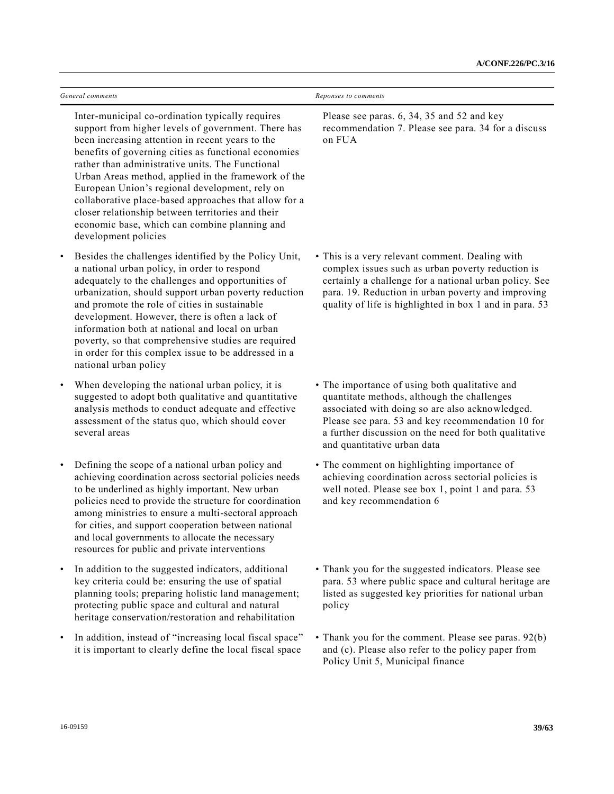| General comments                                                                                                                                                                                                                                                                                                                                                                                                                                                                                                                                                        | Reponses to comments                                                                                                                                                                                                                                                                          |
|-------------------------------------------------------------------------------------------------------------------------------------------------------------------------------------------------------------------------------------------------------------------------------------------------------------------------------------------------------------------------------------------------------------------------------------------------------------------------------------------------------------------------------------------------------------------------|-----------------------------------------------------------------------------------------------------------------------------------------------------------------------------------------------------------------------------------------------------------------------------------------------|
| Inter-municipal co-ordination typically requires<br>support from higher levels of government. There has<br>been increasing attention in recent years to the<br>benefits of governing cities as functional economies<br>rather than administrative units. The Functional<br>Urban Areas method, applied in the framework of the<br>European Union's regional development, rely on<br>collaborative place-based approaches that allow for a<br>closer relationship between territories and their<br>economic base, which can combine planning and<br>development policies | Please see paras. 6, 34, 35 and 52 and key<br>recommendation 7. Please see para. 34 for a discuss<br>on FUA                                                                                                                                                                                   |
| Besides the challenges identified by the Policy Unit,<br>a national urban policy, in order to respond<br>adequately to the challenges and opportunities of<br>urbanization, should support urban poverty reduction<br>and promote the role of cities in sustainable<br>development. However, there is often a lack of<br>information both at national and local on urban<br>poverty, so that comprehensive studies are required<br>in order for this complex issue to be addressed in a<br>national urban policy                                                        | • This is a very relevant comment. Dealing with<br>complex issues such as urban poverty reduction is<br>certainly a challenge for a national urban policy. See<br>para. 19. Reduction in urban poverty and improving<br>quality of life is highlighted in box 1 and in para. 53               |
| When developing the national urban policy, it is<br>$\bullet$<br>suggested to adopt both qualitative and quantitative<br>analysis methods to conduct adequate and effective<br>assessment of the status quo, which should cover<br>several areas                                                                                                                                                                                                                                                                                                                        | • The importance of using both qualitative and<br>quantitate methods, although the challenges<br>associated with doing so are also acknowledged.<br>Please see para. 53 and key recommendation 10 for<br>a further discussion on the need for both qualitative<br>and quantitative urban data |
| Defining the scope of a national urban policy and<br>$\bullet$<br>achieving coordination across sectorial policies needs<br>to be underlined as highly important. New urban<br>policies need to provide the structure for coordination<br>among ministries to ensure a multi-sectoral approach<br>for cities, and support cooperation between national<br>and local governments to allocate the necessary<br>resources for public and private interventions                                                                                                             | • The comment on highlighting importance of<br>achieving coordination across sectorial policies is<br>well noted. Please see box 1, point 1 and para. 53<br>and key recommendation 6                                                                                                          |
| In addition to the suggested indicators, additional<br>key criteria could be: ensuring the use of spatial<br>planning tools; preparing holistic land management;<br>protecting public space and cultural and natural<br>heritage conservation/restoration and rehabilitation                                                                                                                                                                                                                                                                                            | • Thank you for the suggested indicators. Please see<br>para. 53 where public space and cultural heritage are<br>listed as suggested key priorities for national urban<br>policy                                                                                                              |
| In addition, instead of "increasing local fiscal space"                                                                                                                                                                                                                                                                                                                                                                                                                                                                                                                 | • Thank you for the comment. Please see paras. 92(b)                                                                                                                                                                                                                                          |

it is important to clearly define the local fiscal space

and (c). Please also refer to the policy paper from

Policy Unit 5, Municipal finance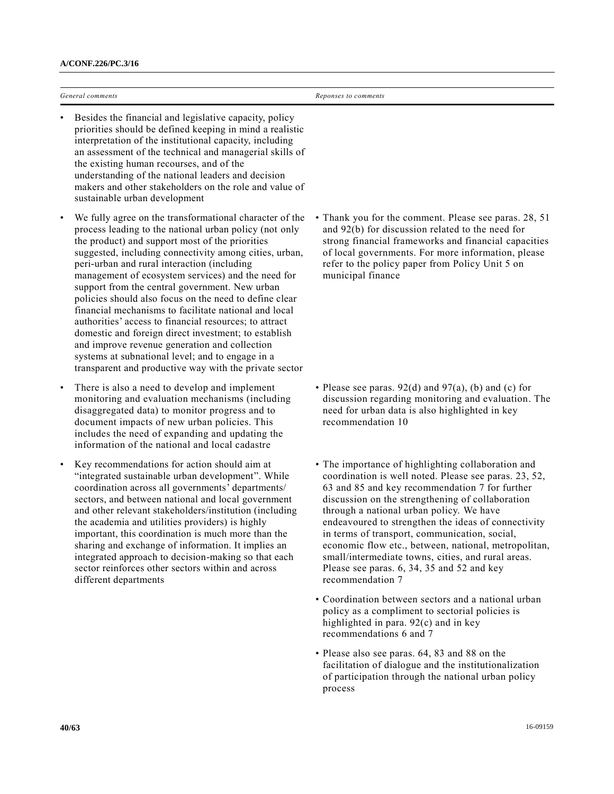*General comments Reponses to comments*

- Besides the financial and legislative capacity, policy priorities should be defined keeping in mind a realistic interpretation of the institutional capacity, including an assessment of the technical and managerial skills of the existing human recourses, and of the understanding of the national leaders and decision makers and other stakeholders on the role and value of sustainable urban development
- We fully agree on the transformational character of the process leading to the national urban policy (not only the product) and support most of the priorities suggested, including connectivity among cities, urban, peri-urban and rural interaction (including management of ecosystem services) and the need for support from the central government. New urban policies should also focus on the need to define clear financial mechanisms to facilitate national and local authorities' access to financial resources; to attract domestic and foreign direct investment; to establish and improve revenue generation and collection systems at subnational level; and to engage in a transparent and productive way with the private sector
- There is also a need to develop and implement monitoring and evaluation mechanisms (including disaggregated data) to monitor progress and to document impacts of new urban policies. This includes the need of expanding and updating the information of the national and local cadastre
- Key recommendations for action should aim at "integrated sustainable urban development". While coordination across all governments' departments/ sectors, and between national and local government and other relevant stakeholders/institution (including the academia and utilities providers) is highly important, this coordination is much more than the sharing and exchange of information. It implies an integrated approach to decision-making so that each sector reinforces other sectors within and across different departments

• Thank you for the comment. Please see paras. 28, 51 and 92(b) for discussion related to the need for strong financial frameworks and financial capacities of local governments. For more information, please refer to the policy paper from Policy Unit 5 on municipal finance

- Please see paras.  $92(d)$  and  $97(a)$ , (b) and (c) for discussion regarding monitoring and evaluation. The need for urban data is also highlighted in key recommendation 10
- The importance of highlighting collaboration and coordination is well noted. Please see paras. 23, 52, 63 and 85 and key recommendation 7 for further discussion on the strengthening of collaboration through a national urban policy. We have endeavoured to strengthen the ideas of connectivity in terms of transport, communication, social, economic flow etc., between, national, metropolitan, small/intermediate towns, cities, and rural areas. Please see paras. 6, 34, 35 and 52 and key recommendation 7
- Coordination between sectors and a national urban policy as a compliment to sectorial policies is highlighted in para. 92(c) and in key recommendations 6 and 7
- Please also see paras. 64, 83 and 88 on the facilitation of dialogue and the institutionalization of participation through the national urban policy process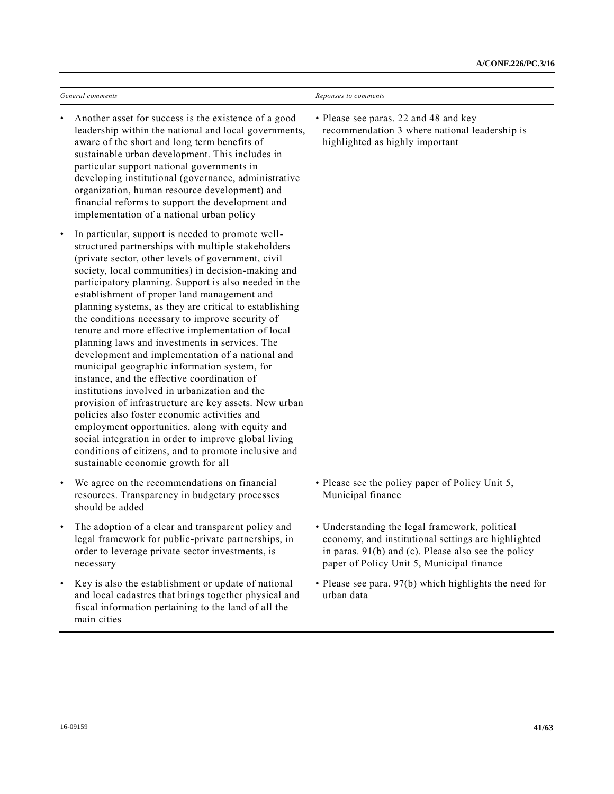| General comments                                                                                                                                                                                                                                                                                                                                                                                                                                                                                                                                                                                                                                                                                                                                                                                                                                                                                                                                                                                                                                                       | Reponses to comments                                                                                                      |
|------------------------------------------------------------------------------------------------------------------------------------------------------------------------------------------------------------------------------------------------------------------------------------------------------------------------------------------------------------------------------------------------------------------------------------------------------------------------------------------------------------------------------------------------------------------------------------------------------------------------------------------------------------------------------------------------------------------------------------------------------------------------------------------------------------------------------------------------------------------------------------------------------------------------------------------------------------------------------------------------------------------------------------------------------------------------|---------------------------------------------------------------------------------------------------------------------------|
| Another asset for success is the existence of a good<br>leadership within the national and local governments,<br>aware of the short and long term benefits of<br>sustainable urban development. This includes in<br>particular support national governments in<br>developing institutional (governance, administrative<br>organization, human resource development) and<br>financial reforms to support the development and<br>implementation of a national urban policy                                                                                                                                                                                                                                                                                                                                                                                                                                                                                                                                                                                               | • Please see paras. 22 and 48 and key<br>recommendation 3 where national leadership is<br>highlighted as highly important |
| In particular, support is needed to promote well-<br>structured partnerships with multiple stakeholders<br>(private sector, other levels of government, civil<br>society, local communities) in decision-making and<br>participatory planning. Support is also needed in the<br>establishment of proper land management and<br>planning systems, as they are critical to establishing<br>the conditions necessary to improve security of<br>tenure and more effective implementation of local<br>planning laws and investments in services. The<br>development and implementation of a national and<br>municipal geographic information system, for<br>instance, and the effective coordination of<br>institutions involved in urbanization and the<br>provision of infrastructure are key assets. New urban<br>policies also foster economic activities and<br>employment opportunities, along with equity and<br>social integration in order to improve global living<br>conditions of citizens, and to promote inclusive and<br>sustainable economic growth for all |                                                                                                                           |
| We agree on the recommendations on financial<br>$\bullet$<br>resources. Transparency in budgetary processes                                                                                                                                                                                                                                                                                                                                                                                                                                                                                                                                                                                                                                                                                                                                                                                                                                                                                                                                                            | • Please see the policy paper of Policy Unit 5,<br>Municipal finance                                                      |

• The adoption of a clear and transparent policy and legal framework for public-private partnerships, in order to leverage private sector investments, is necessary

should be added

- Key is also the establishment or update of national and local cadastres that brings together physical and fiscal information pertaining to the land of all the main cities
- Understanding the legal framework, political economy, and institutional settings are highlighted in paras. 91(b) and (c). Please also see the policy paper of Policy Unit 5, Municipal finance
- Please see para. 97(b) which highlights the need for urban data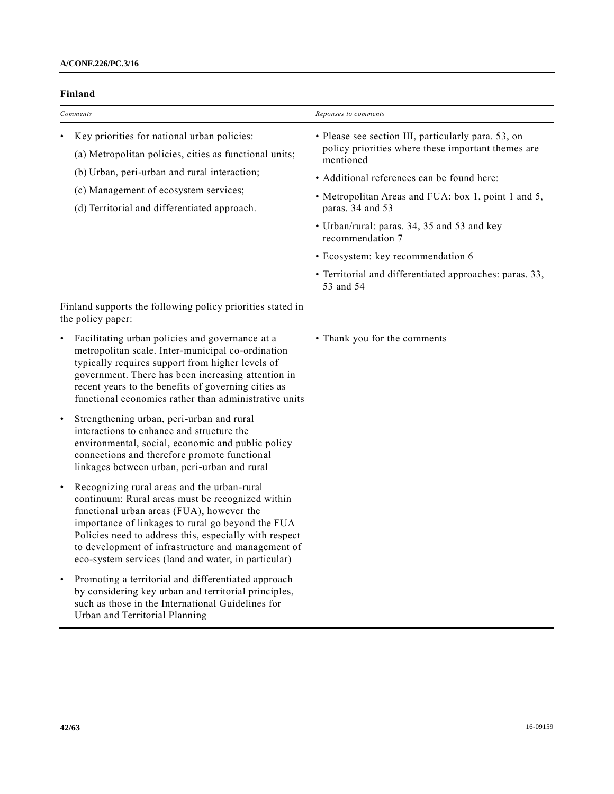## **Finland**

| Comments                                                                                                                                                                                                                                       | Reponses to comments                                                                                                                                                                                                                                                                                                                                                                                                            |
|------------------------------------------------------------------------------------------------------------------------------------------------------------------------------------------------------------------------------------------------|---------------------------------------------------------------------------------------------------------------------------------------------------------------------------------------------------------------------------------------------------------------------------------------------------------------------------------------------------------------------------------------------------------------------------------|
| Key priorities for national urban policies:<br>(a) Metropolitan policies, cities as functional units;<br>(b) Urban, peri-urban and rural interaction;<br>(c) Management of ecosystem services;<br>(d) Territorial and differentiated approach. | • Please see section III, particularly para. 53, on<br>policy priorities where these important themes are<br>mentioned<br>• Additional references can be found here:<br>• Metropolitan Areas and FUA: box 1, point 1 and 5,<br>paras. 34 and 53<br>• Urban/rural: paras. 34, 35 and 53 and key<br>recommendation 7<br>• Ecosystem: key recommendation 6<br>• Territorial and differentiated approaches: paras. 33,<br>53 and 54 |
| Finland supports the following policy priorities stated in<br>the policy paper:                                                                                                                                                                |                                                                                                                                                                                                                                                                                                                                                                                                                                 |
| Facilitating urban policies and governance at a<br>٠<br>metropolitan scale. Inter-municipal co-ordination<br>typically requires support from higher levels of<br>government. There has been increasing attention in                            | • Thank you for the comments                                                                                                                                                                                                                                                                                                                                                                                                    |

• Strengthening urban, peri-urban and rural interactions to enhance and structure the environmental, social, economic and public policy connections and therefore promote functional linkages between urban, peri-urban and rural

recent years to the benefits of governing cities as functional economies rather than administrative units

- Recognizing rural areas and the urban-rural continuum: Rural areas must be recognized within functional urban areas (FUA), however the importance of linkages to rural go beyond the FUA Policies need to address this, especially with respect to development of infrastructure and management of eco-system services (land and water, in particular)
- Promoting a territorial and differentiated approach by considering key urban and territorial principles, such as those in the International Guidelines for Urban and Territorial Planning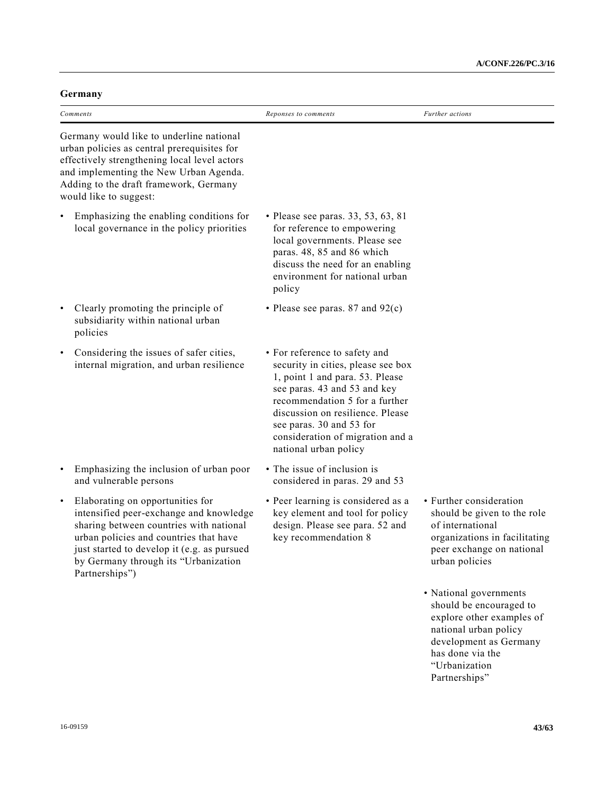| oveman                                                                                                                                                                                                                                                                                 |                                                                                                                                                                                                                                                                                                       |                                                                                                                                                                                         |  |
|----------------------------------------------------------------------------------------------------------------------------------------------------------------------------------------------------------------------------------------------------------------------------------------|-------------------------------------------------------------------------------------------------------------------------------------------------------------------------------------------------------------------------------------------------------------------------------------------------------|-----------------------------------------------------------------------------------------------------------------------------------------------------------------------------------------|--|
| Comments                                                                                                                                                                                                                                                                               | Reponses to comments                                                                                                                                                                                                                                                                                  | Further actions                                                                                                                                                                         |  |
| Germany would like to underline national<br>urban policies as central prerequisites for<br>effectively strengthening local level actors<br>and implementing the New Urban Agenda.<br>Adding to the draft framework, Germany<br>would like to suggest:                                  |                                                                                                                                                                                                                                                                                                       |                                                                                                                                                                                         |  |
| Emphasizing the enabling conditions for<br>local governance in the policy priorities                                                                                                                                                                                                   | • Please see paras. 33, 53, 63, 81<br>for reference to empowering<br>local governments. Please see<br>paras. 48, 85 and 86 which<br>discuss the need for an enabling<br>environment for national urban<br>policy                                                                                      |                                                                                                                                                                                         |  |
| Clearly promoting the principle of<br>subsidiarity within national urban<br>policies                                                                                                                                                                                                   | • Please see paras. 87 and $92(c)$                                                                                                                                                                                                                                                                    |                                                                                                                                                                                         |  |
| Considering the issues of safer cities,<br>$\bullet$<br>internal migration, and urban resilience                                                                                                                                                                                       | • For reference to safety and<br>security in cities, please see box<br>1, point 1 and para. 53. Please<br>see paras. 43 and 53 and key<br>recommendation 5 for a further<br>discussion on resilience. Please<br>see paras. 30 and 53 for<br>consideration of migration and a<br>national urban policy |                                                                                                                                                                                         |  |
| Emphasizing the inclusion of urban poor<br>$\bullet$<br>and vulnerable persons                                                                                                                                                                                                         | • The issue of inclusion is<br>considered in paras. 29 and 53                                                                                                                                                                                                                                         |                                                                                                                                                                                         |  |
| Elaborating on opportunities for<br>$\bullet$<br>intensified peer-exchange and knowledge<br>sharing between countries with national<br>urban policies and countries that have<br>just started to develop it (e.g. as pursued<br>by Germany through its "Urbanization<br>Partnerships") | • Peer learning is considered as a<br>key element and tool for policy<br>design. Please see para. 52 and<br>key recommendation 8                                                                                                                                                                      | • Further consideration<br>should be given to the role<br>of international<br>organizations in facilitating<br>peer exchange on national<br>urban policies                              |  |
|                                                                                                                                                                                                                                                                                        |                                                                                                                                                                                                                                                                                                       | • National governments<br>should be encouraged to<br>explore other examples of<br>national urban policy<br>development as Germany<br>has done via the<br>"Urbanization<br>Partnerships" |  |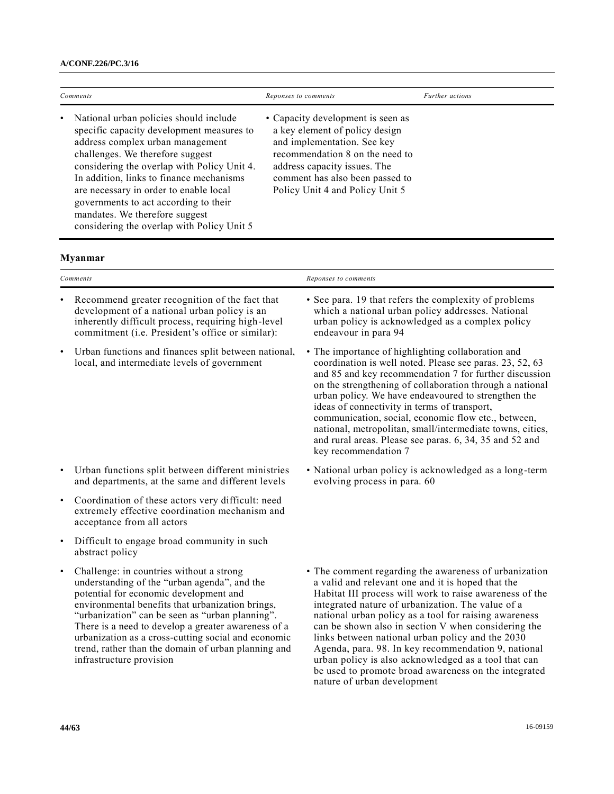| Comments                                                                                                                                                                                                                                                                                                                                                                                                                    | Reponses to comments                                                                                                                                                                                                                        | Further actions |
|-----------------------------------------------------------------------------------------------------------------------------------------------------------------------------------------------------------------------------------------------------------------------------------------------------------------------------------------------------------------------------------------------------------------------------|---------------------------------------------------------------------------------------------------------------------------------------------------------------------------------------------------------------------------------------------|-----------------|
| • National urban policies should include<br>specific capacity development measures to<br>address complex urban management<br>challenges. We therefore suggest<br>considering the overlap with Policy Unit 4.<br>In addition, links to finance mechanisms<br>are necessary in order to enable local<br>governments to act according to their<br>mandates. We therefore suggest<br>considering the overlap with Policy Unit 5 | • Capacity development is seen as<br>a key element of policy design<br>and implementation. See key<br>recommendation 8 on the need to<br>address capacity issues. The<br>comment has also been passed to<br>Policy Unit 4 and Policy Unit 5 |                 |

# **Myanmar**

|           | Comments                                                                                                                                                                                                                                                                                                                                                                                                                                   | Reponses to comments                                                                                                                                                                                                                                                                                                                                                                                                                                                                                                                                                  |
|-----------|--------------------------------------------------------------------------------------------------------------------------------------------------------------------------------------------------------------------------------------------------------------------------------------------------------------------------------------------------------------------------------------------------------------------------------------------|-----------------------------------------------------------------------------------------------------------------------------------------------------------------------------------------------------------------------------------------------------------------------------------------------------------------------------------------------------------------------------------------------------------------------------------------------------------------------------------------------------------------------------------------------------------------------|
|           | Recommend greater recognition of the fact that<br>development of a national urban policy is an<br>inherently difficult process, requiring high-level<br>commitment (i.e. President's office or similar):                                                                                                                                                                                                                                   | • See para. 19 that refers the complexity of problems<br>which a national urban policy addresses. National<br>urban policy is acknowledged as a complex policy<br>endeavour in para 94                                                                                                                                                                                                                                                                                                                                                                                |
| $\bullet$ | Urban functions and finances split between national,<br>local, and intermediate levels of government                                                                                                                                                                                                                                                                                                                                       | • The importance of highlighting collaboration and<br>coordination is well noted. Please see paras. 23, 52, 63<br>and 85 and key recommendation 7 for further discussion<br>on the strengthening of collaboration through a national<br>urban policy. We have endeavoured to strengthen the<br>ideas of connectivity in terms of transport,<br>communication, social, economic flow etc., between,<br>national, metropolitan, small/intermediate towns, cities,<br>and rural areas. Please see paras. 6, 34, 35 and 52 and<br>key recommendation 7                    |
| $\bullet$ | Urban functions split between different ministries<br>and departments, at the same and different levels                                                                                                                                                                                                                                                                                                                                    | • National urban policy is acknowledged as a long-term<br>evolving process in para. 60                                                                                                                                                                                                                                                                                                                                                                                                                                                                                |
| $\bullet$ | Coordination of these actors very difficult: need<br>extremely effective coordination mechanism and<br>acceptance from all actors                                                                                                                                                                                                                                                                                                          |                                                                                                                                                                                                                                                                                                                                                                                                                                                                                                                                                                       |
| $\bullet$ | Difficult to engage broad community in such<br>abstract policy                                                                                                                                                                                                                                                                                                                                                                             |                                                                                                                                                                                                                                                                                                                                                                                                                                                                                                                                                                       |
| $\bullet$ | Challenge: in countries without a strong<br>understanding of the "urban agenda", and the<br>potential for economic development and<br>environmental benefits that urbanization brings,<br>"urbanization" can be seen as "urban planning".<br>There is a need to develop a greater awareness of a<br>urbanization as a cross-cutting social and economic<br>trend, rather than the domain of urban planning and<br>infrastructure provision | • The comment regarding the awareness of urbanization<br>a valid and relevant one and it is hoped that the<br>Habitat III process will work to raise awareness of the<br>integrated nature of urbanization. The value of a<br>national urban policy as a tool for raising awareness<br>can be shown also in section V when considering the<br>links between national urban policy and the 2030<br>Agenda, para. 98. In key recommendation 9, national<br>urban policy is also acknowledged as a tool that can<br>be used to promote broad awareness on the integrated |

nature of urban development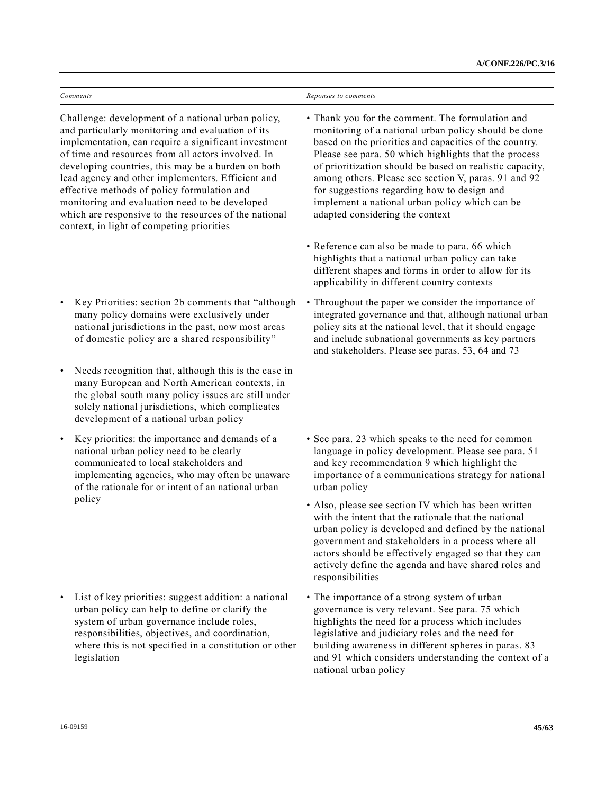| $\sim$<br>comments | comments<br>nonses<br>Ken |
|--------------------|---------------------------|
| .                  |                           |

Challenge: development of a national urban policy, and particularly monitoring and evaluation of its implementation, can require a significant investment of time and resources from all actors involved. In developing countries, this may be a burden on both lead agency and other implementers. Efficient and effective methods of policy formulation and monitoring and evaluation need to be developed which are responsive to the resources of the national context, in light of competing priorities

- Key Priorities: section 2b comments that "although many policy domains were exclusively under national jurisdictions in the past, now most areas of domestic policy are a shared responsibility"
- Needs recognition that, although this is the case in many European and North American contexts, in the global south many policy issues are still under solely national jurisdictions, which complicates development of a national urban policy
- Key priorities: the importance and demands of a national urban policy need to be clearly communicated to local stakeholders and implementing agencies, who may often be unaware of the rationale for or intent of an national urban policy

• List of key priorities: suggest addition: a national urban policy can help to define or clarify the system of urban governance include roles, responsibilities, objectives, and coordination, where this is not specified in a constitution or other legislation

- Thank you for the comment. The formulation and monitoring of a national urban policy should be done based on the priorities and capacities of the country. Please see para. 50 which highlights that the process of prioritization should be based on realistic capacity, among others. Please see section V, paras. 91 and 92 for suggestions regarding how to design and implement a national urban policy which can be adapted considering the context
- Reference can also be made to para. 66 which highlights that a national urban policy can take different shapes and forms in order to allow for its applicability in different country contexts
- Throughout the paper we consider the importance of integrated governance and that, although national urban policy sits at the national level, that it should engage and include subnational governments as key partners and stakeholders. Please see paras. 53, 64 and 73
- See para. 23 which speaks to the need for common language in policy development. Please see para. 51 and key recommendation 9 which highlight the importance of a communications strategy for national urban policy
- Also, please see section IV which has been written with the intent that the rationale that the national urban policy is developed and defined by the national government and stakeholders in a process where all actors should be effectively engaged so that they can actively define the agenda and have shared roles and responsibilities
- The importance of a strong system of urban governance is very relevant. See para. 75 which highlights the need for a process which includes legislative and judiciary roles and the need for building awareness in different spheres in paras. 83 and 91 which considers understanding the context of a national urban policy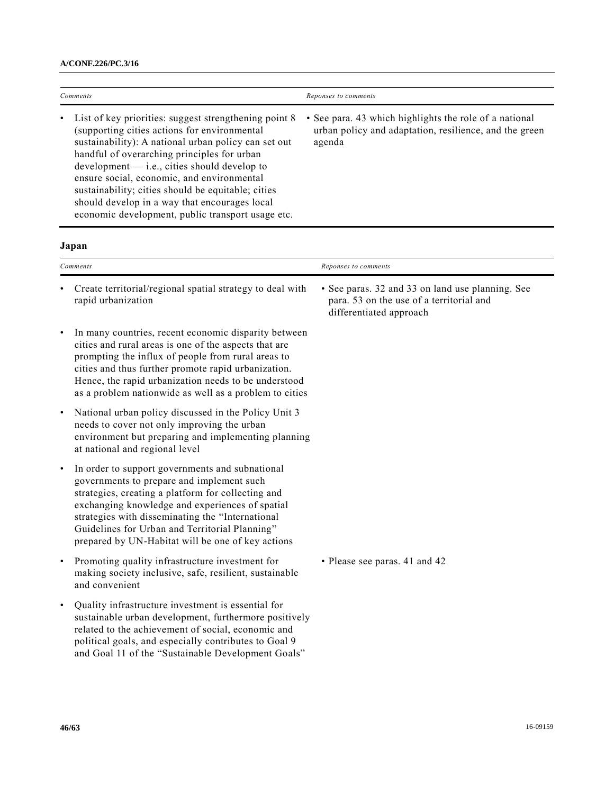| Comments  |                                                                                                                                                                                                                                                                                                                                                                                                                                                                          | Reponses to comments                                                                                                       |
|-----------|--------------------------------------------------------------------------------------------------------------------------------------------------------------------------------------------------------------------------------------------------------------------------------------------------------------------------------------------------------------------------------------------------------------------------------------------------------------------------|----------------------------------------------------------------------------------------------------------------------------|
|           | List of key priorities: suggest strengthening point 8<br>(supporting cities actions for environmental<br>sustainability): A national urban policy can set out<br>handful of overarching principles for urban<br>$development - i.e., cities should develop to$<br>ensure social, economic, and environmental<br>sustainability; cities should be equitable; cities<br>should develop in a way that encourages local<br>economic development, public transport usage etc. | • See para. 43 which highlights the role of a national<br>urban policy and adaptation, resilience, and the green<br>agenda |
|           | Japan                                                                                                                                                                                                                                                                                                                                                                                                                                                                    |                                                                                                                            |
|           | Comments                                                                                                                                                                                                                                                                                                                                                                                                                                                                 | Reponses to comments                                                                                                       |
|           | Create territorial/regional spatial strategy to deal with<br>rapid urbanization                                                                                                                                                                                                                                                                                                                                                                                          | • See paras. 32 and 33 on land use planning. See<br>para. 53 on the use of a territorial and<br>differentiated approach    |
|           | In many countries, recent economic disparity between<br>cities and rural areas is one of the aspects that are<br>prompting the influx of people from rural areas to<br>cities and thus further promote rapid urbanization.<br>Hence, the rapid urbanization needs to be understood<br>as a problem nationwide as well as a problem to cities                                                                                                                             |                                                                                                                            |
| $\bullet$ | National urban policy discussed in the Policy Unit 3<br>needs to cover not only improving the urban<br>environment but preparing and implementing planning<br>at national and regional level                                                                                                                                                                                                                                                                             |                                                                                                                            |
|           | In order to support governments and subnational<br>governments to prepare and implement such<br>strategies, creating a platform for collecting and<br>exchanging knowledge and experiences of spatial<br>strategies with disseminating the "International<br>Guidelines for Urban and Territorial Planning"<br>prepared by UN-Habitat will be one of key actions                                                                                                         |                                                                                                                            |
| $\bullet$ | Promoting quality infrastructure investment for<br>making society inclusive, safe, resilient, sustainable<br>and convenient                                                                                                                                                                                                                                                                                                                                              | • Please see paras. 41 and 42                                                                                              |
| $\bullet$ | Quality infrastructure investment is essential for<br>sustainable urban development, furthermore positively<br>related to the achievement of social, economic and<br>political goals, and especially contributes to Goal 9<br>and Goal 11 of the "Sustainable Development Goals"                                                                                                                                                                                         |                                                                                                                            |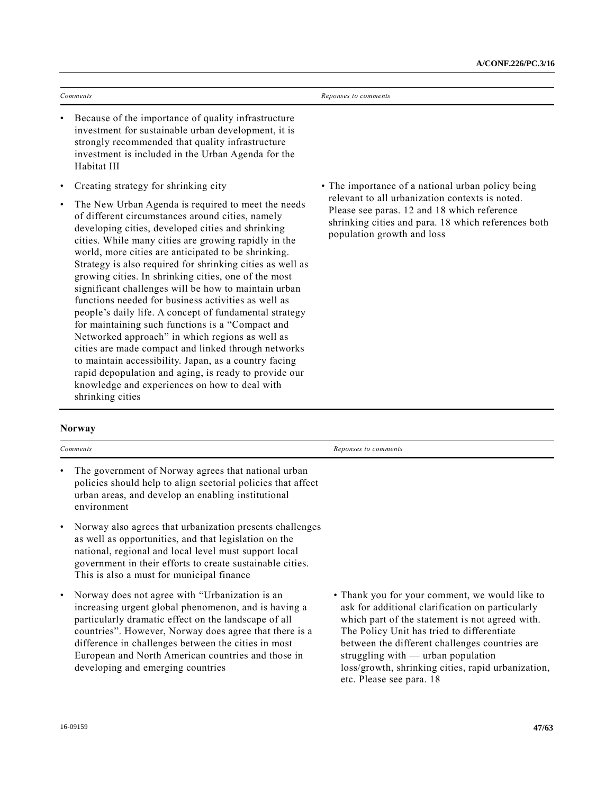| Comments                                                                                                                                                                                                                                                                                                                                                                                                                                                                                                                                                                                                                                                                                                                                                                                                                                                                                                                                   | Reponses to comments                                                                                                                                                                |
|--------------------------------------------------------------------------------------------------------------------------------------------------------------------------------------------------------------------------------------------------------------------------------------------------------------------------------------------------------------------------------------------------------------------------------------------------------------------------------------------------------------------------------------------------------------------------------------------------------------------------------------------------------------------------------------------------------------------------------------------------------------------------------------------------------------------------------------------------------------------------------------------------------------------------------------------|-------------------------------------------------------------------------------------------------------------------------------------------------------------------------------------|
| Because of the importance of quality infrastructure<br>٠<br>investment for sustainable urban development, it is<br>strongly recommended that quality infrastructure<br>investment is included in the Urban Agenda for the<br>Habitat III                                                                                                                                                                                                                                                                                                                                                                                                                                                                                                                                                                                                                                                                                                   |                                                                                                                                                                                     |
| Creating strategy for shrinking city<br>٠                                                                                                                                                                                                                                                                                                                                                                                                                                                                                                                                                                                                                                                                                                                                                                                                                                                                                                  | • The importance of a national urban policy being                                                                                                                                   |
| The New Urban Agenda is required to meet the needs<br>$\bullet$<br>of different circumstances around cities, namely<br>developing cities, developed cities and shrinking<br>cities. While many cities are growing rapidly in the<br>world, more cities are anticipated to be shrinking.<br>Strategy is also required for shrinking cities as well as<br>growing cities. In shrinking cities, one of the most<br>significant challenges will be how to maintain urban<br>functions needed for business activities as well as<br>people's daily life. A concept of fundamental strategy<br>for maintaining such functions is a "Compact and<br>Networked approach" in which regions as well as<br>cities are made compact and linked through networks<br>to maintain accessibility. Japan, as a country facing<br>rapid depopulation and aging, is ready to provide our<br>knowledge and experiences on how to deal with<br>shrinking cities | relevant to all urbanization contexts is noted.<br>Please see paras. 12 and 18 which reference<br>shrinking cities and para. 18 which references both<br>population growth and loss |

# **Norway**

|           | Comments                                                                                                                                                                                                                                                                                                                                                                   | Reponses to comments                                                                                                                                                                                                                                                                                                                                |
|-----------|----------------------------------------------------------------------------------------------------------------------------------------------------------------------------------------------------------------------------------------------------------------------------------------------------------------------------------------------------------------------------|-----------------------------------------------------------------------------------------------------------------------------------------------------------------------------------------------------------------------------------------------------------------------------------------------------------------------------------------------------|
| $\bullet$ | The government of Norway agrees that national urban<br>policies should help to align sectorial policies that affect<br>urban areas, and develop an enabling institutional<br>environment                                                                                                                                                                                   |                                                                                                                                                                                                                                                                                                                                                     |
| $\bullet$ | Norway also agrees that urbanization presents challenges<br>as well as opportunities, and that legislation on the<br>national, regional and local level must support local<br>government in their efforts to create sustainable cities.<br>This is also a must for municipal finance                                                                                       |                                                                                                                                                                                                                                                                                                                                                     |
| $\bullet$ | Norway does not agree with "Urbanization is an<br>increasing urgent global phenomenon, and is having a<br>particularly dramatic effect on the landscape of all<br>countries". However, Norway does agree that there is a<br>difference in challenges between the cities in most<br>European and North American countries and those in<br>developing and emerging countries | • Thank you for your comment, we would like to<br>ask for additional clarification on particularly<br>which part of the statement is not agreed with.<br>The Policy Unit has tried to differentiate<br>between the different challenges countries are<br>struggling with $-$ urban population<br>loss/growth, shrinking cities, rapid urbanization, |

etc. Please see para. 18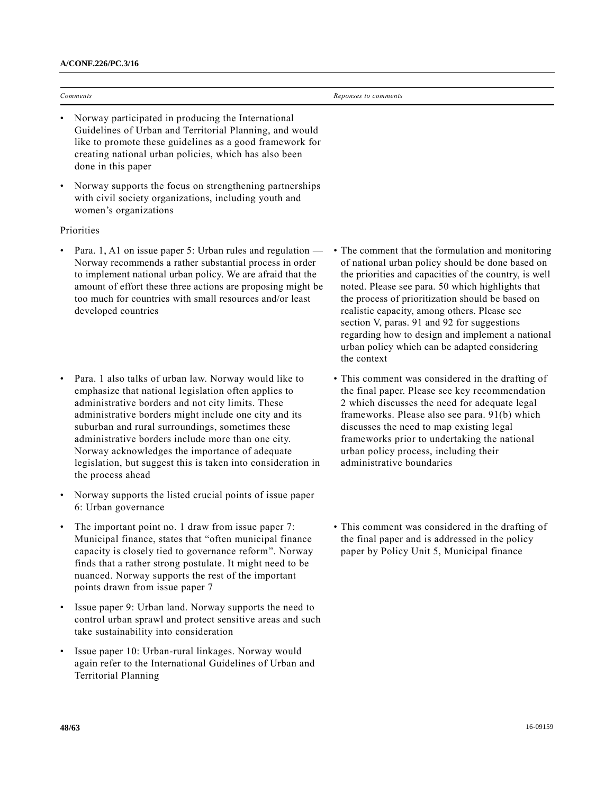done in this paper

| Comments                                                                                                                                                                                                                                        | Reponses to comments |
|-------------------------------------------------------------------------------------------------------------------------------------------------------------------------------------------------------------------------------------------------|----------------------|
| Norway participated in producing the International<br>$\bullet$<br>Guidelines of Urban and Territorial Planning, and would<br>like to promote these guidelines as a good framework for<br>creating national urban policies, which has also been |                      |

• Norway supports the focus on strengthening partnerships with civil society organizations, including youth and women's organizations

### **Priorities**

- Para. 1, A1 on issue paper 5: Urban rules and regulation Norway recommends a rather substantial process in order to implement national urban policy. We are afraid that the amount of effort these three actions are proposing might be too much for countries with small resources and/or least developed countries
- Para. 1 also talks of urban law. Norway would like to emphasize that national legislation often applies to administrative borders and not city limits. These administrative borders might include one city and its suburban and rural surroundings, sometimes these administrative borders include more than one city. Norway acknowledges the importance of adequate legislation, but suggest this is taken into consideration in the process ahead
- Norway supports the listed crucial points of issue paper 6: Urban governance
- The important point no. 1 draw from issue paper 7: Municipal finance, states that "often municipal finance capacity is closely tied to governance reform". Norway finds that a rather strong postulate. It might need to be nuanced. Norway supports the rest of the important points drawn from issue paper 7
- Issue paper 9: Urban land. Norway supports the need to control urban sprawl and protect sensitive areas and such take sustainability into consideration
- Issue paper 10: Urban-rural linkages. Norway would again refer to the International Guidelines of Urban and Territorial Planning
- The comment that the formulation and monitoring of national urban policy should be done based on the priorities and capacities of the country, is well noted. Please see para. 50 which highlights that the process of prioritization should be based on realistic capacity, among others. Please see section V, paras. 91 and 92 for suggestions regarding how to design and implement a national urban policy which can be adapted considering the context
- This comment was considered in the drafting of the final paper. Please see key recommendation 2 which discusses the need for adequate legal frameworks. Please also see para. 91(b) which discusses the need to map existing legal frameworks prior to undertaking the national urban policy process, including their administrative boundaries
- This comment was considered in the drafting of the final paper and is addressed in the policy paper by Policy Unit 5, Municipal finance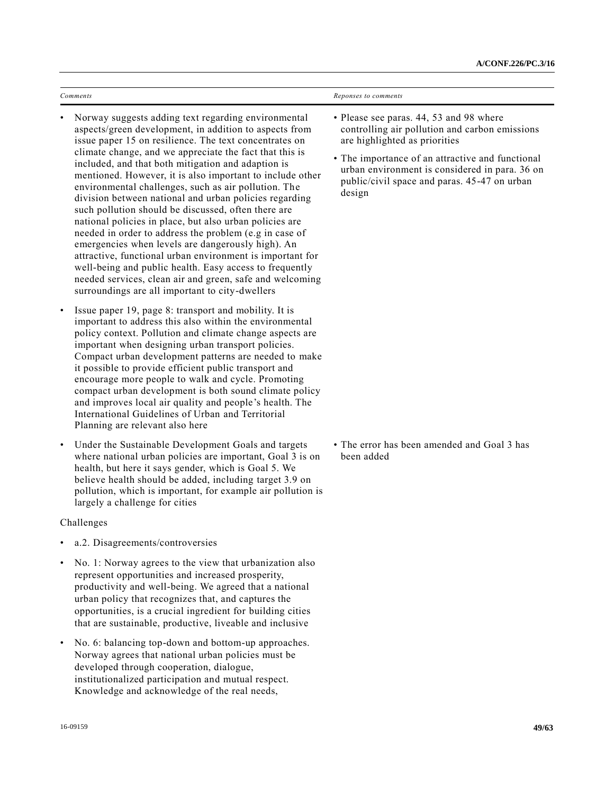| Comments                                                                                                                                                                                                                                                                                                                                                                                                                                                                                                                                                                                                                                                                                                                                                                                                                                                                                                                                                     | Reponses to comments                                                                                                                                                                                                                                                                       |
|--------------------------------------------------------------------------------------------------------------------------------------------------------------------------------------------------------------------------------------------------------------------------------------------------------------------------------------------------------------------------------------------------------------------------------------------------------------------------------------------------------------------------------------------------------------------------------------------------------------------------------------------------------------------------------------------------------------------------------------------------------------------------------------------------------------------------------------------------------------------------------------------------------------------------------------------------------------|--------------------------------------------------------------------------------------------------------------------------------------------------------------------------------------------------------------------------------------------------------------------------------------------|
| Norway suggests adding text regarding environmental<br>$\bullet$<br>aspects/green development, in addition to aspects from<br>issue paper 15 on resilience. The text concentrates on<br>climate change, and we appreciate the fact that this is<br>included, and that both mitigation and adaption is<br>mentioned. However, it is also important to include other<br>environmental challenges, such as air pollution. The<br>division between national and urban policies regarding<br>such pollution should be discussed, often there are<br>national policies in place, but also urban policies are<br>needed in order to address the problem (e.g in case of<br>emergencies when levels are dangerously high). An<br>attractive, functional urban environment is important for<br>well-being and public health. Easy access to frequently<br>needed services, clean air and green, safe and welcoming<br>surroundings are all important to city-dwellers | • Please see paras. 44, 53 and 98 where<br>controlling air pollution and carbon emissions<br>are highlighted as priorities<br>• The importance of an attractive and functional<br>urban environment is considered in para. 36 on<br>public/civil space and paras. 45-47 on urban<br>design |
| Issue paper 19, page 8: transport and mobility. It is<br>$\bullet$<br>important to address this also within the environmental<br>policy context. Pollution and climate change aspects are<br>important when designing urban transport policies.<br>Compact urban development patterns are needed to make<br>it possible to provide efficient public transport and<br>encourage more people to walk and cycle. Promoting<br>compact urban development is both sound climate policy<br>and improves local air quality and people's health. The                                                                                                                                                                                                                                                                                                                                                                                                                 |                                                                                                                                                                                                                                                                                            |

• The error has been amended and Goal 3 has been added

- Challenges
- a.2. Disagreements/controversies

largely a challenge for cities

Planning are relevant also here

• No. 1: Norway agrees to the view that urbanization also represent opportunities and increased prosperity, productivity and well-being. We agreed that a national urban policy that recognizes that, and captures the opportunities, is a crucial ingredient for building cities that are sustainable, productive, liveable and inclusive

International Guidelines of Urban and Territorial

• Under the Sustainable Development Goals and targets where national urban policies are important, Goal 3 is on health, but here it says gender, which is Goal 5. We believe health should be added, including target 3.9 on pollution, which is important, for example air pollution is

• No. 6: balancing top-down and bottom-up approaches. Norway agrees that national urban policies must be developed through cooperation, dialogue, institutionalized participation and mutual respect. Knowledge and acknowledge of the real needs,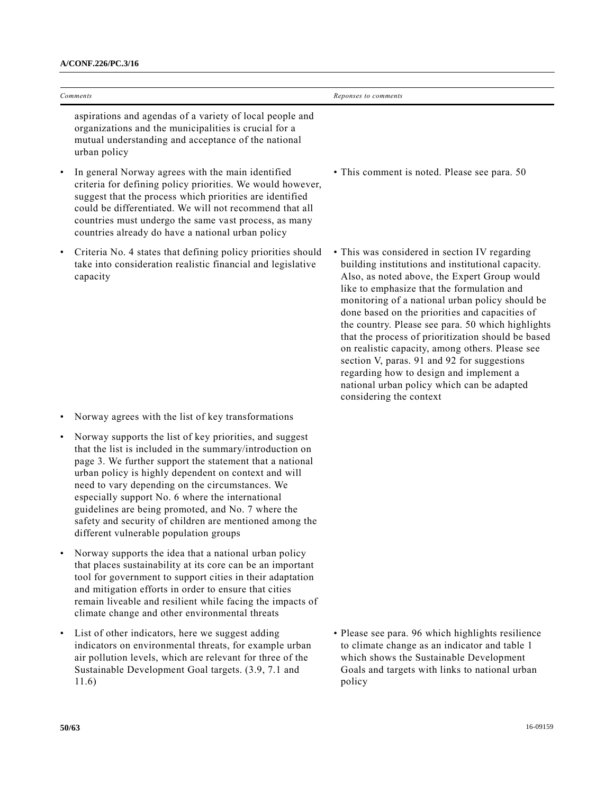|           | Comments                                                                                                                                                                                                                                                                                                                                                                                                                                                                                                  | Reponses to comments                                                                                                                                                                                                                                                                                                                                                                                                                                                                                                                                                                                                                   |
|-----------|-----------------------------------------------------------------------------------------------------------------------------------------------------------------------------------------------------------------------------------------------------------------------------------------------------------------------------------------------------------------------------------------------------------------------------------------------------------------------------------------------------------|----------------------------------------------------------------------------------------------------------------------------------------------------------------------------------------------------------------------------------------------------------------------------------------------------------------------------------------------------------------------------------------------------------------------------------------------------------------------------------------------------------------------------------------------------------------------------------------------------------------------------------------|
|           | aspirations and agendas of a variety of local people and<br>organizations and the municipalities is crucial for a<br>mutual understanding and acceptance of the national<br>urban policy                                                                                                                                                                                                                                                                                                                  |                                                                                                                                                                                                                                                                                                                                                                                                                                                                                                                                                                                                                                        |
| ٠         | In general Norway agrees with the main identified<br>criteria for defining policy priorities. We would however,<br>suggest that the process which priorities are identified<br>could be differentiated. We will not recommend that all<br>countries must undergo the same vast process, as many<br>countries already do have a national urban policy                                                                                                                                                      | • This comment is noted. Please see para. 50                                                                                                                                                                                                                                                                                                                                                                                                                                                                                                                                                                                           |
| ٠         | Criteria No. 4 states that defining policy priorities should<br>take into consideration realistic financial and legislative<br>capacity                                                                                                                                                                                                                                                                                                                                                                   | • This was considered in section IV regarding<br>building institutions and institutional capacity.<br>Also, as noted above, the Expert Group would<br>like to emphasize that the formulation and<br>monitoring of a national urban policy should be<br>done based on the priorities and capacities of<br>the country. Please see para. 50 which highlights<br>that the process of prioritization should be based<br>on realistic capacity, among others. Please see<br>section V, paras. 91 and 92 for suggestions<br>regarding how to design and implement a<br>national urban policy which can be adapted<br>considering the context |
|           | Norway agrees with the list of key transformations                                                                                                                                                                                                                                                                                                                                                                                                                                                        |                                                                                                                                                                                                                                                                                                                                                                                                                                                                                                                                                                                                                                        |
| $\bullet$ | Norway supports the list of key priorities, and suggest<br>that the list is included in the summary/introduction on<br>page 3. We further support the statement that a national<br>urban policy is highly dependent on context and will<br>need to vary depending on the circumstances. We<br>especially support No. 6 where the international<br>guidelines are being promoted, and No. 7 where the<br>safety and security of children are mentioned among the<br>different vulnerable population groups |                                                                                                                                                                                                                                                                                                                                                                                                                                                                                                                                                                                                                                        |
|           | Norway supports the idea that a national urban policy<br>that places sustainability at its core can be an important<br>tool for government to support cities in their adaptation<br>and mitigation efforts in order to ensure that cities<br>remain liveable and resilient while facing the impacts of<br>climate change and other environmental threats                                                                                                                                                  |                                                                                                                                                                                                                                                                                                                                                                                                                                                                                                                                                                                                                                        |
| ٠         | List of other indicators, here we suggest adding<br>indicators on environmental threats, for example urban<br>air pollution levels, which are relevant for three of the<br>Sustainable Development Goal targets. (3.9, 7.1 and<br>11.6)                                                                                                                                                                                                                                                                   | • Please see para. 96 which highlights resilience<br>to climate change as an indicator and table 1<br>which shows the Sustainable Development<br>Goals and targets with links to national urban<br>policy                                                                                                                                                                                                                                                                                                                                                                                                                              |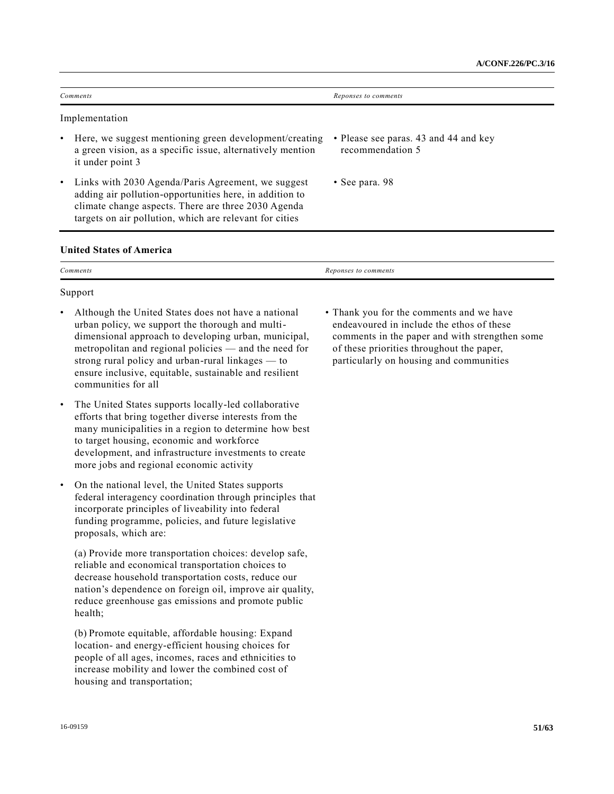|           | Comments                                                                                                                                                                                                                        | Reponses to comments                                      |  |
|-----------|---------------------------------------------------------------------------------------------------------------------------------------------------------------------------------------------------------------------------------|-----------------------------------------------------------|--|
|           | Implementation                                                                                                                                                                                                                  |                                                           |  |
| $\bullet$ | Here, we suggest mentioning green development/creating<br>a green vision, as a specific issue, alternatively mention<br>it under point 3                                                                                        | • Please see paras. 43 and 44 and key<br>recommendation 5 |  |
| $\bullet$ | Links with 2030 Agenda/Paris Agreement, we suggest<br>adding air pollution-opportunities here, in addition to<br>climate change aspects. There are three 2030 Agenda<br>targets on air pollution, which are relevant for cities | $\cdot$ See para. 98                                      |  |

## **United States of America**

| $\sim$<br>Comments | Reponses to comments |
|--------------------|----------------------|
|                    |                      |

#### Support

- Although the United States does not have a national urban policy, we support the thorough and multidimensional approach to developing urban, municipal, metropolitan and regional policies — and the need for strong rural policy and urban-rural linkages — to ensure inclusive, equitable, sustainable and resilient communities for all
- The United States supports locally-led collaborative efforts that bring together diverse interests from the many municipalities in a region to determine how best to target housing, economic and workforce development, and infrastructure investments to create more jobs and regional economic activity
- On the national level, the United States supports federal interagency coordination through principles that incorporate principles of liveability into federal funding programme, policies, and future legislative proposals, which are:

(a) Provide more transportation choices: develop safe, reliable and economical transportation choices to decrease household transportation costs, reduce our nation's dependence on foreign oil, improve air quality, reduce greenhouse gas emissions and promote public health;

(b) Promote equitable, affordable housing: Expand location- and energy-efficient housing choices for people of all ages, incomes, races and ethnicities to increase mobility and lower the combined cost of housing and transportation;

• Thank you for the comments and we have endeavoured in include the ethos of these comments in the paper and with strengthen some of these priorities throughout the paper, particularly on housing and communities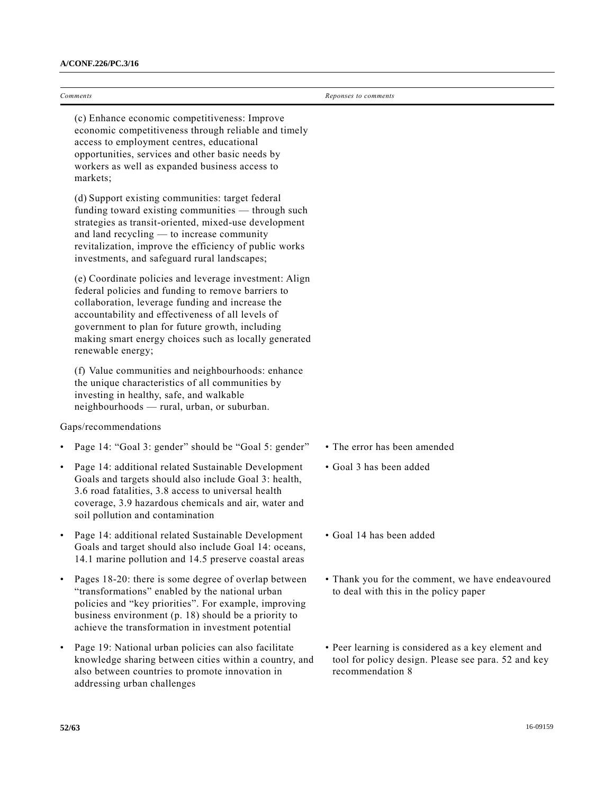(c) Enhance economic competitiveness: Improve economic competitiveness through reliable and timely access to employment centres, educational opportunities, services and other basic needs by workers as well as expanded business access to markets;

(d) Support existing communities: target federal funding toward existing communities — through such strategies as transit-oriented, mixed-use development and land recycling — to increase community revitalization, improve the efficiency of public works investments, and safeguard rural landscapes;

(e) Coordinate policies and leverage investment: Align federal policies and funding to remove barriers to collaboration, leverage funding and increase the accountability and effectiveness of all levels of government to plan for future growth, including making smart energy choices such as locally generated renewable energy;

(f) Value communities and neighbourhoods: enhance the unique characteristics of all communities by investing in healthy, safe, and walkable neighbourhoods — rural, urban, or suburban.

## Gaps/recommendations

- Page 14: "Goal 3: gender" should be "Goal 5: gender" The error has been amended
- Page 14: additional related Sustainable Development Goals and targets should also include Goal 3: health, 3.6 road fatalities, 3.8 access to universal health coverage, 3.9 hazardous chemicals and air, water and soil pollution and contamination
- Page 14: additional related Sustainable Development Goals and target should also include Goal 14: oceans, 14.1 marine pollution and 14.5 preserve coastal areas
- Pages 18-20: there is some degree of overlap between "transformations" enabled by the national urban policies and "key priorities". For example, improving business environment (p. 18) should be a priority to achieve the transformation in investment potential
- Page 19: National urban policies can also facilitate knowledge sharing between cities within a country, and also between countries to promote innovation in addressing urban challenges
- 
- Goal 3 has been added
- Goal 14 has been added
- Thank you for the comment, we have endeavoured to deal with this in the policy paper
- Peer learning is considered as a key element and tool for policy design. Please see para. 52 and key recommendation 8

*Comments Reponses to comments*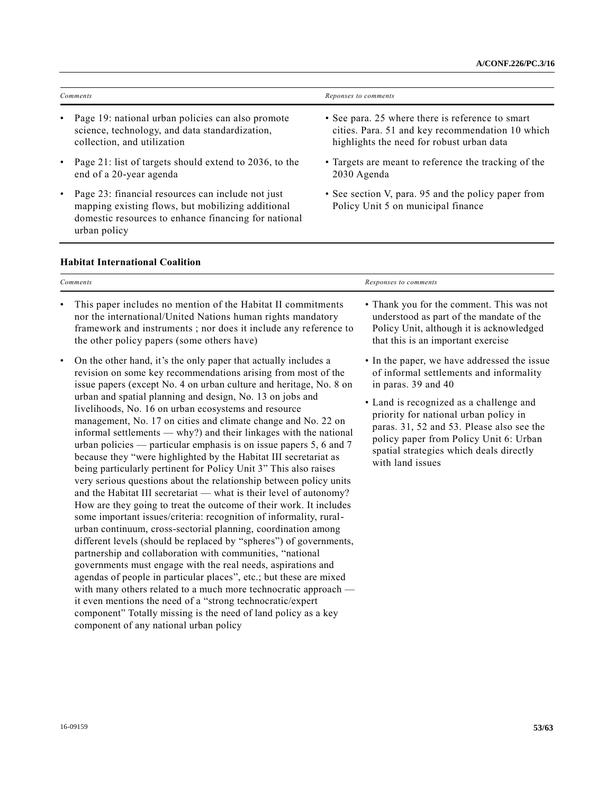| Comments                                                                                                                             | Reponses to comments                                                                                                                              |
|--------------------------------------------------------------------------------------------------------------------------------------|---------------------------------------------------------------------------------------------------------------------------------------------------|
| • Page 19: national urban policies can also promote<br>science, technology, and data standardization,<br>collection, and utilization | • See para. 25 where there is reference to smart<br>cities. Para. 51 and key recommendation 10 which<br>highlights the need for robust urban data |
| • Page 21: list of targets should extend to 2036, to the<br>end of a 20-year agenda                                                  | • Targets are meant to reference the tracking of the<br>2030 Agenda                                                                               |
| • Page 23: financial resources can include not just<br>mapping existing flows, but mobilizing additional                             | • See section V, para. 95 and the policy paper from<br>Policy Unit 5 on municipal finance                                                         |

## **Habitat International Coalition**

urban policy

domestic resources to enhance financing for national

| Comments                                                                                                                                                                                                                                                                                                                                                                                                                                                                                                                                                                                                                                                                                                                                                                                                                                                                                                                                                                                                                                                                                                                                                                                                                                                                                                                                                                                                                                                                                                                                                                        | Responses to comments                                                                                                                                                                                                                                                                                                                                   |  |
|---------------------------------------------------------------------------------------------------------------------------------------------------------------------------------------------------------------------------------------------------------------------------------------------------------------------------------------------------------------------------------------------------------------------------------------------------------------------------------------------------------------------------------------------------------------------------------------------------------------------------------------------------------------------------------------------------------------------------------------------------------------------------------------------------------------------------------------------------------------------------------------------------------------------------------------------------------------------------------------------------------------------------------------------------------------------------------------------------------------------------------------------------------------------------------------------------------------------------------------------------------------------------------------------------------------------------------------------------------------------------------------------------------------------------------------------------------------------------------------------------------------------------------------------------------------------------------|---------------------------------------------------------------------------------------------------------------------------------------------------------------------------------------------------------------------------------------------------------------------------------------------------------------------------------------------------------|--|
| This paper includes no mention of the Habitat II commitments<br>$\bullet$<br>nor the international/United Nations human rights mandatory<br>framework and instruments; nor does it include any reference to<br>the other policy papers (some others have)                                                                                                                                                                                                                                                                                                                                                                                                                                                                                                                                                                                                                                                                                                                                                                                                                                                                                                                                                                                                                                                                                                                                                                                                                                                                                                                       | • Thank you for the comment. This was not<br>understood as part of the mandate of the<br>Policy Unit, although it is acknowledged<br>that this is an important exercise                                                                                                                                                                                 |  |
| On the other hand, it's the only paper that actually includes a<br>$\bullet$<br>revision on some key recommendations arising from most of the<br>issue papers (except No. 4 on urban culture and heritage, No. 8 on<br>urban and spatial planning and design, No. 13 on jobs and<br>livelihoods, No. 16 on urban ecosystems and resource<br>management, No. 17 on cities and climate change and No. 22 on<br>informal settlements — why?) and their linkages with the national<br>urban policies — particular emphasis is on issue papers $5, 6$ and $7$<br>because they "were highlighted by the Habitat III secretariat as<br>being particularly pertinent for Policy Unit 3" This also raises<br>very serious questions about the relationship between policy units<br>and the Habitat III secretariat — what is their level of autonomy?<br>How are they going to treat the outcome of their work. It includes<br>some important issues/criteria: recognition of informality, rural-<br>urban continuum, cross-sectorial planning, coordination among<br>different levels (should be replaced by "spheres") of governments,<br>partnership and collaboration with communities, "national<br>governments must engage with the real needs, aspirations and<br>agendas of people in particular places", etc.; but these are mixed<br>with many others related to a much more technocratic approach —<br>it even mentions the need of a "strong technocratic/expert<br>component" Totally missing is the need of land policy as a key<br>component of any national urban policy | • In the paper, we have addressed the issue<br>of informal settlements and informality<br>in paras. 39 and 40<br>• Land is recognized as a challenge and<br>priority for national urban policy in<br>paras. 31, 52 and 53. Please also see the<br>policy paper from Policy Unit 6: Urban<br>spatial strategies which deals directly<br>with land issues |  |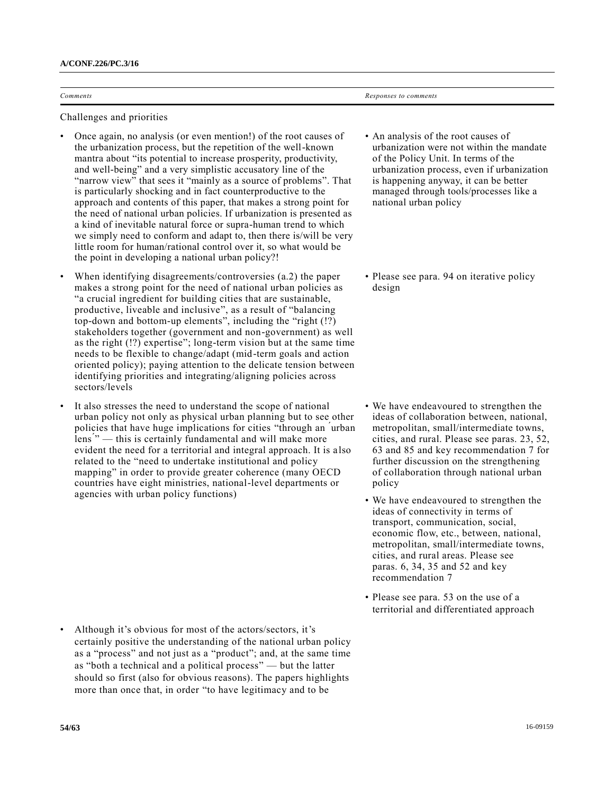| $\sim$<br><i>comments</i><br>. | comments<br>sponses<br>__ |
|--------------------------------|---------------------------|

Challenges and priorities

- Once again, no analysis (or even mention!) of the root causes of the urbanization process, but the repetition of the well-known mantra about "its potential to increase prosperity, productivity, and well-being" and a very simplistic accusatory line of the "narrow view" that sees it "mainly as a source of problems". That is particularly shocking and in fact counterproductive to the approach and contents of this paper, that makes a strong point for the need of national urban policies. If urbanization is presented as a kind of inevitable natural force or supra-human trend to which we simply need to conform and adapt to, then there is/will be very little room for human/rational control over it, so what would be the point in developing a national urban policy?!
- When identifying disagreements/controversies (a.2) the paper makes a strong point for the need of national urban policies as "a crucial ingredient for building cities that are sustainable, productive, liveable and inclusive", as a result of "balancing top-down and bottom-up elements", including the "right (!?) stakeholders together (government and non-government) as well as the right (!?) expertise"; long-term vision but at the same time needs to be flexible to change/adapt (mid-term goals and action oriented policy); paying attention to the delicate tension between identifying priorities and integrating/aligning policies across sectors/levels
- It also stresses the need to understand the scope of national urban policy not only as physical urban planning but to see other policies that have huge implications for cities "through an ́urban lens<sup>"</sup> – this is certainly fundamental and will make more evident the need for a territorial and integral approach. It is also related to the "need to undertake institutional and policy mapping" in order to provide greater coherence (many OECD countries have eight ministries, national-level departments or agencies with urban policy functions)

• Although it's obvious for most of the actors/sectors, it's certainly positive the understanding of the national urban policy as a "process" and not just as a "product"; and, at the same time as "both a technical and a political process" — but the latter should so first (also for obvious reasons). The papers highlights more than once that, in order "to have legitimacy and to be

- An analysis of the root causes of urbanization were not within the mandate of the Policy Unit. In terms of the urbanization process, even if urbanization is happening anyway, it can be better managed through tools/processes like a national urban policy
- Please see para. 94 on iterative policy design

- We have endeavoured to strengthen the ideas of collaboration between, national, metropolitan, small/intermediate towns, cities, and rural. Please see paras. 23, 52, 63 and 85 and key recommendation 7 for further discussion on the strengthening of collaboration through national urban policy
- We have endeavoured to strengthen the ideas of connectivity in terms of transport, communication, social, economic flow, etc., between, national, metropolitan, small/intermediate towns, cities, and rural areas. Please see paras. 6, 34, 35 and 52 and key recommendation 7
- Please see para. 53 on the use of a territorial and differentiated approach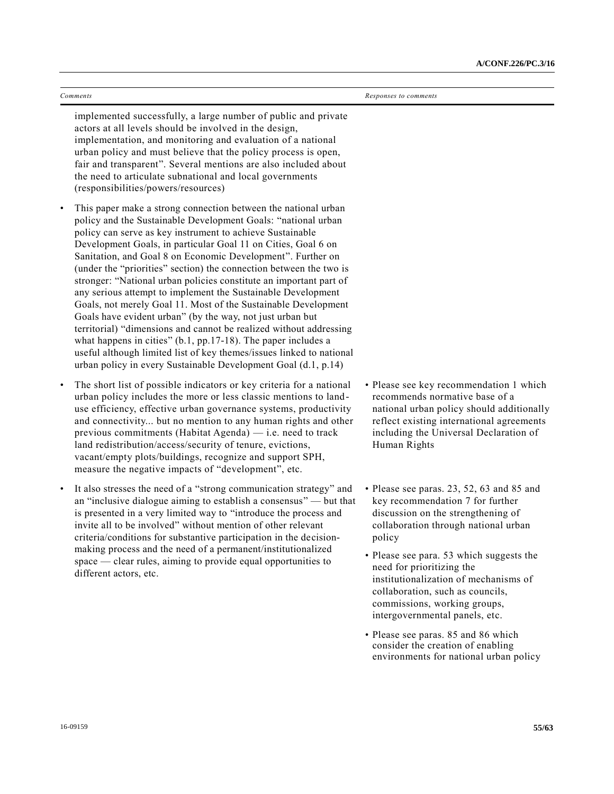| Comments                                                                                                                                                                                                                                                                                                                                                                                                                                                                                                                                                                                                                                                                                                                                                                                                                                                                                                                                                                 | Responses to comments                                                                                                                                                                                                                                                                                                                                                                                                                                                                                               |
|--------------------------------------------------------------------------------------------------------------------------------------------------------------------------------------------------------------------------------------------------------------------------------------------------------------------------------------------------------------------------------------------------------------------------------------------------------------------------------------------------------------------------------------------------------------------------------------------------------------------------------------------------------------------------------------------------------------------------------------------------------------------------------------------------------------------------------------------------------------------------------------------------------------------------------------------------------------------------|---------------------------------------------------------------------------------------------------------------------------------------------------------------------------------------------------------------------------------------------------------------------------------------------------------------------------------------------------------------------------------------------------------------------------------------------------------------------------------------------------------------------|
| implemented successfully, a large number of public and private<br>actors at all levels should be involved in the design,<br>implementation, and monitoring and evaluation of a national<br>urban policy and must believe that the policy process is open,<br>fair and transparent". Several mentions are also included about<br>the need to articulate subnational and local governments<br>(responsibilities/powers/resources)                                                                                                                                                                                                                                                                                                                                                                                                                                                                                                                                          |                                                                                                                                                                                                                                                                                                                                                                                                                                                                                                                     |
| This paper make a strong connection between the national urban<br>$\bullet$<br>policy and the Sustainable Development Goals: "national urban<br>policy can serve as key instrument to achieve Sustainable<br>Development Goals, in particular Goal 11 on Cities, Goal 6 on<br>Sanitation, and Goal 8 on Economic Development". Further on<br>(under the "priorities" section) the connection between the two is<br>stronger: "National urban policies constitute an important part of<br>any serious attempt to implement the Sustainable Development<br>Goals, not merely Goal 11. Most of the Sustainable Development<br>Goals have evident urban" (by the way, not just urban but<br>territorial) "dimensions and cannot be realized without addressing<br>what happens in cities" $(b.1, pp.17-18)$ . The paper includes a<br>useful although limited list of key themes/issues linked to national<br>urban policy in every Sustainable Development Goal (d.1, p.14) |                                                                                                                                                                                                                                                                                                                                                                                                                                                                                                                     |
| The short list of possible indicators or key criteria for a national<br>$\bullet$<br>urban policy includes the more or less classic mentions to land-<br>use efficiency, effective urban governance systems, productivity<br>and connectivity but no mention to any human rights and other<br>previous commitments (Habitat Agenda) $-$ i.e. need to track<br>land redistribution/access/security of tenure, evictions,<br>vacant/empty plots/buildings, recognize and support SPH,<br>measure the negative impacts of "development", etc.                                                                                                                                                                                                                                                                                                                                                                                                                               | • Please see key recommendation 1 which<br>recommends normative base of a<br>national urban policy should additionally<br>reflect existing international agreements<br>including the Universal Declaration of<br>Human Rights                                                                                                                                                                                                                                                                                       |
| It also stresses the need of a "strong communication strategy" and<br>$\bullet$<br>an "inclusive dialogue aiming to establish a consensus" $-$ but that<br>is presented in a very limited way to "introduce the process and<br>invite all to be involved" without mention of other relevant<br>criteria/conditions for substantive participation in the decision-<br>making process and the need of a permanent/institutionalized<br>space — clear rules, aiming to provide equal opportunities to<br>different actors, etc.                                                                                                                                                                                                                                                                                                                                                                                                                                             | • Please see paras. 23, 52, 63 and 85 and<br>key recommendation 7 for further<br>discussion on the strengthening of<br>collaboration through national urban<br>policy<br>• Please see para. 53 which suggests the<br>need for prioritizing the<br>institutionalization of mechanisms of<br>collaboration, such as councils,<br>commissions, working groups,<br>intergovernmental panels, etc.<br>• Please see paras. 85 and 86 which<br>consider the creation of enabling<br>environments for national urban policy |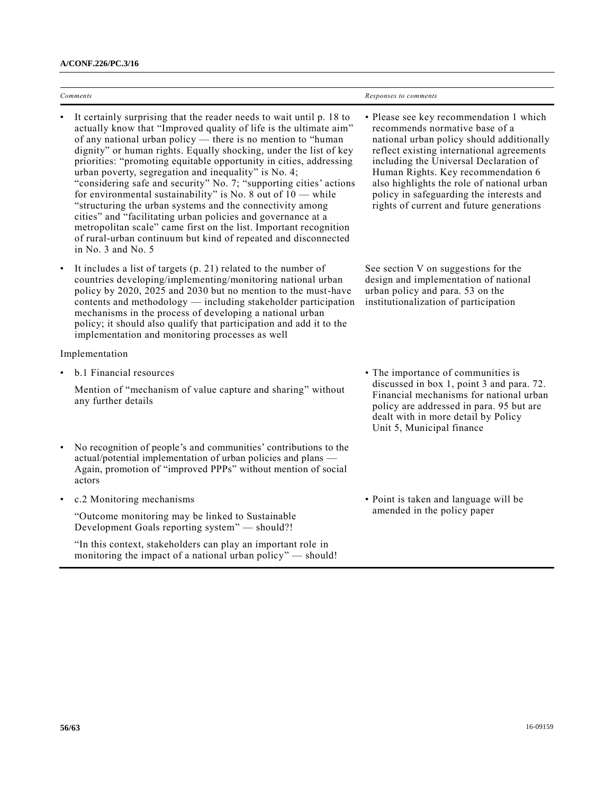| Comments  |                                                                                                                                                                                                                                                                                                                                                                                                                                                                                                                                                                                                                                                                                                                                                                                                                                                | Responses to comments                                                                                                                                                                                                                                                                                                                                                                     |
|-----------|------------------------------------------------------------------------------------------------------------------------------------------------------------------------------------------------------------------------------------------------------------------------------------------------------------------------------------------------------------------------------------------------------------------------------------------------------------------------------------------------------------------------------------------------------------------------------------------------------------------------------------------------------------------------------------------------------------------------------------------------------------------------------------------------------------------------------------------------|-------------------------------------------------------------------------------------------------------------------------------------------------------------------------------------------------------------------------------------------------------------------------------------------------------------------------------------------------------------------------------------------|
|           | It certainly surprising that the reader needs to wait until p. 18 to<br>actually know that "Improved quality of life is the ultimate aim"<br>of any national urban policy — there is no mention to "human<br>dignity" or human rights. Equally shocking, under the list of key<br>priorities: "promoting equitable opportunity in cities, addressing<br>urban poverty, segregation and inequality" is No. 4;<br>"considering safe and security" No. 7; "supporting cities' actions<br>for environmental sustainability" is No. 8 out of $10$ — while<br>"structuring the urban systems and the connectivity among<br>cities" and "facilitating urban policies and governance at a<br>metropolitan scale" came first on the list. Important recognition<br>of rural-urban continuum but kind of repeated and disconnected<br>in No. 3 and No. 5 | • Please see key recommendation 1 which<br>recommends normative base of a<br>national urban policy should additionally<br>reflect existing international agreements<br>including the Universal Declaration of<br>Human Rights. Key recommendation 6<br>also highlights the role of national urban<br>policy in safeguarding the interests and<br>rights of current and future generations |
| $\bullet$ | It includes a list of targets $(p. 21)$ related to the number of<br>countries developing/implementing/monitoring national urban<br>policy by 2020, 2025 and 2030 but no mention to the must-have<br>contents and methodology - including stakeholder participation<br>mechanisms in the process of developing a national urban<br>policy; it should also qualify that participation and add it to the<br>implementation and monitoring processes as well                                                                                                                                                                                                                                                                                                                                                                                       | See section V on suggestions for the<br>design and implementation of national<br>urban policy and para. 53 on the<br>institutionalization of participation                                                                                                                                                                                                                                |
|           | Implementation                                                                                                                                                                                                                                                                                                                                                                                                                                                                                                                                                                                                                                                                                                                                                                                                                                 |                                                                                                                                                                                                                                                                                                                                                                                           |
|           | b.1 Financial resources<br>Mention of "mechanism of value capture and sharing" without<br>any further details                                                                                                                                                                                                                                                                                                                                                                                                                                                                                                                                                                                                                                                                                                                                  | • The importance of communities is<br>discussed in box 1, point 3 and para. 72.<br>Financial mechanisms for national urban<br>policy are addressed in para. 95 but are<br>dealt with in more detail by Policy<br>Unit 5, Municipal finance                                                                                                                                                |
|           | No recognition of people's and communities' contributions to the<br>actual/potential implementation of urban policies and plans —<br>Again, promotion of "improved PPPs" without mention of social<br>actors                                                                                                                                                                                                                                                                                                                                                                                                                                                                                                                                                                                                                                   |                                                                                                                                                                                                                                                                                                                                                                                           |
| $\bullet$ | c.2 Monitoring mechanisms                                                                                                                                                                                                                                                                                                                                                                                                                                                                                                                                                                                                                                                                                                                                                                                                                      | • Point is taken and language will be                                                                                                                                                                                                                                                                                                                                                     |
|           | "Outcome monitoring may be linked to Sustainable<br>Development Goals reporting system" - should?!                                                                                                                                                                                                                                                                                                                                                                                                                                                                                                                                                                                                                                                                                                                                             | amended in the policy paper                                                                                                                                                                                                                                                                                                                                                               |
|           | "In this context, stakeholders can play an important role in<br>monitoring the impact of a national urban policy" - should!                                                                                                                                                                                                                                                                                                                                                                                                                                                                                                                                                                                                                                                                                                                    |                                                                                                                                                                                                                                                                                                                                                                                           |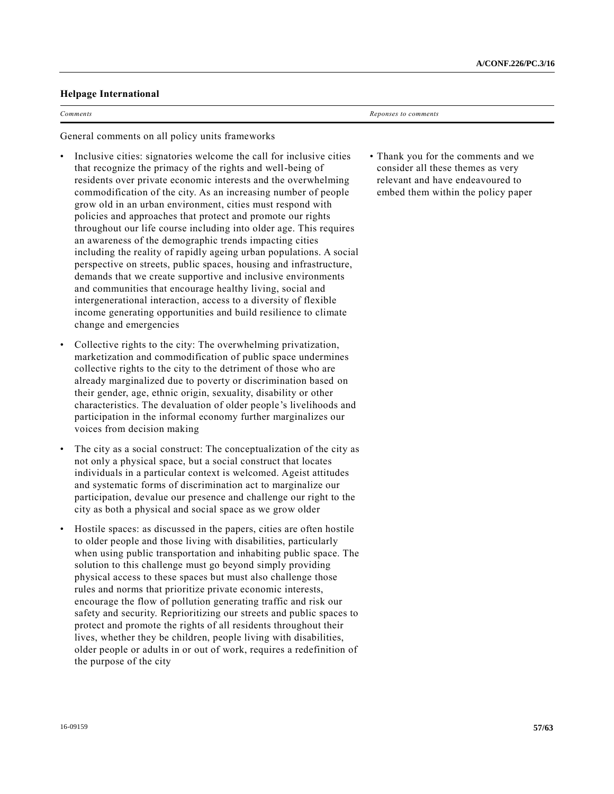## **Helpage International**

*Comments Reponses to comments*

General comments on all policy units frameworks

- Inclusive cities: signatories welcome the call for inclusive cities that recognize the primacy of the rights and well-being of residents over private economic interests and the overwhelming commodification of the city. As an increasing number of people grow old in an urban environment, cities must respond with policies and approaches that protect and promote our rights throughout our life course including into older age. This requires an awareness of the demographic trends impacting cities including the reality of rapidly ageing urban populations. A social perspective on streets, public spaces, housing and infrastructure, demands that we create supportive and inclusive environments and communities that encourage healthy living, social and intergenerational interaction, access to a diversity of flexible income generating opportunities and build resilience to climate change and emergencies
- Collective rights to the city: The overwhelming privatization, marketization and commodification of public space undermines collective rights to the city to the detriment of those who are already marginalized due to poverty or discrimination based on their gender, age, ethnic origin, sexuality, disability or other characteristics. The devaluation of older people's livelihoods and participation in the informal economy further marginalizes our voices from decision making
- The city as a social construct: The conceptualization of the city as not only a physical space, but a social construct that locates individuals in a particular context is welcomed. Ageist attitudes and systematic forms of discrimination act to marginalize our participation, devalue our presence and challenge our right to the city as both a physical and social space as we grow older
- Hostile spaces: as discussed in the papers, cities are often hostile to older people and those living with disabilities, particularly when using public transportation and inhabiting public space. The solution to this challenge must go beyond simply providing physical access to these spaces but must also challenge those rules and norms that prioritize private economic interests, encourage the flow of pollution generating traffic and risk our safety and security. Reprioritizing our streets and public spaces to protect and promote the rights of all residents throughout their lives, whether they be children, people living with disabilities, older people or adults in or out of work, requires a redefinition of the purpose of the city

• Thank you for the comments and we consider all these themes as very relevant and have endeavoured to embed them within the policy paper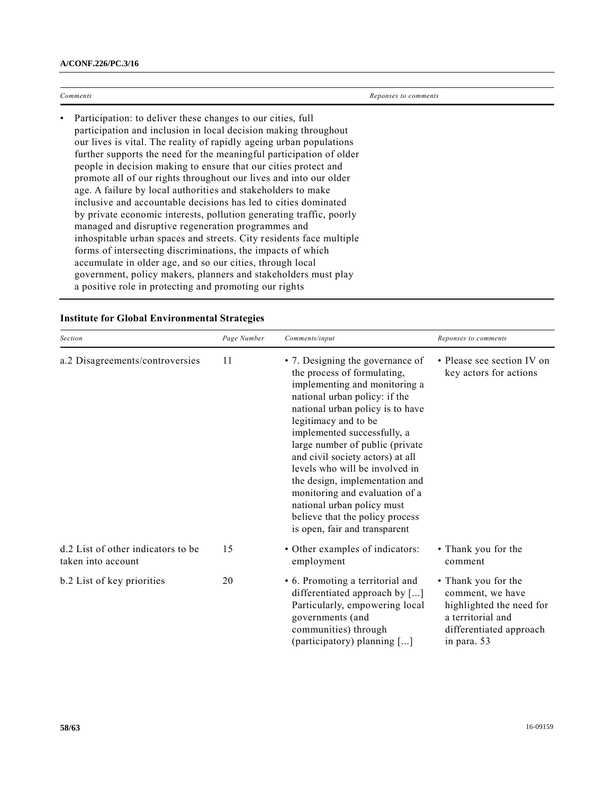| Comments                                                                                                                                                                                                                                                                                                                                                                                                                                                                                                                                                                                                                                                                                                                                                                                                                                                                                                                                                                                                            | Reponses to comments |  |
|---------------------------------------------------------------------------------------------------------------------------------------------------------------------------------------------------------------------------------------------------------------------------------------------------------------------------------------------------------------------------------------------------------------------------------------------------------------------------------------------------------------------------------------------------------------------------------------------------------------------------------------------------------------------------------------------------------------------------------------------------------------------------------------------------------------------------------------------------------------------------------------------------------------------------------------------------------------------------------------------------------------------|----------------------|--|
| Participation: to deliver these changes to our cities, full<br>participation and inclusion in local decision making throughout<br>our lives is vital. The reality of rapidly ageing urban populations<br>further supports the need for the meaningful participation of older<br>people in decision making to ensure that our cities protect and<br>promote all of our rights throughout our lives and into our older<br>age. A failure by local authorities and stakeholders to make<br>inclusive and accountable decisions has led to cities dominated<br>by private economic interests, pollution generating traffic, poorly<br>managed and disruptive regeneration programmes and<br>inhospitable urban spaces and streets. City residents face multiple<br>forms of intersecting discriminations, the impacts of which<br>accumulate in older age, and so our cities, through local<br>government, policy makers, planners and stakeholders must play<br>a positive role in protecting and promoting our rights |                      |  |

| Section                                                  | Page Number | Comments/input                                                                                                                                                                                                                                                                                                                                                                                                                                                                                              | Reponses to comments                                                                                                               |
|----------------------------------------------------------|-------------|-------------------------------------------------------------------------------------------------------------------------------------------------------------------------------------------------------------------------------------------------------------------------------------------------------------------------------------------------------------------------------------------------------------------------------------------------------------------------------------------------------------|------------------------------------------------------------------------------------------------------------------------------------|
| a.2 Disagreements/controversies                          | 11          | • 7. Designing the governance of<br>the process of formulating,<br>implementing and monitoring a<br>national urban policy: if the<br>national urban policy is to have<br>legitimacy and to be<br>implemented successfully, a<br>large number of public (private<br>and civil society actors) at all<br>levels who will be involved in<br>the design, implementation and<br>monitoring and evaluation of a<br>national urban policy must<br>believe that the policy process<br>is open, fair and transparent | • Please see section IV on<br>key actors for actions                                                                               |
| d.2 List of other indicators to be<br>taken into account | 15          | • Other examples of indicators:<br>employment                                                                                                                                                                                                                                                                                                                                                                                                                                                               | • Thank you for the<br>comment                                                                                                     |
| b.2 List of key priorities                               | 20          | • 6. Promoting a territorial and<br>differentiated approach by []<br>Particularly, empowering local<br>governments (and<br>communities) through<br>(participatory) planning []                                                                                                                                                                                                                                                                                                                              | • Thank you for the<br>comment, we have<br>highlighted the need for<br>a territorial and<br>differentiated approach<br>in para. 53 |

# **Institute for Global Environmental Strategies**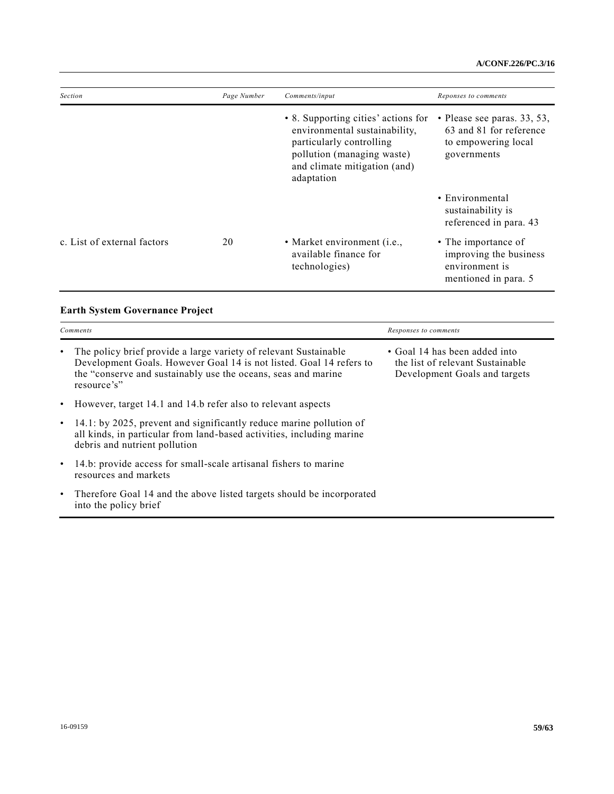| <b>Section</b>              | Page Number | Comments/input                                                                                                                                                               | Reponses to comments                                                                           |
|-----------------------------|-------------|------------------------------------------------------------------------------------------------------------------------------------------------------------------------------|------------------------------------------------------------------------------------------------|
|                             |             | • 8. Supporting cities' actions for<br>environmental sustainability,<br>particularly controlling<br>pollution (managing waste)<br>and climate mitigation (and)<br>adaptation | • Please see paras. $33, 53,$<br>63 and 81 for reference<br>to empowering local<br>governments |
|                             |             |                                                                                                                                                                              | • Environmental<br>sustainability is<br>referenced in para. 43                                 |
| c. List of external factors | 20          | • Market environment (i.e.,<br>available finance for<br>technologies)                                                                                                        | • The importance of<br>improving the business<br>environment is<br>mentioned in para. 5        |

# **Earth System Governance Project**

| Comments  |                                                                                                                                                                                                                         | Responses to comments                                                                              |  |
|-----------|-------------------------------------------------------------------------------------------------------------------------------------------------------------------------------------------------------------------------|----------------------------------------------------------------------------------------------------|--|
|           | The policy brief provide a large variety of relevant Sustainable<br>Development Goals. However Goal 14 is not listed. Goal 14 refers to<br>the "conserve and sustainably use the oceans, seas and marine<br>resource's" | • Goal 14 has been added into<br>the list of relevant Sustainable<br>Development Goals and targets |  |
| $\bullet$ | However, target 14.1 and 14.b refer also to relevant aspects                                                                                                                                                            |                                                                                                    |  |
|           | 14.1: by 2025, prevent and significantly reduce marine pollution of<br>all kinds, in particular from land-based activities, including marine<br>debris and nutrient pollution                                           |                                                                                                    |  |
|           | 14.b: provide access for small-scale artisanal fishers to marine<br>resources and markets                                                                                                                               |                                                                                                    |  |
| $\bullet$ | Therefore Goal 14 and the above listed targets should be incorporated<br>into the policy brief                                                                                                                          |                                                                                                    |  |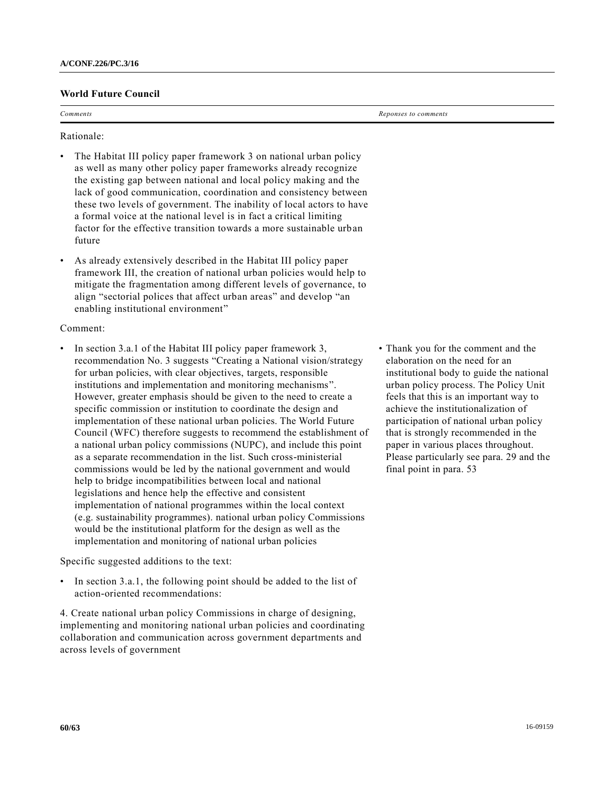## **World Future Council**

*Comments Reponses to comments*

Rationale:

- The Habitat III policy paper framework 3 on national urban policy as well as many other policy paper frameworks already recognize the existing gap between national and local policy making and the lack of good communication, coordination and consistency between these two levels of government. The inability of local actors to have a formal voice at the national level is in fact a critical limiting factor for the effective transition towards a more sustainable urban future
- As already extensively described in the Habitat III policy paper framework III, the creation of national urban policies would help to mitigate the fragmentation among different levels of governance, to align "sectorial polices that affect urban areas" and develop "an enabling institutional environment"

## Comment:

In section 3.a.1 of the Habitat III policy paper framework 3, recommendation No. 3 suggests "Creating a National vision/strategy for urban policies, with clear objectives, targets, responsible institutions and implementation and monitoring mechanisms". However, greater emphasis should be given to the need to create a specific commission or institution to coordinate the design and implementation of these national urban policies. The World Future Council (WFC) therefore suggests to recommend the establishment of a national urban policy commissions (NUPC), and include this point as a separate recommendation in the list. Such cross-ministerial commissions would be led by the national government and would help to bridge incompatibilities between local and national legislations and hence help the effective and consistent implementation of national programmes within the local context (e.g. sustainability programmes). national urban policy Commissions would be the institutional platform for the design as well as the implementation and monitoring of national urban policies

Specific suggested additions to the text:

In section 3.a.1, the following point should be added to the list of action-oriented recommendations:

4. Create national urban policy Commissions in charge of designing, implementing and monitoring national urban policies and coordinating collaboration and communication across government departments and across levels of government

• Thank you for the comment and the elaboration on the need for an institutional body to guide the national urban policy process. The Policy Unit feels that this is an important way to achieve the institutionalization of participation of national urban policy that is strongly recommended in the paper in various places throughout. Please particularly see para. 29 and the final point in para. 53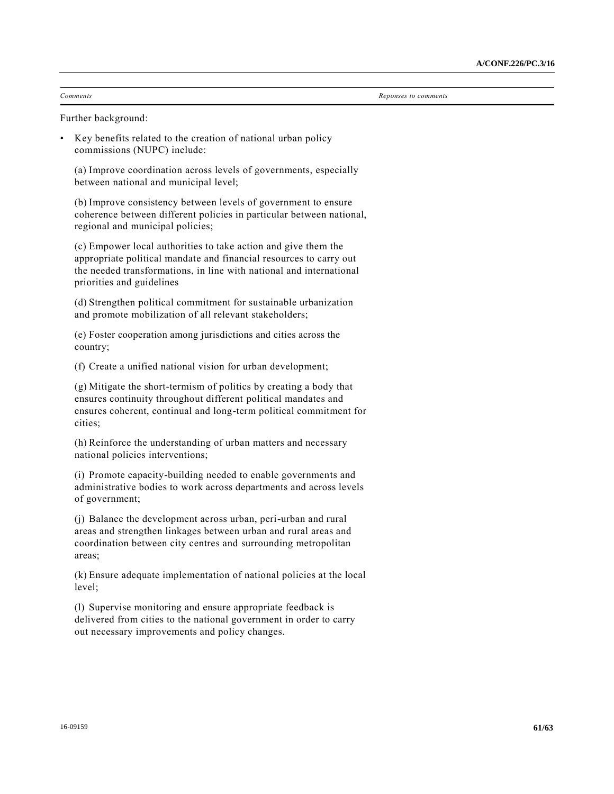*Comments Reponses to comments*

Further background:

• Key benefits related to the creation of national urban policy commissions (NUPC) include:

(a) Improve coordination across levels of governments, especially between national and municipal level;

(b) Improve consistency between levels of government to ensure coherence between different policies in particular between national, regional and municipal policies;

(c) Empower local authorities to take action and give them the appropriate political mandate and financial resources to carry out the needed transformations, in line with national and international priorities and guidelines

(d) Strengthen political commitment for sustainable urbanization and promote mobilization of all relevant stakeholders;

(e) Foster cooperation among jurisdictions and cities across the country;

(f) Create a unified national vision for urban development;

(g) Mitigate the short-termism of politics by creating a body that ensures continuity throughout different political mandates and ensures coherent, continual and long-term political commitment for cities;

(h) Reinforce the understanding of urban matters and necessary national policies interventions;

(i) Promote capacity-building needed to enable governments and administrative bodies to work across departments and across levels of government;

(j) Balance the development across urban, peri-urban and rural areas and strengthen linkages between urban and rural areas and coordination between city centres and surrounding metropolitan areas;

(k) Ensure adequate implementation of national policies at the local level;

(l) Supervise monitoring and ensure appropriate feedback is delivered from cities to the national government in order to carry out necessary improvements and policy changes.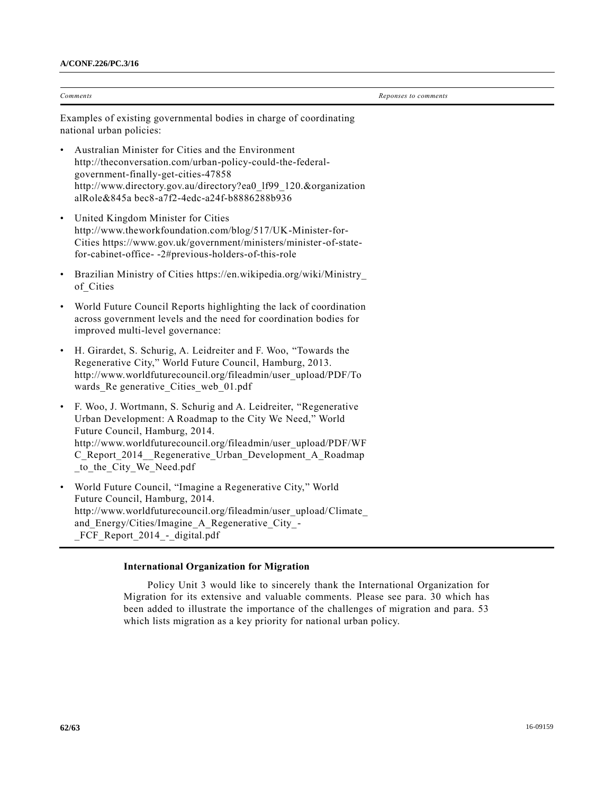|           | Comments                                                                                                                                                                                                                                                                                                              | Reponses to comments |  |  |
|-----------|-----------------------------------------------------------------------------------------------------------------------------------------------------------------------------------------------------------------------------------------------------------------------------------------------------------------------|----------------------|--|--|
|           | Examples of existing governmental bodies in charge of coordinating<br>national urban policies:                                                                                                                                                                                                                        |                      |  |  |
|           | Australian Minister for Cities and the Environment<br>http://theconversation.com/urban-policy-could-the-federal-<br>government-finally-get-cities-47858<br>http://www.directory.gov.au/directory?ea0 1f99 120.&organization<br>alRole&845a bec8-a7f2-4edc-a24f-b8886288b936                                           |                      |  |  |
|           | United Kingdom Minister for Cities<br>http://www.theworkfoundation.com/blog/517/UK-Minister-for-<br>Cities https://www.gov.uk/government/ministers/minister-of-state-<br>for-cabinet-office- -2#previous-holders-of-this-role                                                                                         |                      |  |  |
|           | Brazilian Ministry of Cities https://en.wikipedia.org/wiki/Ministry<br>of Cities                                                                                                                                                                                                                                      |                      |  |  |
|           | World Future Council Reports highlighting the lack of coordination<br>across government levels and the need for coordination bodies for<br>improved multi-level governance:                                                                                                                                           |                      |  |  |
|           | H. Girardet, S. Schurig, A. Leidreiter and F. Woo, "Towards the<br>Regenerative City," World Future Council, Hamburg, 2013.<br>http://www.worldfuturecouncil.org/fileadmin/user_upload/PDF/To<br>wards_Re generative_Cities_web_01.pdf                                                                                |                      |  |  |
| $\bullet$ | F. Woo, J. Wortmann, S. Schurig and A. Leidreiter, "Regenerative<br>Urban Development: A Roadmap to the City We Need," World<br>Future Council, Hamburg, 2014.<br>http://www.worldfuturecouncil.org/fileadmin/user_upload/PDF/WF<br>C Report 2014 Regenerative Urban Development A Roadmap<br>to_the_City_We_Need.pdf |                      |  |  |
|           | World Future Council, "Imagine a Regenerative City," World<br>Future Council, Hamburg, 2014.<br>http://www.worldfuturecouncil.org/fileadmin/user_upload/Climate<br>and_Energy/Cities/Imagine_A_Regenerative_City_-<br>FCF_Report_2014_-_digital.pdf                                                                   |                      |  |  |

## **International Organization for Migration**

Policy Unit 3 would like to sincerely thank the International Organization for Migration for its extensive and valuable comments. Please see para. 30 which has been added to illustrate the importance of the challenges of migration and para. 53 which lists migration as a key priority for national urban policy.